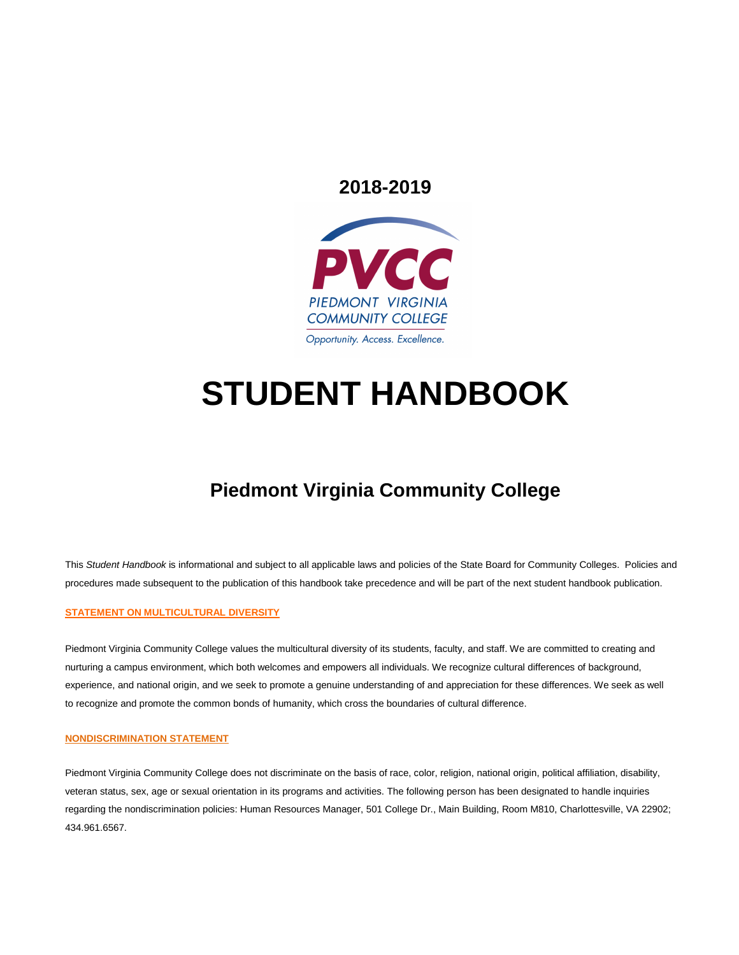# **2018-2019**



# **STUDENT HANDBOOK**

# **Piedmont Virginia Community College**

This *Student Handbook* is informational and subject to all applicable laws and policies of the State Board for Community Colleges. Policies and procedures made subsequent to the publication of this handbook take precedence and will be part of the next student handbook publication.

#### **STATEMENT ON MULTICULTURAL DIVERSITY**

Piedmont Virginia Community College values the multicultural diversity of its students, faculty, and staff. We are committed to creating and nurturing a campus environment, which both welcomes and empowers all individuals. We recognize cultural differences of background, experience, and national origin, and we seek to promote a genuine understanding of and appreciation for these differences. We seek as well to recognize and promote the common bonds of humanity, which cross the boundaries of cultural difference.

#### **NONDISCRIMINATION STATEMENT**

Piedmont Virginia Community College does not discriminate on the basis of race, color, religion, national origin, political affiliation, disability, veteran status, sex, age or sexual orientation in its programs and activities. The following person has been designated to handle inquiries regarding the nondiscrimination policies: Human Resources Manager, 501 College Dr., Main Building, Room M810, Charlottesville, VA 22902; 434.961.6567.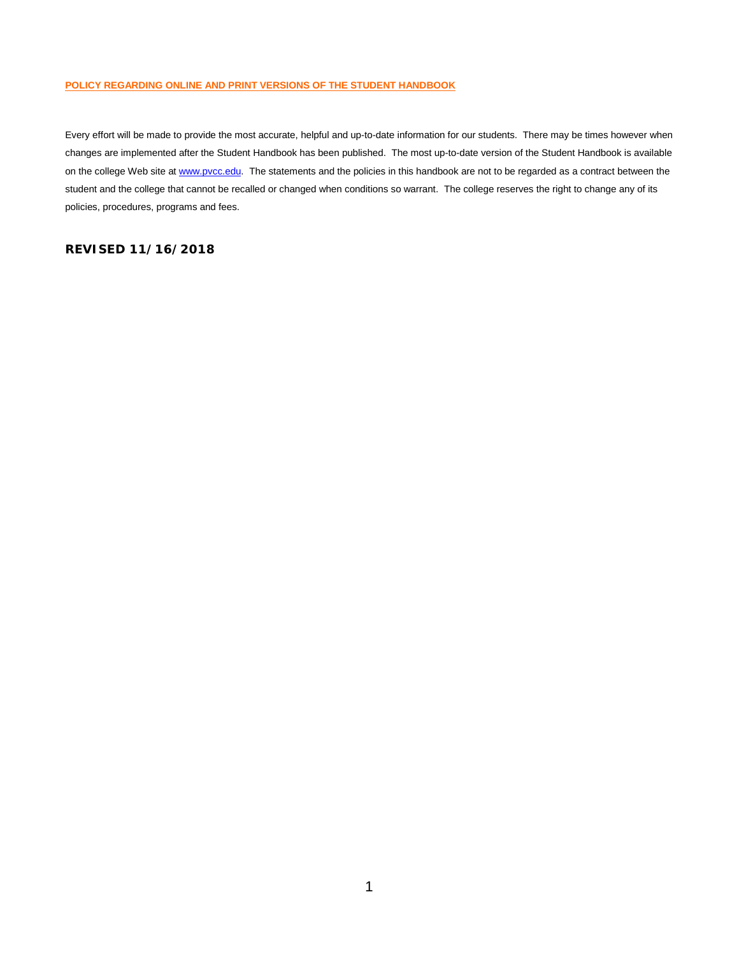#### **POLICY REGARDING ONLINE AND PRINT VERSIONS OF THE STUDENT HANDBOOK**

Every effort will be made to provide the most accurate, helpful and up-to-date information for our students. There may be times however when changes are implemented after the Student Handbook has been published. The most up-to-date version of the Student Handbook is available on the college Web site a[t www.pvcc.edu.](http://www.pvcc.edu/) The statements and the policies in this handbook are not to be regarded as a contract between the student and the college that cannot be recalled or changed when conditions so warrant. The college reserves the right to change any of its policies, procedures, programs and fees.

#### **REVISED 11/16/2018**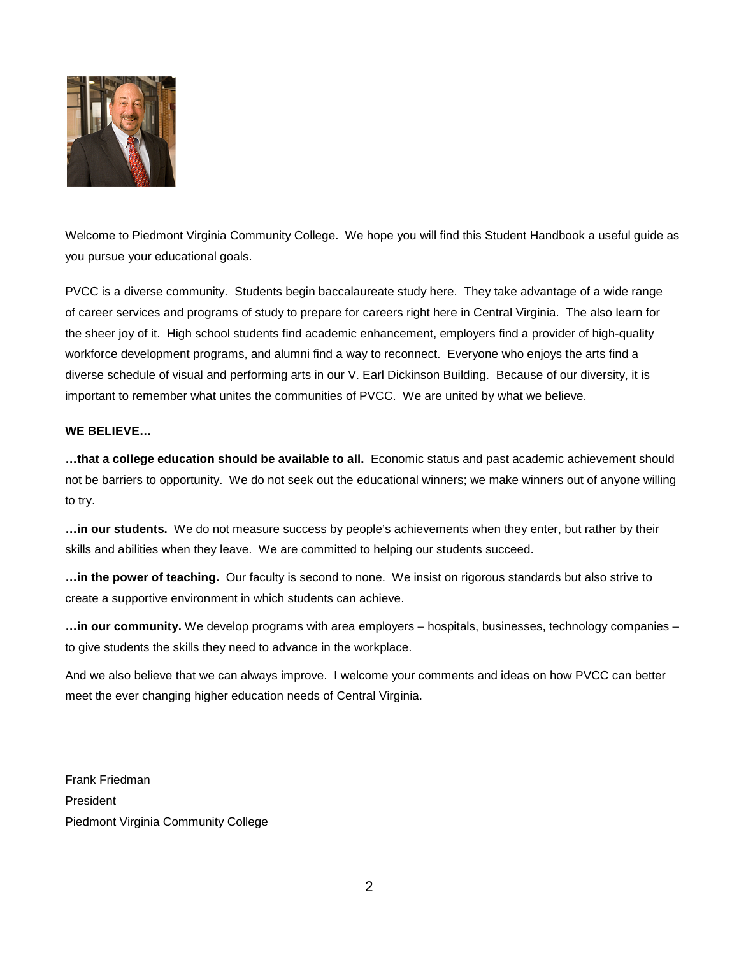

Welcome to Piedmont Virginia Community College. We hope you will find this Student Handbook a useful guide as you pursue your educational goals.

PVCC is a diverse community. Students begin baccalaureate study here. They take advantage of a wide range of career services and programs of study to prepare for careers right here in Central Virginia. The also learn for the sheer joy of it. High school students find academic enhancement, employers find a provider of high-quality workforce development programs, and alumni find a way to reconnect. Everyone who enjoys the arts find a diverse schedule of visual and performing arts in our V. Earl Dickinson Building. Because of our diversity, it is important to remember what unites the communities of PVCC. We are united by what we believe.

#### **WE BELIEVE…**

**…that a college education should be available to all.** Economic status and past academic achievement should not be barriers to opportunity. We do not seek out the educational winners; we make winners out of anyone willing to try.

**…in our students.** We do not measure success by people's achievements when they enter, but rather by their skills and abilities when they leave. We are committed to helping our students succeed.

**…in the power of teaching.** Our faculty is second to none. We insist on rigorous standards but also strive to create a supportive environment in which students can achieve.

**…in our community.** We develop programs with area employers – hospitals, businesses, technology companies – to give students the skills they need to advance in the workplace.

And we also believe that we can always improve. I welcome your comments and ideas on how PVCC can better meet the ever changing higher education needs of Central Virginia.

Frank Friedman President Piedmont Virginia Community College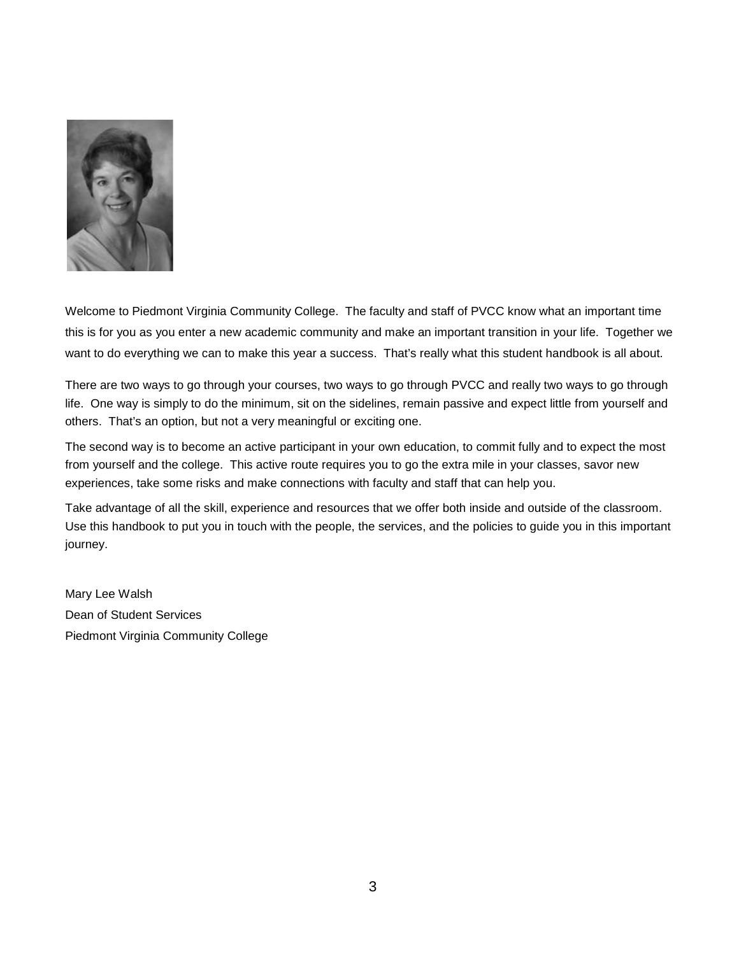

Welcome to Piedmont Virginia Community College. The faculty and staff of PVCC know what an important time this is for you as you enter a new academic community and make an important transition in your life. Together we want to do everything we can to make this year a success. That's really what this student handbook is all about.

There are two ways to go through your courses, two ways to go through PVCC and really two ways to go through life. One way is simply to do the minimum, sit on the sidelines, remain passive and expect little from yourself and others. That's an option, but not a very meaningful or exciting one.

The second way is to become an active participant in your own education, to commit fully and to expect the most from yourself and the college. This active route requires you to go the extra mile in your classes, savor new experiences, take some risks and make connections with faculty and staff that can help you.

Take advantage of all the skill, experience and resources that we offer both inside and outside of the classroom. Use this handbook to put you in touch with the people, the services, and the policies to guide you in this important journey.

Mary Lee Walsh Dean of Student Services Piedmont Virginia Community College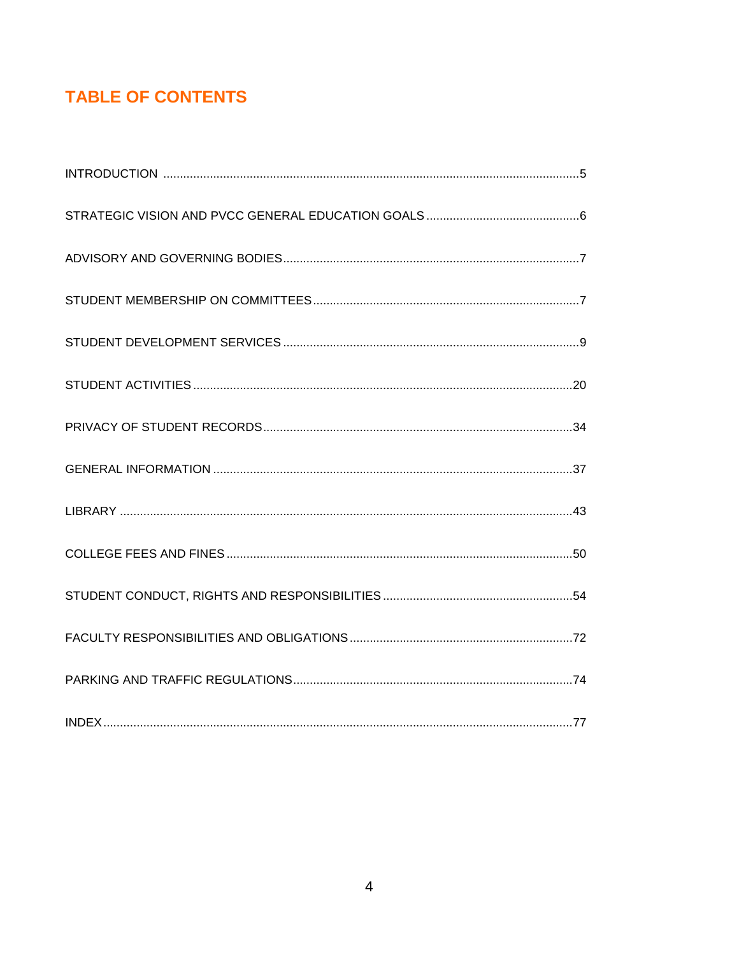# **TABLE OF CONTENTS**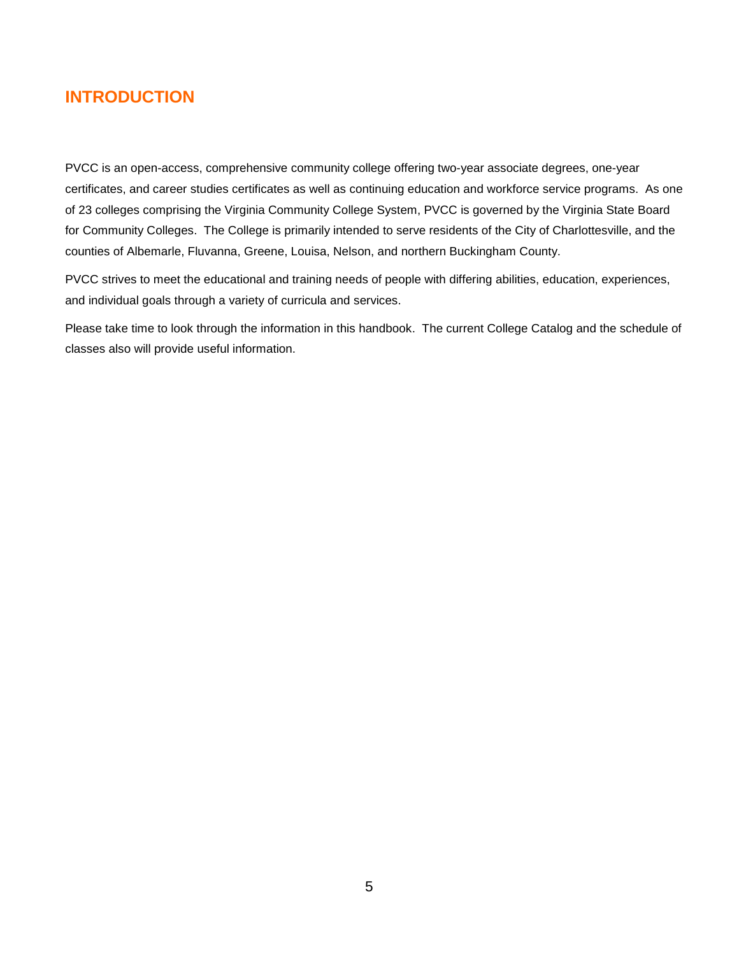# **INTRODUCTION**

PVCC is an open-access, comprehensive community college offering two-year associate degrees, one-year certificates, and career studies certificates as well as continuing education and workforce service programs. As one of 23 colleges comprising the Virginia Community College System, PVCC is governed by the Virginia State Board for Community Colleges. The College is primarily intended to serve residents of the City of Charlottesville, and the counties of Albemarle, Fluvanna, Greene, Louisa, Nelson, and northern Buckingham County.

PVCC strives to meet the educational and training needs of people with differing abilities, education, experiences, and individual goals through a variety of curricula and services.

Please take time to look through the information in this handbook. The current College Catalog and the schedule of classes also will provide useful information.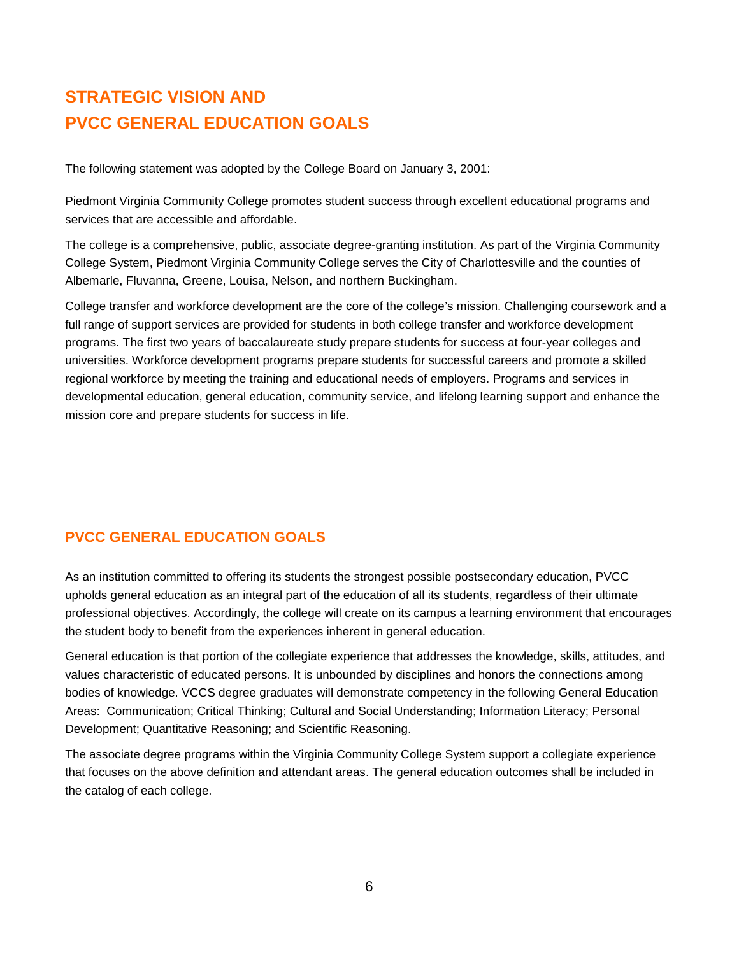# **STRATEGIC VISION AND PVCC GENERAL EDUCATION GOALS**

The following statement was adopted by the College Board on January 3, 2001:

Piedmont Virginia Community College promotes student success through excellent educational programs and services that are accessible and affordable.

The college is a comprehensive, public, associate degree-granting institution. As part of the Virginia Community College System, Piedmont Virginia Community College serves the City of Charlottesville and the counties of Albemarle, Fluvanna, Greene, Louisa, Nelson, and northern Buckingham.

College transfer and workforce development are the core of the college's mission. Challenging coursework and a full range of support services are provided for students in both college transfer and workforce development programs. The first two years of baccalaureate study prepare students for success at four-year colleges and universities. Workforce development programs prepare students for successful careers and promote a skilled regional workforce by meeting the training and educational needs of employers. Programs and services in developmental education, general education, community service, and lifelong learning support and enhance the mission core and prepare students for success in life.

# **PVCC GENERAL EDUCATION GOALS**

As an institution committed to offering its students the strongest possible postsecondary education, PVCC upholds general education as an integral part of the education of all its students, regardless of their ultimate professional objectives. Accordingly, the college will create on its campus a learning environment that encourages the student body to benefit from the experiences inherent in general education.

General education is that portion of the collegiate experience that addresses the knowledge, skills, attitudes, and values characteristic of educated persons. It is unbounded by disciplines and honors the connections among bodies of knowledge. VCCS degree graduates will demonstrate competency in the following General Education Areas: Communication; Critical Thinking; Cultural and Social Understanding; Information Literacy; Personal Development; Quantitative Reasoning; and Scientific Reasoning.

The associate degree programs within the Virginia Community College System support a collegiate experience that focuses on the above definition and attendant areas. The general education outcomes shall be included in the catalog of each college.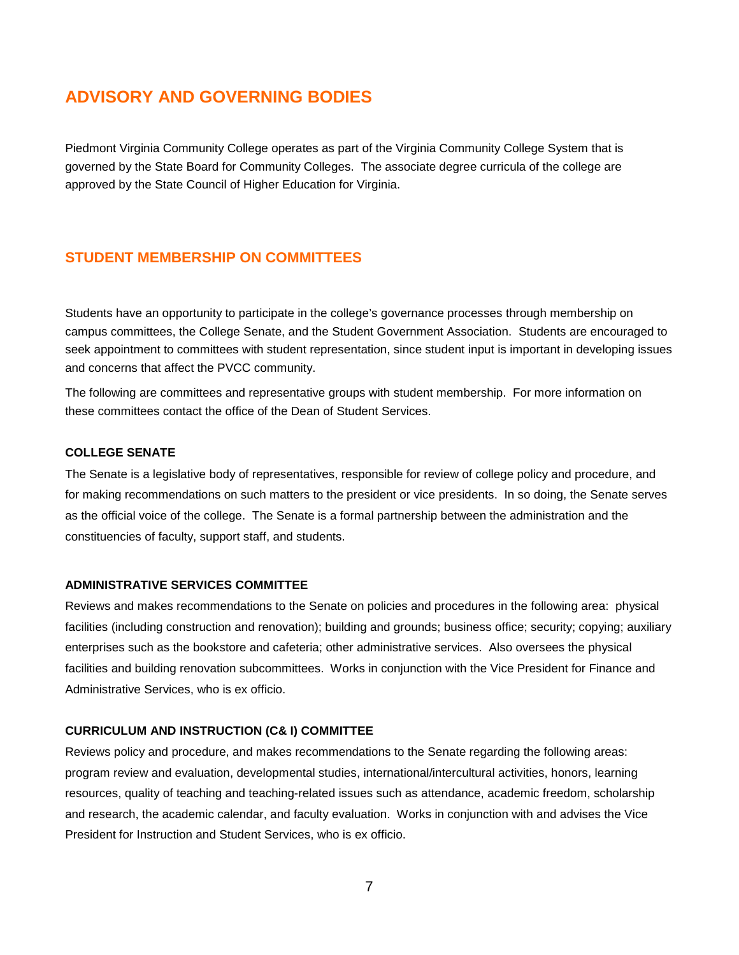# **ADVISORY AND GOVERNING BODIES**

Piedmont Virginia Community College operates as part of the Virginia Community College System that is governed by the State Board for Community Colleges. The associate degree curricula of the college are approved by the State Council of Higher Education for Virginia.

### **STUDENT MEMBERSHIP ON COMMITTEES**

Students have an opportunity to participate in the college's governance processes through membership on campus committees, the College Senate, and the Student Government Association. Students are encouraged to seek appointment to committees with student representation, since student input is important in developing issues and concerns that affect the PVCC community.

The following are committees and representative groups with student membership. For more information on these committees contact the office of the Dean of Student Services.

#### **COLLEGE SENATE**

The Senate is a legislative body of representatives, responsible for review of college policy and procedure, and for making recommendations on such matters to the president or vice presidents. In so doing, the Senate serves as the official voice of the college. The Senate is a formal partnership between the administration and the constituencies of faculty, support staff, and students.

#### **ADMINISTRATIVE SERVICES COMMITTEE**

Reviews and makes recommendations to the Senate on policies and procedures in the following area: physical facilities (including construction and renovation); building and grounds; business office; security; copying; auxiliary enterprises such as the bookstore and cafeteria; other administrative services. Also oversees the physical facilities and building renovation subcommittees. Works in conjunction with the Vice President for Finance and Administrative Services, who is ex officio.

#### **CURRICULUM AND INSTRUCTION (C& I) COMMITTEE**

Reviews policy and procedure, and makes recommendations to the Senate regarding the following areas: program review and evaluation, developmental studies, international/intercultural activities, honors, learning resources, quality of teaching and teaching-related issues such as attendance, academic freedom, scholarship and research, the academic calendar, and faculty evaluation. Works in conjunction with and advises the Vice President for Instruction and Student Services, who is ex officio.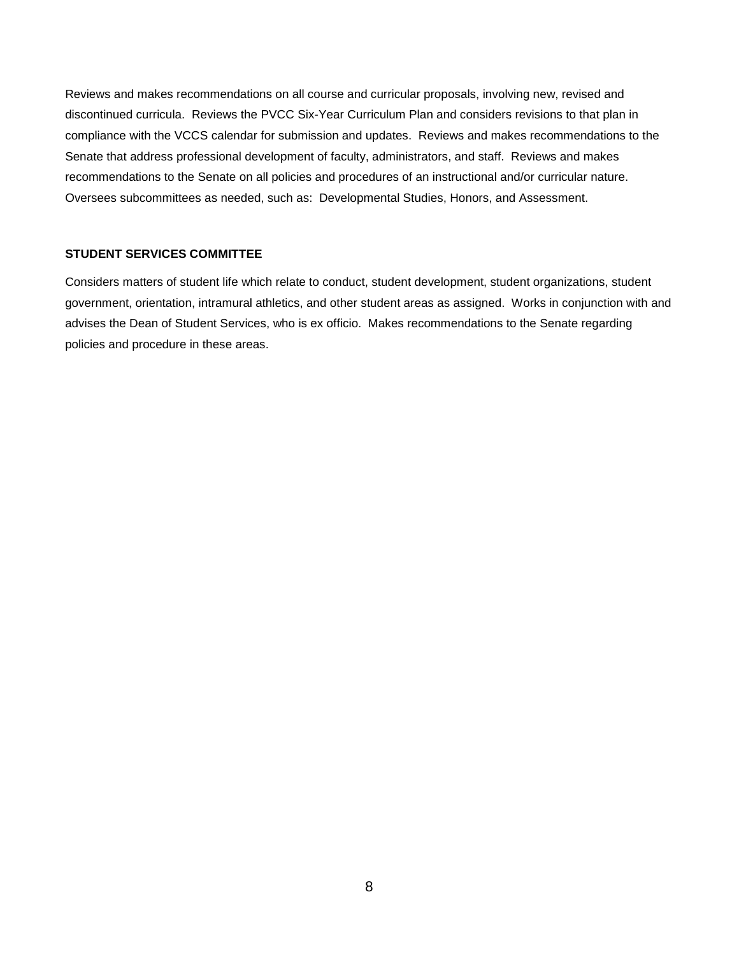Reviews and makes recommendations on all course and curricular proposals, involving new, revised and discontinued curricula. Reviews the PVCC Six-Year Curriculum Plan and considers revisions to that plan in compliance with the VCCS calendar for submission and updates. Reviews and makes recommendations to the Senate that address professional development of faculty, administrators, and staff. Reviews and makes recommendations to the Senate on all policies and procedures of an instructional and/or curricular nature. Oversees subcommittees as needed, such as: Developmental Studies, Honors, and Assessment.

#### **STUDENT SERVICES COMMITTEE**

Considers matters of student life which relate to conduct, student development, student organizations, student government, orientation, intramural athletics, and other student areas as assigned. Works in conjunction with and advises the Dean of Student Services, who is ex officio. Makes recommendations to the Senate regarding policies and procedure in these areas.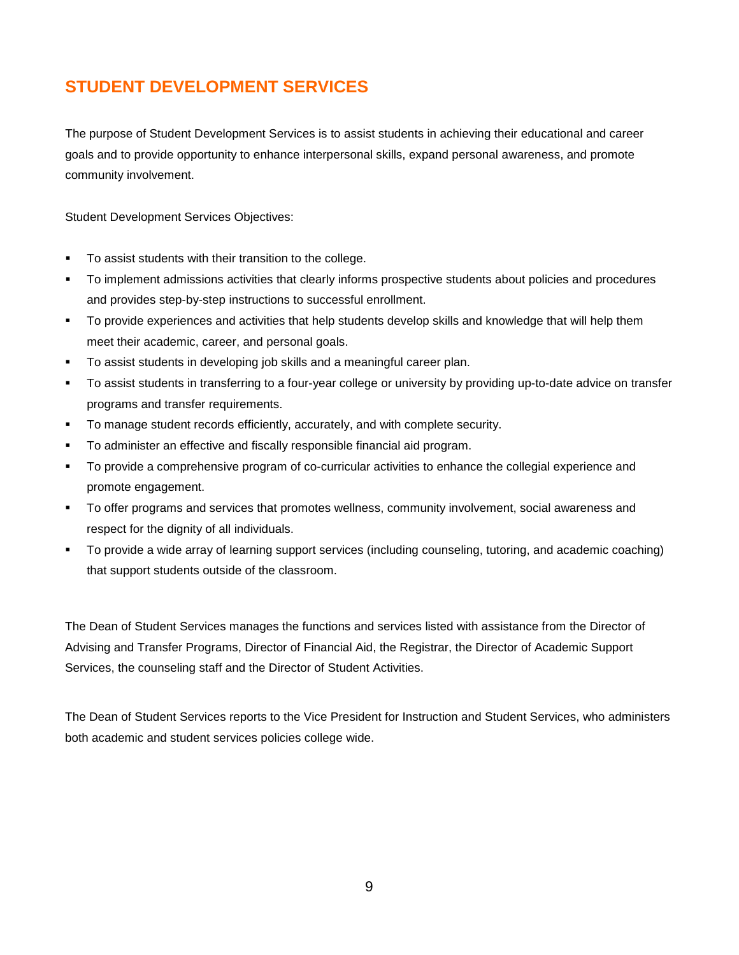# **STUDENT DEVELOPMENT SERVICES**

The purpose of Student Development Services is to assist students in achieving their educational and career goals and to provide opportunity to enhance interpersonal skills, expand personal awareness, and promote community involvement.

Student Development Services Objectives:

- To assist students with their transition to the college.
- To implement admissions activities that clearly informs prospective students about policies and procedures and provides step-by-step instructions to successful enrollment.
- To provide experiences and activities that help students develop skills and knowledge that will help them meet their academic, career, and personal goals.
- **To assist students in developing job skills and a meaningful career plan.**
- To assist students in transferring to a four-year college or university by providing up-to-date advice on transfer programs and transfer requirements.
- To manage student records efficiently, accurately, and with complete security.
- To administer an effective and fiscally responsible financial aid program.
- To provide a comprehensive program of co-curricular activities to enhance the collegial experience and promote engagement.
- To offer programs and services that promotes wellness, community involvement, social awareness and respect for the dignity of all individuals.
- To provide a wide array of learning support services (including counseling, tutoring, and academic coaching) that support students outside of the classroom.

The Dean of Student Services manages the functions and services listed with assistance from the Director of Advising and Transfer Programs, Director of Financial Aid, the Registrar, the Director of Academic Support Services, the counseling staff and the Director of Student Activities.

The Dean of Student Services reports to the Vice President for Instruction and Student Services, who administers both academic and student services policies college wide.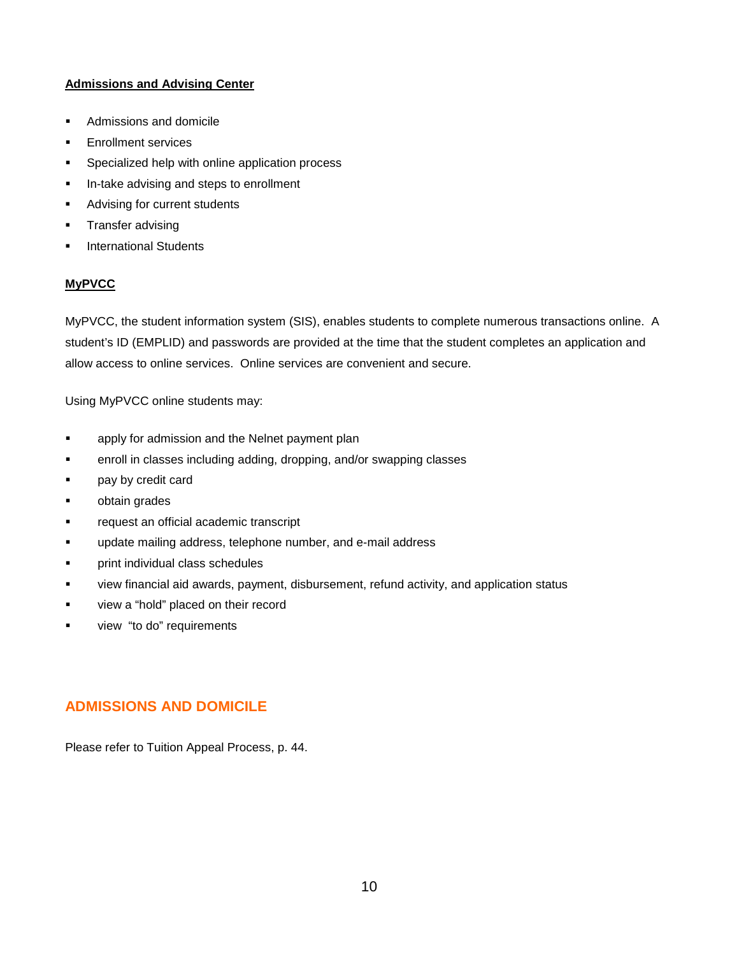#### **Admissions and Advising Center**

- Admissions and domicile
- Enrollment services
- Specialized help with online application process
- **In-take advising and steps to enrollment**
- Advising for current students
- Transfer advising
- International Students

#### **MyPVCC**

MyPVCC, the student information system (SIS), enables students to complete numerous transactions online. A student's ID (EMPLID) and passwords are provided at the time that the student completes an application and allow access to online services. Online services are convenient and secure.

Using MyPVCC online students may:

- **Examply for admission and the Nelnet payment plan**
- enroll in classes including adding, dropping, and/or swapping classes
- **pay by credit card**
- obtain grades
- request an official academic transcript
- update mailing address, telephone number, and e-mail address
- print individual class schedules
- view financial aid awards, payment, disbursement, refund activity, and application status
- view a "hold" placed on their record
- view "to do" requirements

# **ADMISSIONS AND DOMICILE**

Please refer to Tuition Appeal Process, p. 44.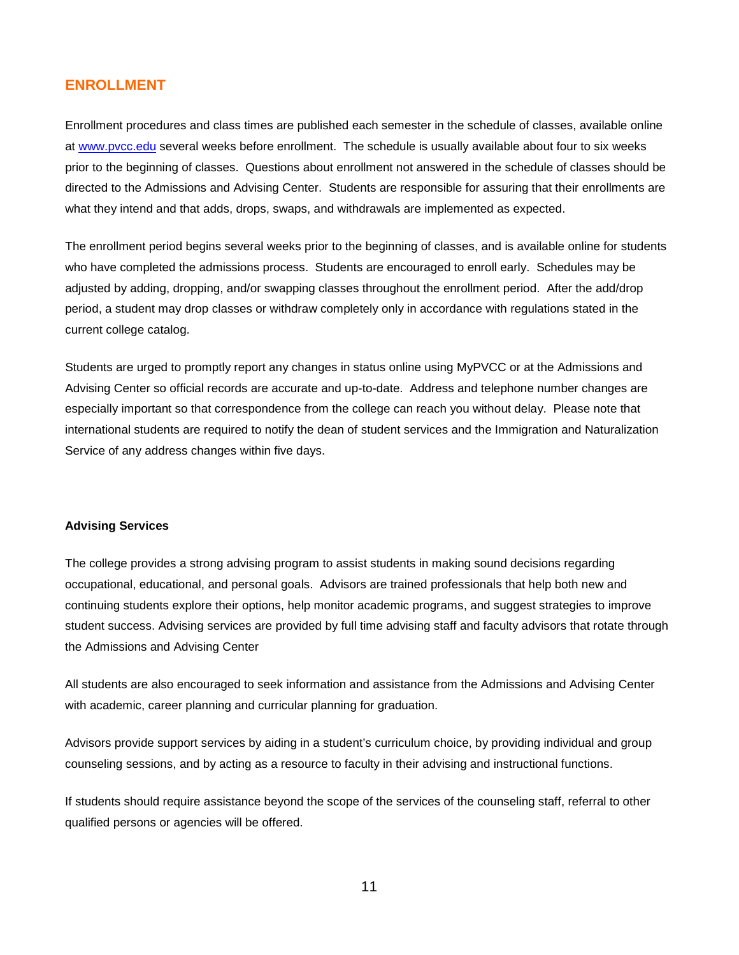#### **ENROLLMENT**

Enrollment procedures and class times are published each semester in the schedule of classes, available online at [www.pvcc.edu](http://www.pvcc.edu/) several weeks before enrollment. The schedule is usually available about four to six weeks prior to the beginning of classes. Questions about enrollment not answered in the schedule of classes should be directed to the Admissions and Advising Center. Students are responsible for assuring that their enrollments are what they intend and that adds, drops, swaps, and withdrawals are implemented as expected.

The enrollment period begins several weeks prior to the beginning of classes, and is available online for students who have completed the admissions process. Students are encouraged to enroll early. Schedules may be adjusted by adding, dropping, and/or swapping classes throughout the enrollment period. After the add/drop period, a student may drop classes or withdraw completely only in accordance with regulations stated in the current college catalog.

Students are urged to promptly report any changes in status online using MyPVCC or at the Admissions and Advising Center so official records are accurate and up-to-date. Address and telephone number changes are especially important so that correspondence from the college can reach you without delay. Please note that international students are required to notify the dean of student services and the Immigration and Naturalization Service of any address changes within five days.

#### **Advising Services**

The college provides a strong advising program to assist students in making sound decisions regarding occupational, educational, and personal goals. Advisors are trained professionals that help both new and continuing students explore their options, help monitor academic programs, and suggest strategies to improve student success. Advising services are provided by full time advising staff and faculty advisors that rotate through the Admissions and Advising Center

All students are also encouraged to seek information and assistance from the Admissions and Advising Center with academic, career planning and curricular planning for graduation.

Advisors provide support services by aiding in a student's curriculum choice, by providing individual and group counseling sessions, and by acting as a resource to faculty in their advising and instructional functions.

If students should require assistance beyond the scope of the services of the counseling staff, referral to other qualified persons or agencies will be offered.

11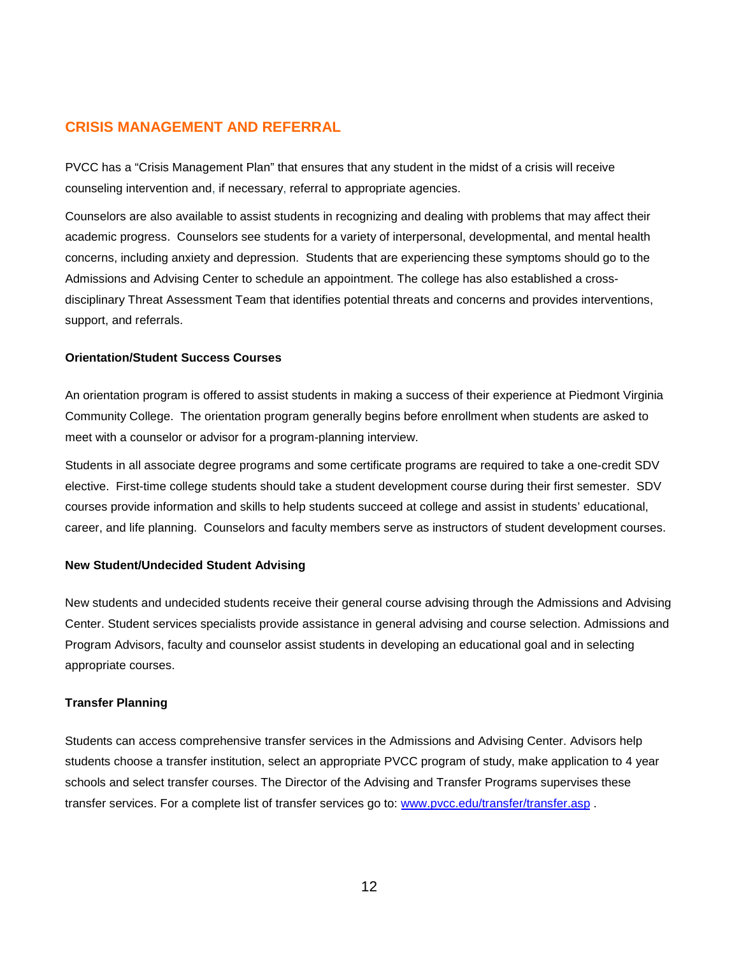### **CRISIS MANAGEMENT AND REFERRAL**

PVCC has a "Crisis Management Plan" that ensures that any student in the midst of a crisis will receive counseling intervention and, if necessary, referral to appropriate agencies.

Counselors are also available to assist students in recognizing and dealing with problems that may affect their academic progress. Counselors see students for a variety of interpersonal, developmental, and mental health concerns, including anxiety and depression. Students that are experiencing these symptoms should go to the Admissions and Advising Center to schedule an appointment. The college has also established a crossdisciplinary Threat Assessment Team that identifies potential threats and concerns and provides interventions, support, and referrals.

#### **Orientation/Student Success Courses**

An orientation program is offered to assist students in making a success of their experience at Piedmont Virginia Community College. The orientation program generally begins before enrollment when students are asked to meet with a counselor or advisor for a program-planning interview.

Students in all associate degree programs and some certificate programs are required to take a one-credit SDV elective. First-time college students should take a student development course during their first semester. SDV courses provide information and skills to help students succeed at college and assist in students' educational, career, and life planning. Counselors and faculty members serve as instructors of student development courses.

#### **New Student/Undecided Student Advising**

New students and undecided students receive their general course advising through the Admissions and Advising Center. Student services specialists provide assistance in general advising and course selection. Admissions and Program Advisors, faculty and counselor assist students in developing an educational goal and in selecting appropriate courses.

#### **Transfer Planning**

Students can access comprehensive transfer services in the Admissions and Advising Center. Advisors help students choose a transfer institution, select an appropriate PVCC program of study, make application to 4 year schools and select transfer courses. The Director of the Advising and Transfer Programs supervises these transfer services. For a complete list of transfer services go to: [www.pvcc.edu/transfer/transfer.asp](http://www.pvcc.edu/transfer/transfer.asp) .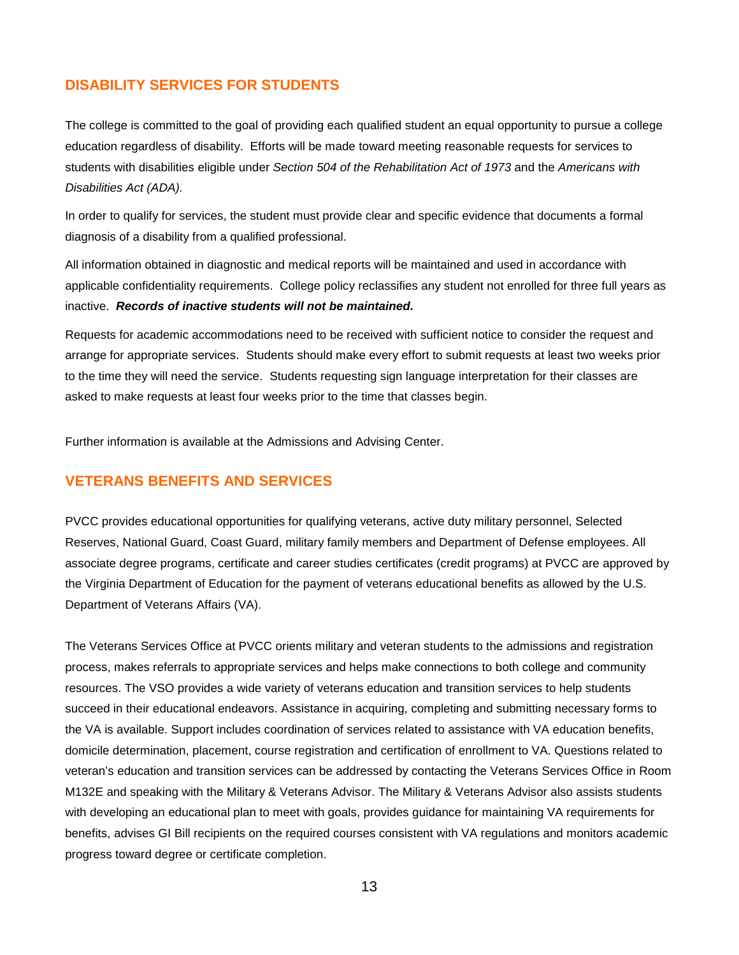### **DISABILITY SERVICES FOR STUDENTS**

The college is committed to the goal of providing each qualified student an equal opportunity to pursue a college education regardless of disability. Efforts will be made toward meeting reasonable requests for services to students with disabilities eligible under *Section 504 of the Rehabilitation Act of 1973* and the *Americans with Disabilities Act (ADA).*

In order to qualify for services, the student must provide clear and specific evidence that documents a formal diagnosis of a disability from a qualified professional.

All information obtained in diagnostic and medical reports will be maintained and used in accordance with applicable confidentiality requirements. College policy reclassifies any student not enrolled for three full years as inactive. *Records of inactive students will not be maintained.*

Requests for academic accommodations need to be received with sufficient notice to consider the request and arrange for appropriate services. Students should make every effort to submit requests at least two weeks prior to the time they will need the service. Students requesting sign language interpretation for their classes are asked to make requests at least four weeks prior to the time that classes begin.

Further information is available at the Admissions and Advising Center.

#### **VETERANS BENEFITS AND SERVICES**

PVCC provides educational opportunities for qualifying veterans, active duty military personnel, Selected Reserves, National Guard, Coast Guard, military family members and Department of Defense employees. All associate degree programs, certificate and career studies certificates (credit programs) at PVCC are approved by the Virginia Department of Education for the payment of veterans educational benefits as allowed by the U.S. Department of Veterans Affairs (VA).

The Veterans Services Office at PVCC orients military and veteran students to the admissions and registration process, makes referrals to appropriate services and helps make connections to both college and community resources. The VSO provides a wide variety of veterans education and transition services to help students succeed in their educational endeavors. Assistance in acquiring, completing and submitting necessary forms to the VA is available. Support includes coordination of services related to assistance with VA education benefits, domicile determination, placement, course registration and certification of enrollment to VA. Questions related to veteran's education and transition services can be addressed by contacting the Veterans Services Office in Room M132E and speaking with the Military & Veterans Advisor. The Military & Veterans Advisor also assists students with developing an educational plan to meet with goals, provides guidance for maintaining VA requirements for benefits, advises GI Bill recipients on the required courses consistent with VA regulations and monitors academic progress toward degree or certificate completion.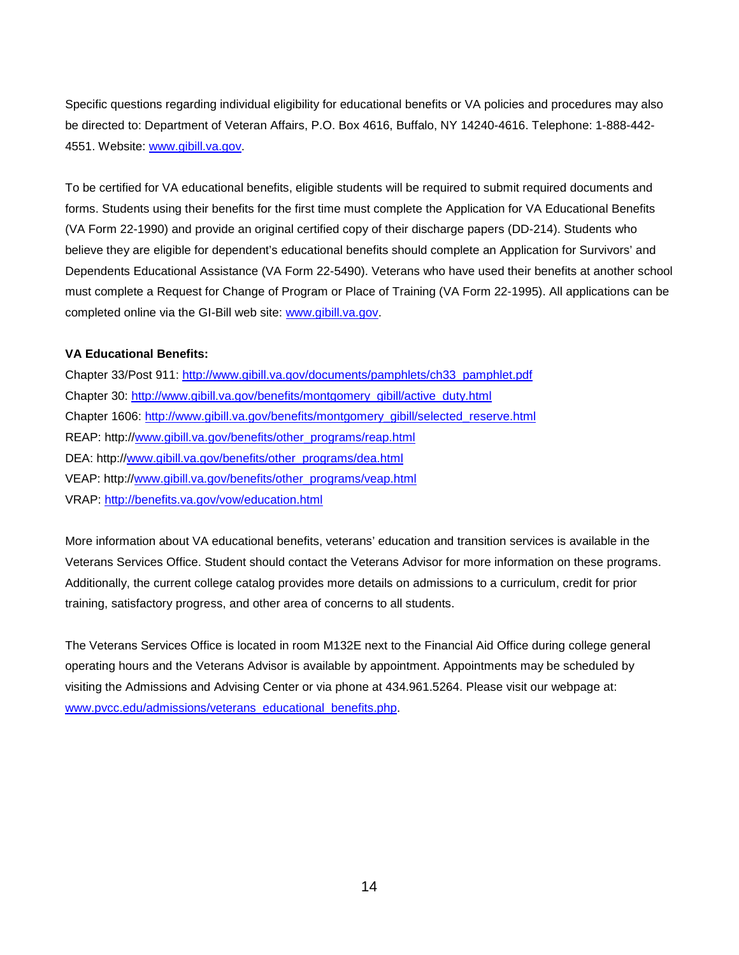Specific questions regarding individual eligibility for educational benefits or VA policies and procedures may also be directed to: Department of Veteran Affairs, P.O. Box 4616, Buffalo, NY 14240-4616. Telephone: 1-888-442- 4551. Website: [www.gibill.va.gov.](http://www.gibill.va.gov/)

To be certified for VA educational benefits, eligible students will be required to submit required documents and forms. Students using their benefits for the first time must complete the Application for VA Educational Benefits (VA Form 22-1990) and provide an original certified copy of their discharge papers (DD-214). Students who believe they are eligible for dependent's educational benefits should complete an Application for Survivors' and Dependents Educational Assistance (VA Form 22-5490). Veterans who have used their benefits at another school must complete a Request for Change of Program or Place of Training (VA Form 22-1995). All applications can be completed online via the GI-Bill web site: [www.gibill.va.gov.](http://www.gibill.va.gov/)

#### **VA Educational Benefits:**

Chapter 33/Post 911: [http://www.gibill.va.gov/documents/pamphlets/ch33\\_pamphlet.pdf](http://www.gibill.va.gov/documents/pamphlets/ch33_pamphlet.pdf) Chapter 30: [http://www.gibill.va.gov/benefits/montgomery\\_gibill/active\\_duty.html](http://www.gibill.va.gov/benefits/montgomery_gibill/active_duty.html) Chapter 1606: [http://www.gibill.va.gov/benefits/montgomery\\_gibill/selected\\_reserve.html](http://www.gibill.va.gov/benefits/montgomery_gibill/selected_reserve.html) REAP: http:/[/www.gibill.va.gov/benefits/other\\_programs/reap.html](http://www.gibill.va.gov/benefits/other_programs/reap.html) DEA: http:/[/www.gibill.va.gov/benefits/other\\_programs/dea.html](http://www.gibill.va.gov/benefits/other_programs/dea.html) VEAP: http:/[/www.gibill.va.gov/benefits/other\\_programs/veap.html](http://www.gibill.va.gov/benefits/other_programs/veap.html) VRAP:<http://benefits.va.gov/vow/education.html>

More information about VA educational benefits, veterans' education and transition services is available in the Veterans Services Office. Student should contact the Veterans Advisor for more information on these programs. Additionally, the current college catalog provides more details on admissions to a curriculum, credit for prior training, satisfactory progress, and other area of concerns to all students.

The Veterans Services Office is located in room M132E next to the Financial Aid Office during college general operating hours and the Veterans Advisor is available by appointment. Appointments may be scheduled by visiting the Admissions and Advising Center or via phone at 434.961.5264. Please visit our webpage at: [www.pvcc.edu/admissions/veterans\\_educational\\_benefits.php.](http://www.pvcc.edu/admissions/veterans_educational_benefits.php)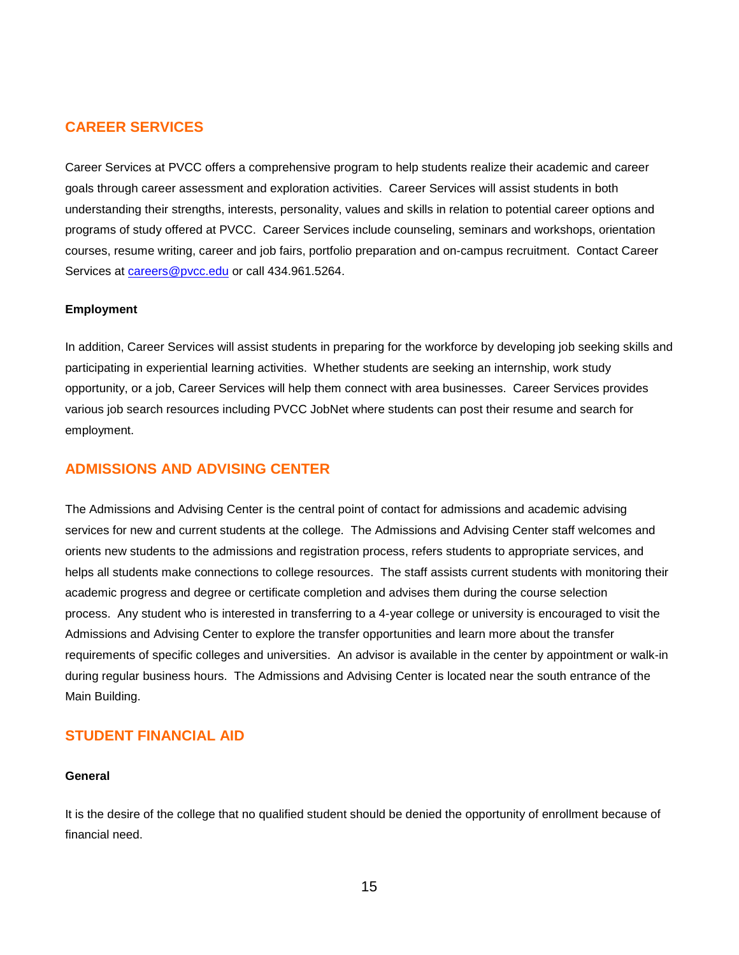### **CAREER SERVICES**

Career Services at PVCC offers a comprehensive program to help students realize their academic and career goals through career assessment and exploration activities. Career Services will assist students in both understanding their strengths, interests, personality, values and skills in relation to potential career options and programs of study offered at PVCC. Career Services include counseling, seminars and workshops, orientation courses, resume writing, career and job fairs, portfolio preparation and on-campus recruitment. Contact Career Services at [careers@pvcc.edu](mailto:careers@pvcc.edu) or call 434.961.5264.

#### **Employment**

In addition, Career Services will assist students in preparing for the workforce by developing job seeking skills and participating in experiential learning activities. Whether students are seeking an internship, work study opportunity, or a job, Career Services will help them connect with area businesses. Career Services provides various job search resources including PVCC JobNet where students can post their resume and search for employment.

#### **ADMISSIONS AND ADVISING CENTER**

The Admissions and Advising Center is the central point of contact for admissions and academic advising services for new and current students at the college. The Admissions and Advising Center staff welcomes and orients new students to the admissions and registration process, refers students to appropriate services, and helps all students make connections to college resources. The staff assists current students with monitoring their academic progress and degree or certificate completion and advises them during the course selection process. Any student who is interested in transferring to a 4-year college or university is encouraged to visit the Admissions and Advising Center to explore the transfer opportunities and learn more about the transfer requirements of specific colleges and universities. An advisor is available in the center by appointment or walk-in during regular business hours. The Admissions and Advising Center is located near the south entrance of the Main Building.

#### **STUDENT FINANCIAL AID**

#### **General**

It is the desire of the college that no qualified student should be denied the opportunity of enrollment because of financial need.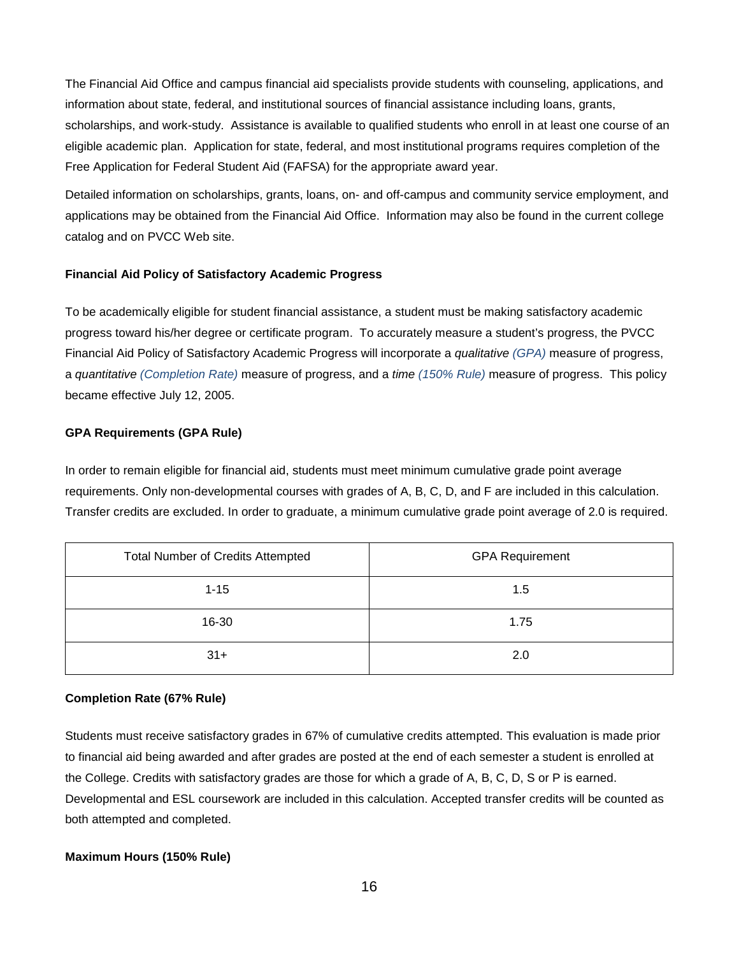The Financial Aid Office and campus financial aid specialists provide students with counseling, applications, and information about state, federal, and institutional sources of financial assistance including loans, grants, scholarships, and work-study. Assistance is available to qualified students who enroll in at least one course of an eligible academic plan. Application for state, federal, and most institutional programs requires completion of the Free Application for Federal Student Aid (FAFSA) for the appropriate award year.

Detailed information on scholarships, grants, loans, on- and off-campus and community service employment, and applications may be obtained from the Financial Aid Office. Information may also be found in the current college catalog and on PVCC Web site.

#### **Financial Aid Policy of Satisfactory Academic Progress**

To be academically eligible for student financial assistance, a student must be making satisfactory academic progress toward his/her degree or certificate program. To accurately measure a student's progress, the PVCC Financial Aid Policy of Satisfactory Academic Progress will incorporate a *qualitative (GPA)* measure of progress, a *quantitative (Completion Rate)* measure of progress, and a *time (150% Rule)* measure of progress. This policy became effective July 12, 2005.

#### **GPA Requirements (GPA Rule)**

In order to remain eligible for financial aid, students must meet minimum cumulative grade point average requirements. Only non-developmental courses with grades of A, B, C, D, and F are included in this calculation. Transfer credits are excluded. In order to graduate, a minimum cumulative grade point average of 2.0 is required.

| <b>Total Number of Credits Attempted</b> | <b>GPA Requirement</b> |
|------------------------------------------|------------------------|
| $1 - 15$                                 | 1.5                    |
| 16-30                                    | 1.75                   |
| $31+$                                    | 2.0                    |

#### **Completion Rate (67% Rule)**

Students must receive satisfactory grades in 67% of cumulative credits attempted. This evaluation is made prior to financial aid being awarded and after grades are posted at the end of each semester a student is enrolled at the College. Credits with satisfactory grades are those for which a grade of A, B, C, D, S or P is earned. Developmental and ESL coursework are included in this calculation. Accepted transfer credits will be counted as both attempted and completed.

#### **Maximum Hours (150% Rule)**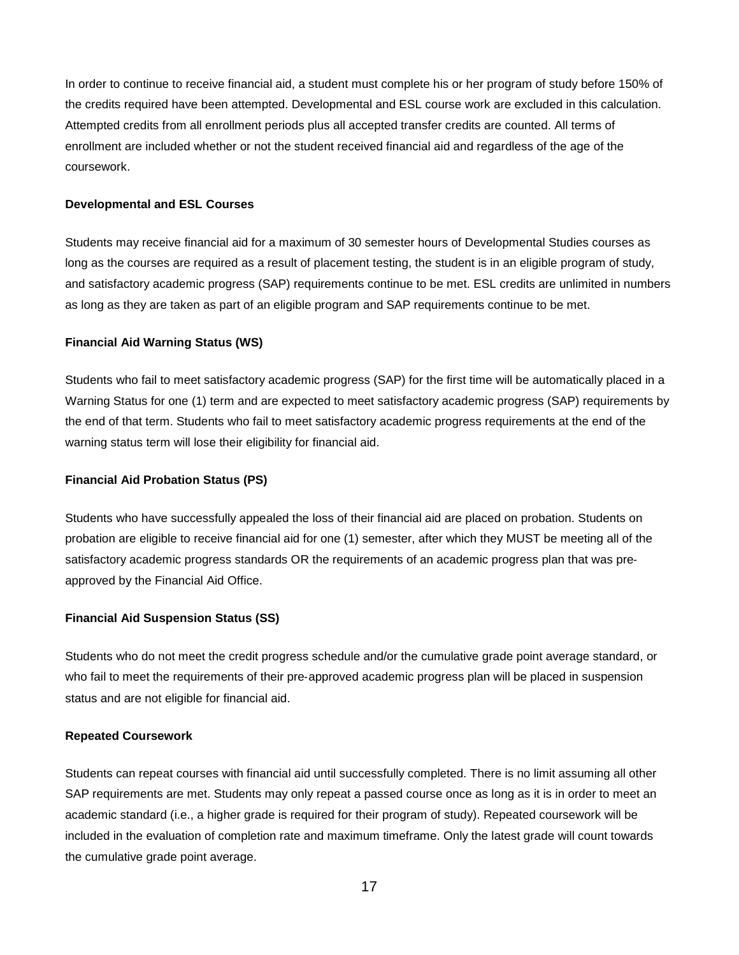In order to continue to receive financial aid, a student must complete his or her program of study before 150% of the credits required have been attempted. Developmental and ESL course work are excluded in this calculation. Attempted credits from all enrollment periods plus all accepted transfer credits are counted. All terms of enrollment are included whether or not the student received financial aid and regardless of the age of the coursework.

#### **Developmental and ESL Courses**

Students may receive financial aid for a maximum of 30 semester hours of Developmental Studies courses as long as the courses are required as a result of placement testing, the student is in an eligible program of study, and satisfactory academic progress (SAP) requirements continue to be met. ESL credits are unlimited in numbers as long as they are taken as part of an eligible program and SAP requirements continue to be met.

#### **Financial Aid Warning Status (WS)**

Students who fail to meet satisfactory academic progress (SAP) for the first time will be automatically placed in a Warning Status for one (1) term and are expected to meet satisfactory academic progress (SAP) requirements by the end of that term. Students who fail to meet satisfactory academic progress requirements at the end of the warning status term will lose their eligibility for financial aid.

#### **Financial Aid Probation Status (PS)**

Students who have successfully appealed the loss of their financial aid are placed on probation. Students on probation are eligible to receive financial aid for one (1) semester, after which they MUST be meeting all of the satisfactory academic progress standards OR the requirements of an academic progress plan that was pre‐ approved by the Financial Aid Office.

#### **Financial Aid Suspension Status (SS)**

Students who do not meet the credit progress schedule and/or the cumulative grade point average standard, or who fail to meet the requirements of their pre-approved academic progress plan will be placed in suspension status and are not eligible for financial aid.

#### **Repeated Coursework**

Students can repeat courses with financial aid until successfully completed. There is no limit assuming all other SAP requirements are met. Students may only repeat a passed course once as long as it is in order to meet an academic standard (i.e., a higher grade is required for their program of study). Repeated coursework will be included in the evaluation of completion rate and maximum timeframe. Only the latest grade will count towards the cumulative grade point average.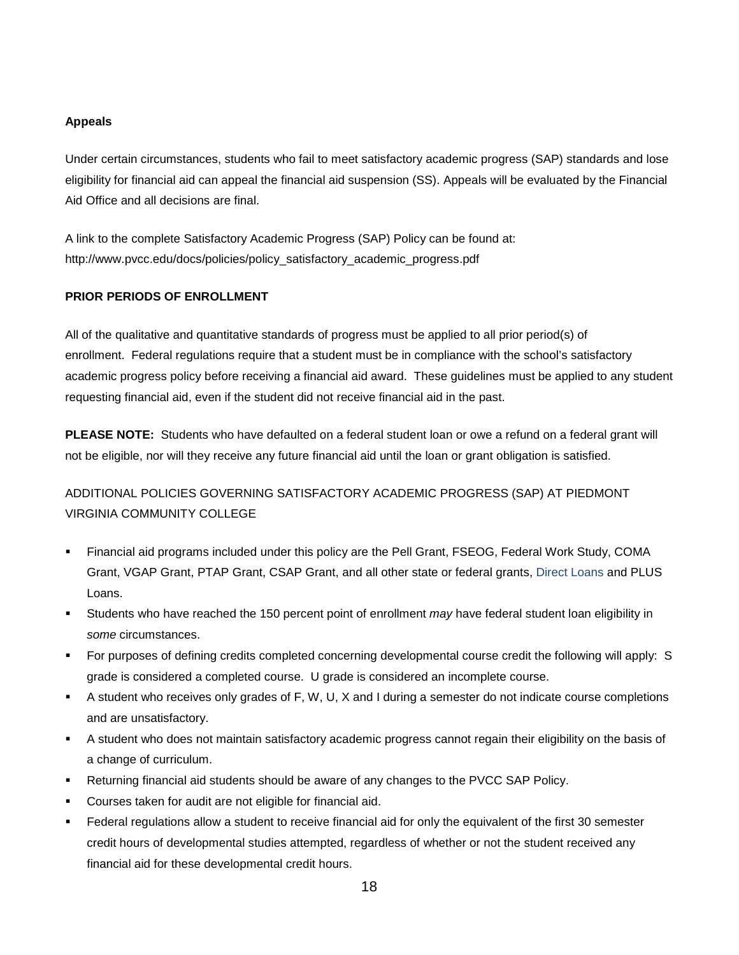#### **Appeals**

Under certain circumstances, students who fail to meet satisfactory academic progress (SAP) standards and lose eligibility for financial aid can appeal the financial aid suspension (SS). Appeals will be evaluated by the Financial Aid Office and all decisions are final.

A link to the complete Satisfactory Academic Progress (SAP) Policy can be found at: http://www.pvcc.edu/docs/policies/policy\_satisfactory\_academic\_progress.pdf

#### **PRIOR PERIODS OF ENROLLMENT**

All of the qualitative and quantitative standards of progress must be applied to all prior period(s) of enrollment. Federal regulations require that a student must be in compliance with the school's satisfactory academic progress policy before receiving a financial aid award. These guidelines must be applied to any student requesting financial aid, even if the student did not receive financial aid in the past.

**PLEASE NOTE:** Students who have defaulted on a federal student loan or owe a refund on a federal grant will not be eligible, nor will they receive any future financial aid until the loan or grant obligation is satisfied.

# ADDITIONAL POLICIES GOVERNING SATISFACTORY ACADEMIC PROGRESS (SAP) AT PIEDMONT VIRGINIA COMMUNITY COLLEGE

- Financial aid programs included under this policy are the Pell Grant, FSEOG, Federal Work Study, COMA Grant, VGAP Grant, PTAP Grant, CSAP Grant, and all other state or federal grants, Direct Loans and PLUS Loans.
- Students who have reached the 150 percent point of enrollment *may* have federal student loan eligibility in *some* circumstances.
- For purposes of defining credits completed concerning developmental course credit the following will apply: S grade is considered a completed course. U grade is considered an incomplete course.
- A student who receives only grades of F, W, U, X and I during a semester do not indicate course completions and are unsatisfactory.
- A student who does not maintain satisfactory academic progress cannot regain their eligibility on the basis of a change of curriculum.
- Returning financial aid students should be aware of any changes to the PVCC SAP Policy.
- Courses taken for audit are not eligible for financial aid.
- Federal regulations allow a student to receive financial aid for only the equivalent of the first 30 semester credit hours of developmental studies attempted, regardless of whether or not the student received any financial aid for these developmental credit hours.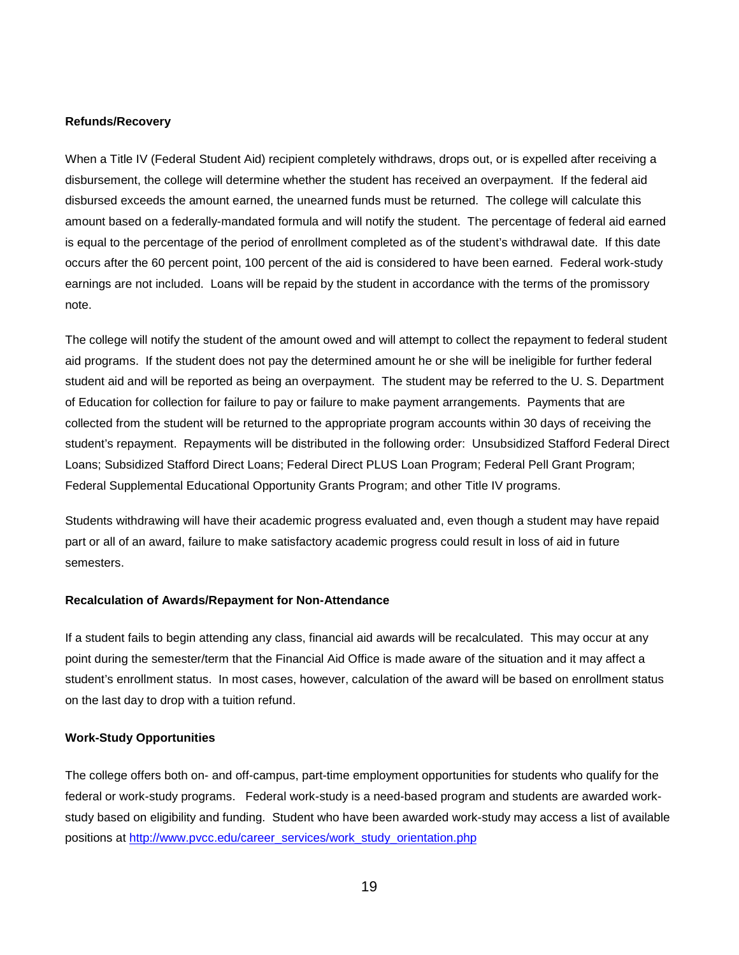#### **Refunds/Recovery**

When a Title IV (Federal Student Aid) recipient completely withdraws, drops out, or is expelled after receiving a disbursement, the college will determine whether the student has received an overpayment. If the federal aid disbursed exceeds the amount earned, the unearned funds must be returned. The college will calculate this amount based on a federally-mandated formula and will notify the student. The percentage of federal aid earned is equal to the percentage of the period of enrollment completed as of the student's withdrawal date. If this date occurs after the 60 percent point, 100 percent of the aid is considered to have been earned. Federal work-study earnings are not included. Loans will be repaid by the student in accordance with the terms of the promissory note.

The college will notify the student of the amount owed and will attempt to collect the repayment to federal student aid programs. If the student does not pay the determined amount he or she will be ineligible for further federal student aid and will be reported as being an overpayment. The student may be referred to the U. S. Department of Education for collection for failure to pay or failure to make payment arrangements. Payments that are collected from the student will be returned to the appropriate program accounts within 30 days of receiving the student's repayment. Repayments will be distributed in the following order: Unsubsidized Stafford Federal Direct Loans; Subsidized Stafford Direct Loans; Federal Direct PLUS Loan Program; Federal Pell Grant Program; Federal Supplemental Educational Opportunity Grants Program; and other Title IV programs.

Students withdrawing will have their academic progress evaluated and, even though a student may have repaid part or all of an award, failure to make satisfactory academic progress could result in loss of aid in future semesters.

#### **Recalculation of Awards/Repayment for Non-Attendance**

If a student fails to begin attending any class, financial aid awards will be recalculated. This may occur at any point during the semester/term that the Financial Aid Office is made aware of the situation and it may affect a student's enrollment status. In most cases, however, calculation of the award will be based on enrollment status on the last day to drop with a tuition refund.

#### **Work-Study Opportunities**

The college offers both on- and off-campus, part-time employment opportunities for students who qualify for the federal or work-study programs. Federal work-study is a need-based program and students are awarded workstudy based on eligibility and funding. Student who have been awarded work-study may access a list of available positions at [http://www.pvcc.edu/career\\_services/work\\_study\\_orientation.php](http://www.pvcc.edu/career_services/work_study_orientation.php)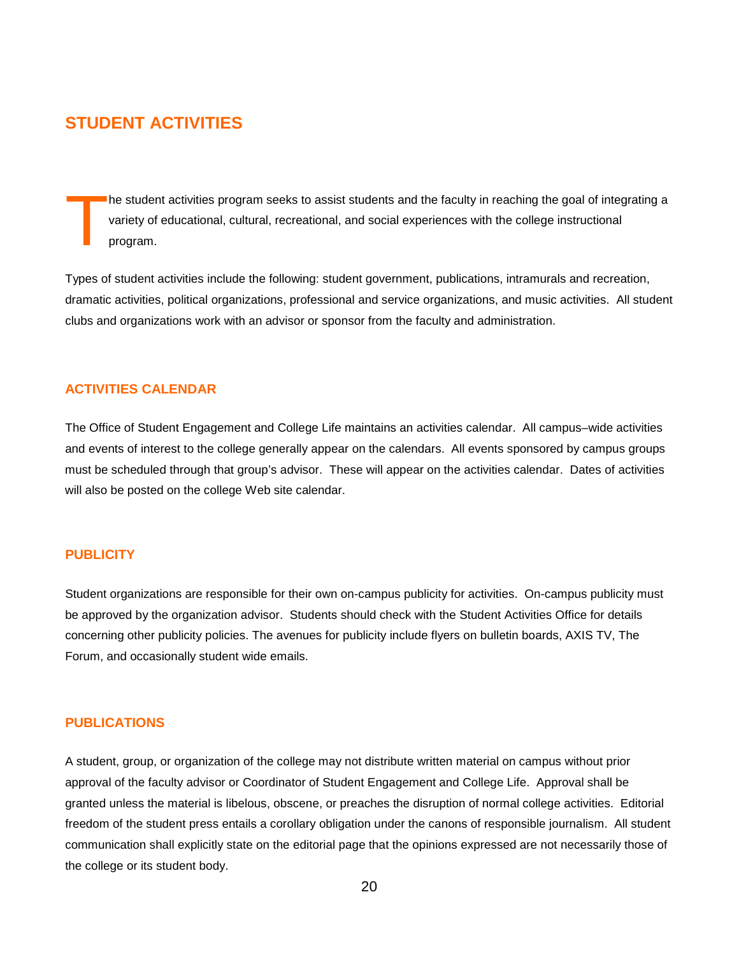# **STUDENT ACTIVITIES**

he student activities program seeks to assist students and the faculty in reaching the goal of integrating a variety of educational, cultural, recreational, and social experiences with the college instructional program. T

Types of student activities include the following: student government, publications, intramurals and recreation, dramatic activities, political organizations, professional and service organizations, and music activities. All student clubs and organizations work with an advisor or sponsor from the faculty and administration.

#### **ACTIVITIES CALENDAR**

The Office of Student Engagement and College Life maintains an activities calendar. All campus–wide activities and events of interest to the college generally appear on the calendars. All events sponsored by campus groups must be scheduled through that group's advisor. These will appear on the activities calendar. Dates of activities will also be posted on the college Web site calendar.

#### **PUBLICITY**

Student organizations are responsible for their own on-campus publicity for activities. On-campus publicity must be approved by the organization advisor. Students should check with the Student Activities Office for details concerning other publicity policies. The avenues for publicity include flyers on bulletin boards, AXIS TV, The Forum, and occasionally student wide emails.

#### **PUBLICATIONS**

A student, group, or organization of the college may not distribute written material on campus without prior approval of the faculty advisor or Coordinator of Student Engagement and College Life. Approval shall be granted unless the material is libelous, obscene, or preaches the disruption of normal college activities. Editorial freedom of the student press entails a corollary obligation under the canons of responsible journalism. All student communication shall explicitly state on the editorial page that the opinions expressed are not necessarily those of the college or its student body.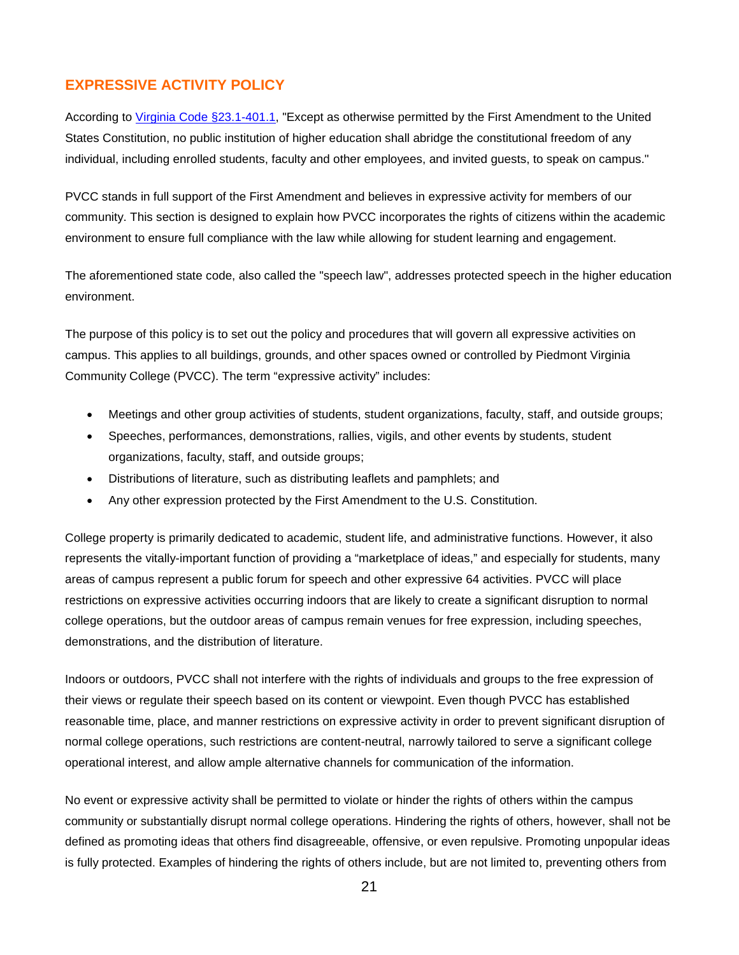# **EXPRESSIVE ACTIVITY POLICY**

According to [Virginia Code](https://law.lis.virginia.gov/vacode/title23.1/chapter4/section23.1-401.1/) §23.1-401.1, "Except as otherwise permitted by the First Amendment to the United States Constitution, no public institution of higher education shall abridge the constitutional freedom of any individual, including enrolled students, faculty and other employees, and invited guests, to speak on campus."

PVCC stands in full support of the First Amendment and believes in expressive activity for members of our community. This section is designed to explain how PVCC incorporates the rights of citizens within the academic environment to ensure full compliance with the law while allowing for student learning and engagement.

The aforementioned state code, also called the "speech law", addresses protected speech in the higher education environment.

The purpose of this policy is to set out the policy and procedures that will govern all expressive activities on campus. This applies to all buildings, grounds, and other spaces owned or controlled by Piedmont Virginia Community College (PVCC). The term "expressive activity" includes:

- Meetings and other group activities of students, student organizations, faculty, staff, and outside groups;
- Speeches, performances, demonstrations, rallies, vigils, and other events by students, student organizations, faculty, staff, and outside groups;
- Distributions of literature, such as distributing leaflets and pamphlets; and
- Any other expression protected by the First Amendment to the U.S. Constitution.

College property is primarily dedicated to academic, student life, and administrative functions. However, it also represents the vitally-important function of providing a "marketplace of ideas," and especially for students, many areas of campus represent a public forum for speech and other expressive 64 activities. PVCC will place restrictions on expressive activities occurring indoors that are likely to create a significant disruption to normal college operations, but the outdoor areas of campus remain venues for free expression, including speeches, demonstrations, and the distribution of literature.

Indoors or outdoors, PVCC shall not interfere with the rights of individuals and groups to the free expression of their views or regulate their speech based on its content or viewpoint. Even though PVCC has established reasonable time, place, and manner restrictions on expressive activity in order to prevent significant disruption of normal college operations, such restrictions are content-neutral, narrowly tailored to serve a significant college operational interest, and allow ample alternative channels for communication of the information.

No event or expressive activity shall be permitted to violate or hinder the rights of others within the campus community or substantially disrupt normal college operations. Hindering the rights of others, however, shall not be defined as promoting ideas that others find disagreeable, offensive, or even repulsive. Promoting unpopular ideas is fully protected. Examples of hindering the rights of others include, but are not limited to, preventing others from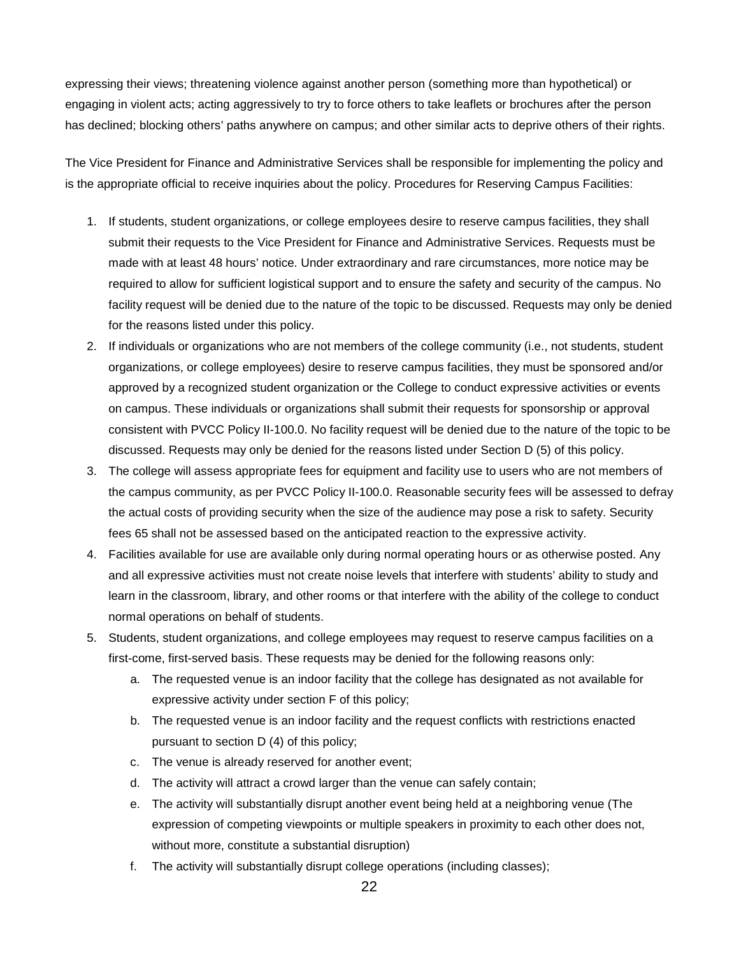expressing their views; threatening violence against another person (something more than hypothetical) or engaging in violent acts; acting aggressively to try to force others to take leaflets or brochures after the person has declined; blocking others' paths anywhere on campus; and other similar acts to deprive others of their rights.

The Vice President for Finance and Administrative Services shall be responsible for implementing the policy and is the appropriate official to receive inquiries about the policy. Procedures for Reserving Campus Facilities:

- 1. If students, student organizations, or college employees desire to reserve campus facilities, they shall submit their requests to the Vice President for Finance and Administrative Services. Requests must be made with at least 48 hours' notice. Under extraordinary and rare circumstances, more notice may be required to allow for sufficient logistical support and to ensure the safety and security of the campus. No facility request will be denied due to the nature of the topic to be discussed. Requests may only be denied for the reasons listed under this policy.
- 2. If individuals or organizations who are not members of the college community (i.e., not students, student organizations, or college employees) desire to reserve campus facilities, they must be sponsored and/or approved by a recognized student organization or the College to conduct expressive activities or events on campus. These individuals or organizations shall submit their requests for sponsorship or approval consistent with PVCC Policy II-100.0. No facility request will be denied due to the nature of the topic to be discussed. Requests may only be denied for the reasons listed under Section D (5) of this policy.
- 3. The college will assess appropriate fees for equipment and facility use to users who are not members of the campus community, as per PVCC Policy II-100.0. Reasonable security fees will be assessed to defray the actual costs of providing security when the size of the audience may pose a risk to safety. Security fees 65 shall not be assessed based on the anticipated reaction to the expressive activity.
- 4. Facilities available for use are available only during normal operating hours or as otherwise posted. Any and all expressive activities must not create noise levels that interfere with students' ability to study and learn in the classroom, library, and other rooms or that interfere with the ability of the college to conduct normal operations on behalf of students.
- 5. Students, student organizations, and college employees may request to reserve campus facilities on a first-come, first-served basis. These requests may be denied for the following reasons only:
	- a. The requested venue is an indoor facility that the college has designated as not available for expressive activity under section F of this policy;
	- b. The requested venue is an indoor facility and the request conflicts with restrictions enacted pursuant to section D (4) of this policy;
	- c. The venue is already reserved for another event;
	- d. The activity will attract a crowd larger than the venue can safely contain;
	- e. The activity will substantially disrupt another event being held at a neighboring venue (The expression of competing viewpoints or multiple speakers in proximity to each other does not, without more, constitute a substantial disruption)
	- f. The activity will substantially disrupt college operations (including classes);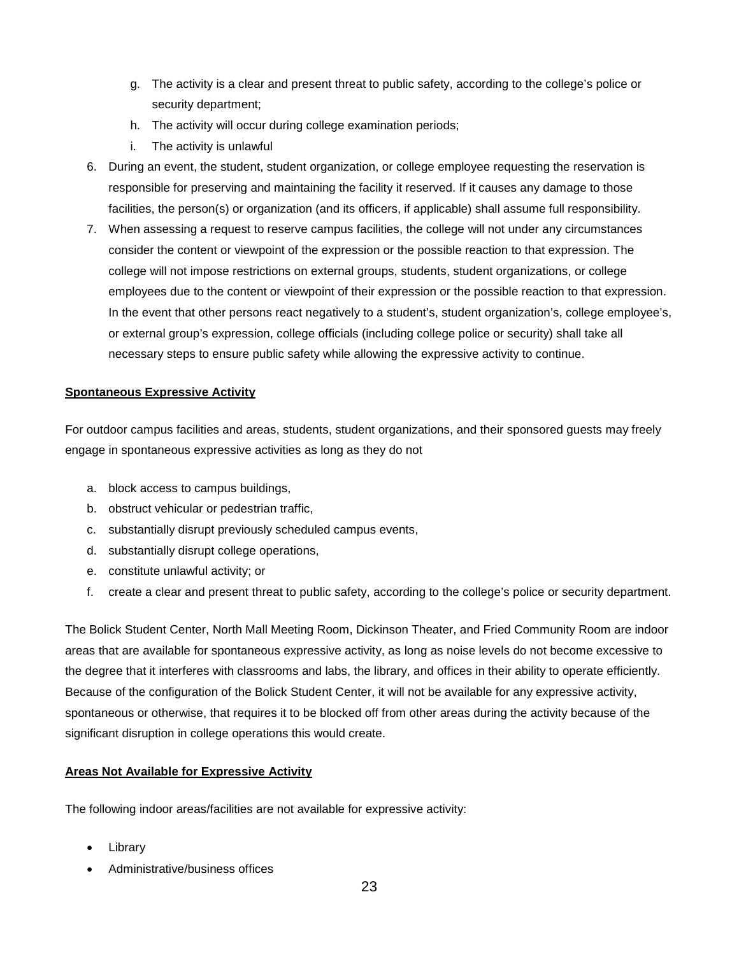- g. The activity is a clear and present threat to public safety, according to the college's police or security department;
- h. The activity will occur during college examination periods;
- i. The activity is unlawful
- 6. During an event, the student, student organization, or college employee requesting the reservation is responsible for preserving and maintaining the facility it reserved. If it causes any damage to those facilities, the person(s) or organization (and its officers, if applicable) shall assume full responsibility.
- 7. When assessing a request to reserve campus facilities, the college will not under any circumstances consider the content or viewpoint of the expression or the possible reaction to that expression. The college will not impose restrictions on external groups, students, student organizations, or college employees due to the content or viewpoint of their expression or the possible reaction to that expression. In the event that other persons react negatively to a student's, student organization's, college employee's, or external group's expression, college officials (including college police or security) shall take all necessary steps to ensure public safety while allowing the expressive activity to continue.

#### **Spontaneous Expressive Activity**

For outdoor campus facilities and areas, students, student organizations, and their sponsored guests may freely engage in spontaneous expressive activities as long as they do not

- a. block access to campus buildings,
- b. obstruct vehicular or pedestrian traffic,
- c. substantially disrupt previously scheduled campus events,
- d. substantially disrupt college operations,
- e. constitute unlawful activity; or
- f. create a clear and present threat to public safety, according to the college's police or security department.

The Bolick Student Center, North Mall Meeting Room, Dickinson Theater, and Fried Community Room are indoor areas that are available for spontaneous expressive activity, as long as noise levels do not become excessive to the degree that it interferes with classrooms and labs, the library, and offices in their ability to operate efficiently. Because of the configuration of the Bolick Student Center, it will not be available for any expressive activity, spontaneous or otherwise, that requires it to be blocked off from other areas during the activity because of the significant disruption in college operations this would create.

#### **Areas Not Available for Expressive Activity**

The following indoor areas/facilities are not available for expressive activity:

- **Library**
- Administrative/business offices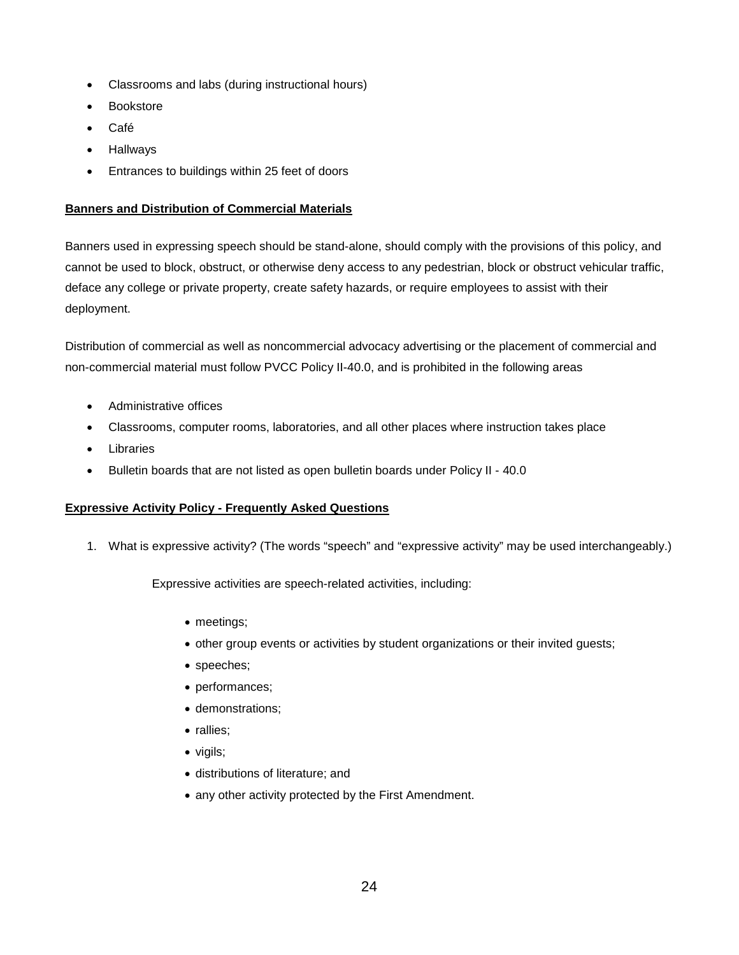- Classrooms and labs (during instructional hours)
- **Bookstore**
- Café
- **Hallways**
- Entrances to buildings within 25 feet of doors

#### **Banners and Distribution of Commercial Materials**

Banners used in expressing speech should be stand-alone, should comply with the provisions of this policy, and cannot be used to block, obstruct, or otherwise deny access to any pedestrian, block or obstruct vehicular traffic, deface any college or private property, create safety hazards, or require employees to assist with their deployment.

Distribution of commercial as well as noncommercial advocacy advertising or the placement of commercial and non-commercial material must follow PVCC Policy II-40.0, and is prohibited in the following areas

- Administrative offices
- Classrooms, computer rooms, laboratories, and all other places where instruction takes place
- **Libraries**
- Bulletin boards that are not listed as open bulletin boards under Policy II 40.0

#### **Expressive Activity Policy - Frequently Asked Questions**

1. What is expressive activity? (The words "speech" and "expressive activity" may be used interchangeably.)

Expressive activities are speech-related activities, including:

- meetings;
- other group events or activities by student organizations or their invited guests;
- speeches;
- performances;
- demonstrations;
- rallies;
- vigils;
- distributions of literature; and
- any other activity protected by the First Amendment.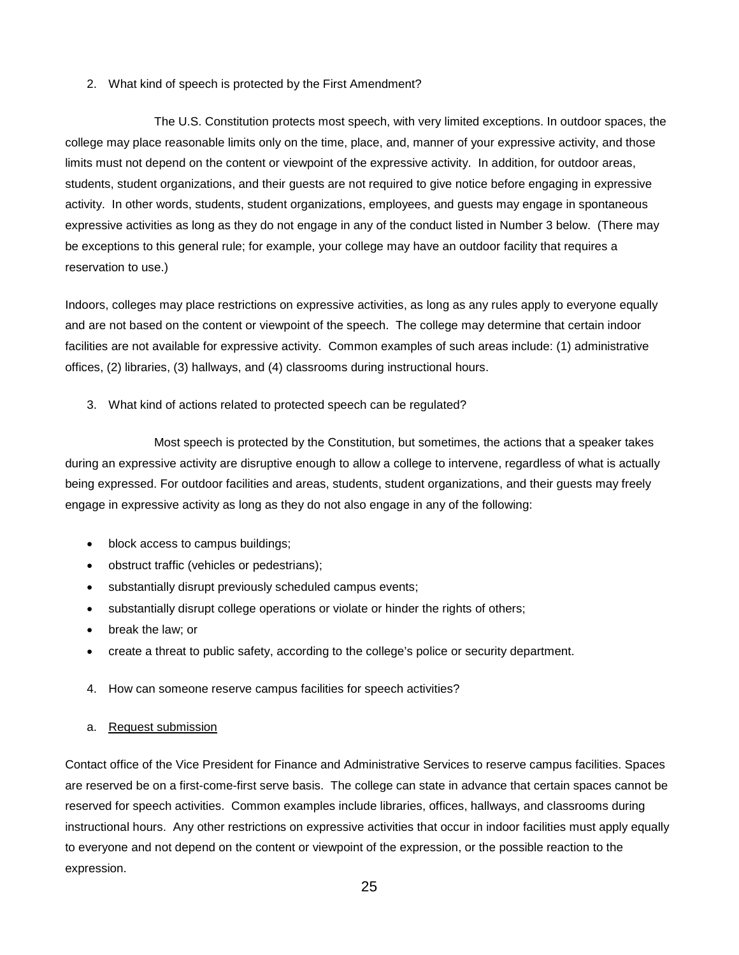#### 2. What kind of speech is protected by the First Amendment?

The U.S. Constitution protects most speech, with very limited exceptions. In outdoor spaces, the college may place reasonable limits only on the time, place, and, manner of your expressive activity, and those limits must not depend on the content or viewpoint of the expressive activity. In addition, for outdoor areas, students, student organizations, and their guests are not required to give notice before engaging in expressive activity. In other words, students, student organizations, employees, and guests may engage in spontaneous expressive activities as long as they do not engage in any of the conduct listed in Number 3 below. (There may be exceptions to this general rule; for example, your college may have an outdoor facility that requires a reservation to use.)

Indoors, colleges may place restrictions on expressive activities, as long as any rules apply to everyone equally and are not based on the content or viewpoint of the speech. The college may determine that certain indoor facilities are not available for expressive activity. Common examples of such areas include: (1) administrative offices, (2) libraries, (3) hallways, and (4) classrooms during instructional hours.

3. What kind of actions related to protected speech can be regulated?

Most speech is protected by the Constitution, but sometimes, the actions that a speaker takes during an expressive activity are disruptive enough to allow a college to intervene, regardless of what is actually being expressed. For outdoor facilities and areas, students, student organizations, and their guests may freely engage in expressive activity as long as they do not also engage in any of the following:

- block access to campus buildings;
- obstruct traffic (vehicles or pedestrians);
- substantially disrupt previously scheduled campus events;
- substantially disrupt college operations or violate or hinder the rights of others;
- break the law; or
- create a threat to public safety, according to the college's police or security department.
- 4. How can someone reserve campus facilities for speech activities?
- a. Request submission

Contact office of the Vice President for Finance and Administrative Services to reserve campus facilities. Spaces are reserved be on a first-come-first serve basis. The college can state in advance that certain spaces cannot be reserved for speech activities. Common examples include libraries, offices, hallways, and classrooms during instructional hours. Any other restrictions on expressive activities that occur in indoor facilities must apply equally to everyone and not depend on the content or viewpoint of the expression, or the possible reaction to the expression.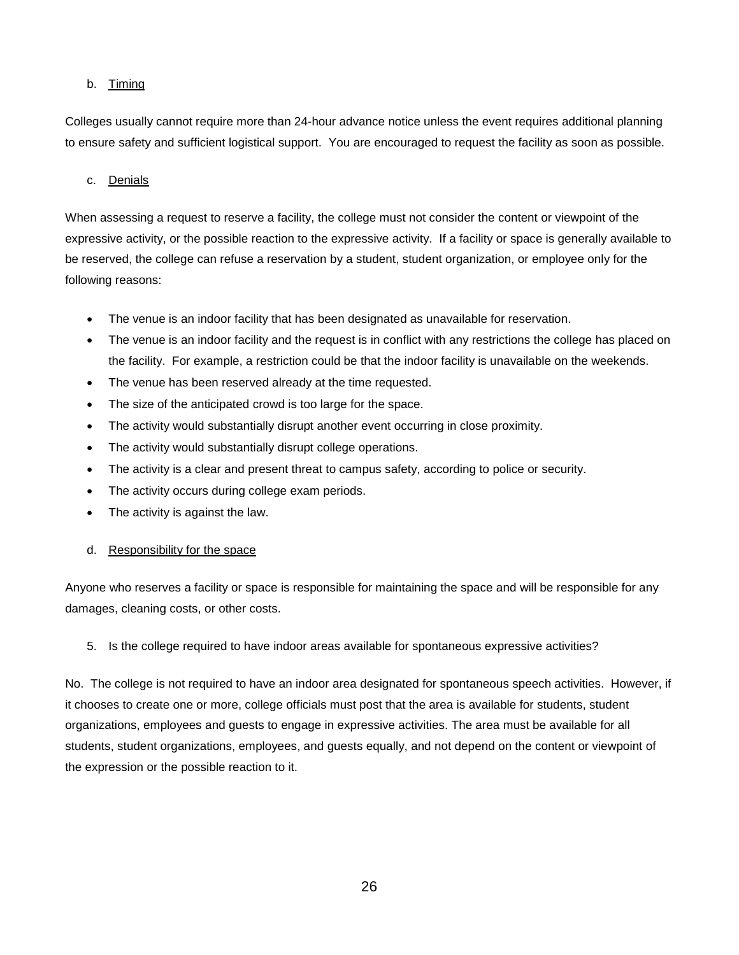#### b. Timing

Colleges usually cannot require more than 24-hour advance notice unless the event requires additional planning to ensure safety and sufficient logistical support. You are encouraged to request the facility as soon as possible.

#### c. Denials

When assessing a request to reserve a facility, the college must not consider the content or viewpoint of the expressive activity, or the possible reaction to the expressive activity. If a facility or space is generally available to be reserved, the college can refuse a reservation by a student, student organization, or employee only for the following reasons:

- The venue is an indoor facility that has been designated as unavailable for reservation.
- The venue is an indoor facility and the request is in conflict with any restrictions the college has placed on the facility. For example, a restriction could be that the indoor facility is unavailable on the weekends.
- The venue has been reserved already at the time requested.
- The size of the anticipated crowd is too large for the space.
- The activity would substantially disrupt another event occurring in close proximity.
- The activity would substantially disrupt college operations.
- The activity is a clear and present threat to campus safety, according to police or security.
- The activity occurs during college exam periods.
- The activity is against the law.

#### d. Responsibility for the space

Anyone who reserves a facility or space is responsible for maintaining the space and will be responsible for any damages, cleaning costs, or other costs.

#### 5. Is the college required to have indoor areas available for spontaneous expressive activities?

No. The college is not required to have an indoor area designated for spontaneous speech activities. However, if it chooses to create one or more, college officials must post that the area is available for students, student organizations, employees and guests to engage in expressive activities. The area must be available for all students, student organizations, employees, and guests equally, and not depend on the content or viewpoint of the expression or the possible reaction to it.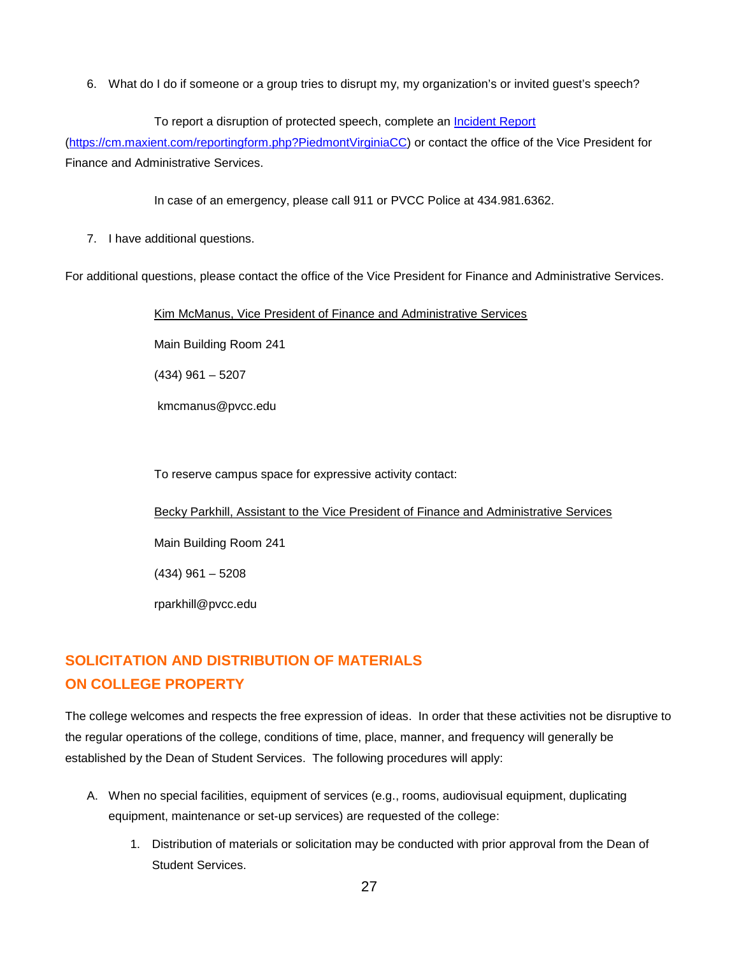6. What do I do if someone or a group tries to disrupt my, my organization's or invited guest's speech?

#### To report a disruption of protected speech, complete an [Incident Report](https://cm.maxient.com/reportingform.php?PiedmontVirginiaCC)

[\(https://cm.maxient.com/reportingform.php?PiedmontVirginiaCC\)](https://cm.maxient.com/reportingform.php?PiedmontVirginiaCC) or contact the office of the Vice President for Finance and Administrative Services.

In case of an emergency, please call 911 or PVCC Police at 434.981.6362.

7. I have additional questions.

For additional questions, please contact the office of the Vice President for Finance and Administrative Services.

Kim McManus, Vice President of Finance and Administrative Services

Main Building Room 241

(434) 961 – 5207

kmcmanus@pvcc.edu

To reserve campus space for expressive activity contact:

Becky Parkhill, Assistant to the Vice President of Finance and Administrative Services

Main Building Room 241

(434) 961 – 5208

rparkhill@pvcc.edu

# **SOLICITATION AND DISTRIBUTION OF MATERIALS ON COLLEGE PROPERTY**

The college welcomes and respects the free expression of ideas. In order that these activities not be disruptive to the regular operations of the college, conditions of time, place, manner, and frequency will generally be established by the Dean of Student Services. The following procedures will apply:

- A. When no special facilities, equipment of services (e.g., rooms, audiovisual equipment, duplicating equipment, maintenance or set-up services) are requested of the college:
	- 1. Distribution of materials or solicitation may be conducted with prior approval from the Dean of Student Services.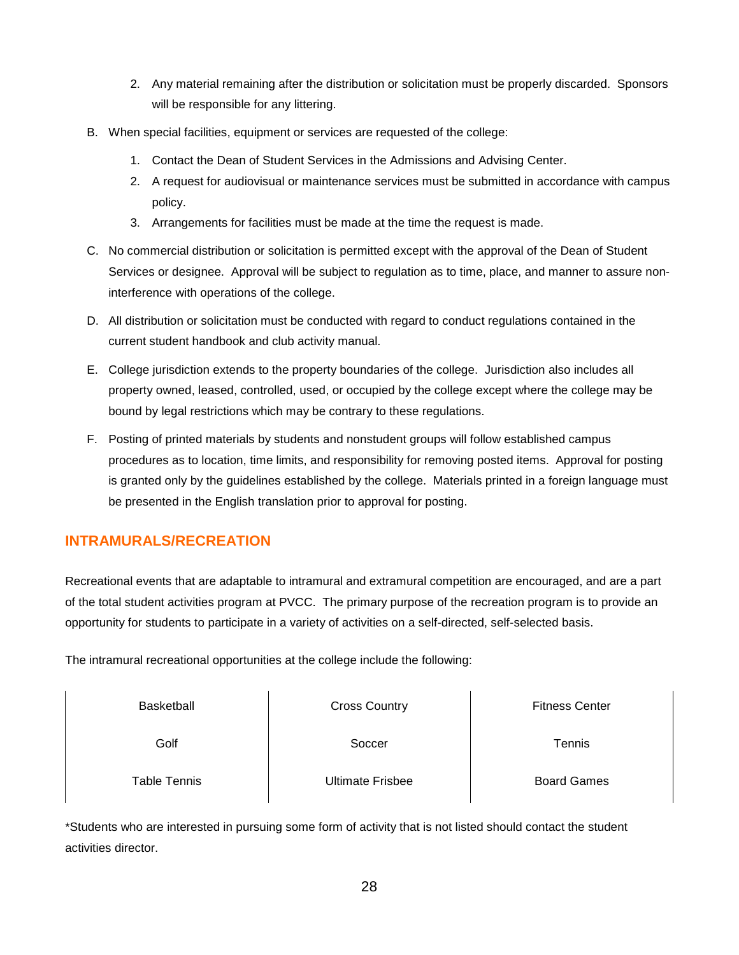- 2. Any material remaining after the distribution or solicitation must be properly discarded. Sponsors will be responsible for any littering.
- B. When special facilities, equipment or services are requested of the college:
	- 1. Contact the Dean of Student Services in the Admissions and Advising Center.
	- 2. A request for audiovisual or maintenance services must be submitted in accordance with campus policy.
	- 3. Arrangements for facilities must be made at the time the request is made.
- C. No commercial distribution or solicitation is permitted except with the approval of the Dean of Student Services or designee. Approval will be subject to regulation as to time, place, and manner to assure noninterference with operations of the college.
- D. All distribution or solicitation must be conducted with regard to conduct regulations contained in the current student handbook and club activity manual.
- E. College jurisdiction extends to the property boundaries of the college. Jurisdiction also includes all property owned, leased, controlled, used, or occupied by the college except where the college may be bound by legal restrictions which may be contrary to these regulations.
- F. Posting of printed materials by students and nonstudent groups will follow established campus procedures as to location, time limits, and responsibility for removing posted items. Approval for posting is granted only by the guidelines established by the college. Materials printed in a foreign language must be presented in the English translation prior to approval for posting.

# **INTRAMURALS/RECREATION**

Recreational events that are adaptable to intramural and extramural competition are encouraged, and are a part of the total student activities program at PVCC. The primary purpose of the recreation program is to provide an opportunity for students to participate in a variety of activities on a self-directed, self-selected basis.

The intramural recreational opportunities at the college include the following:

| Basketball   | <b>Cross Country</b>    | <b>Fitness Center</b> |
|--------------|-------------------------|-----------------------|
| Golf         | Soccer                  | Tennis                |
| Table Tennis | <b>Ultimate Frisbee</b> | <b>Board Games</b>    |

\*Students who are interested in pursuing some form of activity that is not listed should contact the student activities director.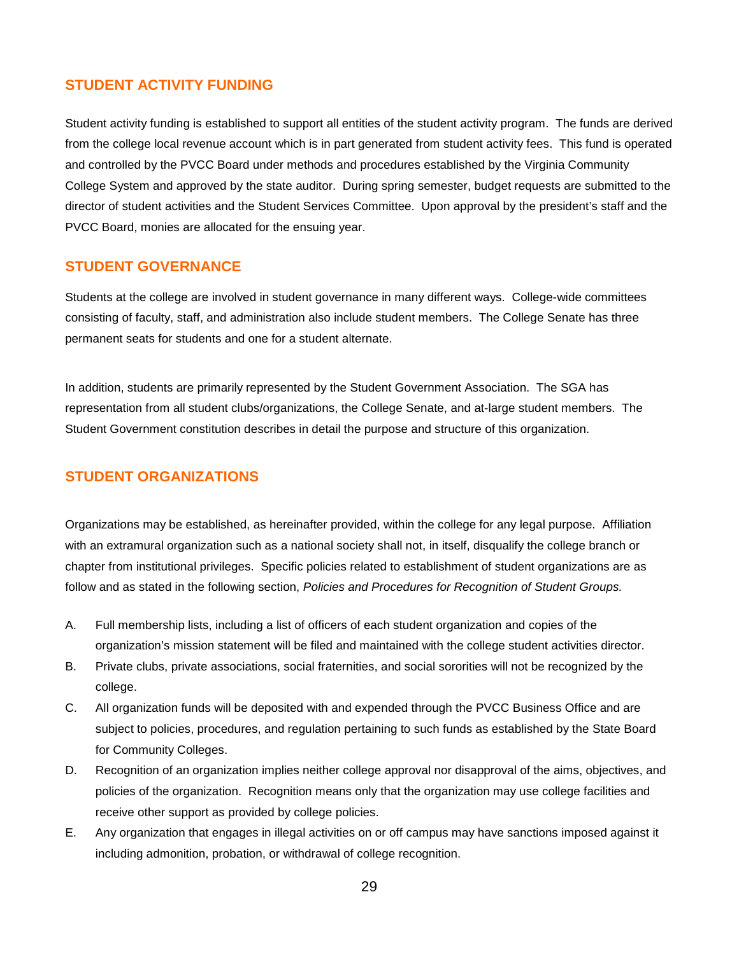#### **STUDENT ACTIVITY FUNDING**

Student activity funding is established to support all entities of the student activity program. The funds are derived from the college local revenue account which is in part generated from student activity fees. This fund is operated and controlled by the PVCC Board under methods and procedures established by the Virginia Community College System and approved by the state auditor. During spring semester, budget requests are submitted to the director of student activities and the Student Services Committee. Upon approval by the president's staff and the PVCC Board, monies are allocated for the ensuing year.

#### **STUDENT GOVERNANCE**

Students at the college are involved in student governance in many different ways. College-wide committees consisting of faculty, staff, and administration also include student members. The College Senate has three permanent seats for students and one for a student alternate.

In addition, students are primarily represented by the Student Government Association. The SGA has representation from all student clubs/organizations, the College Senate, and at-large student members. The Student Government constitution describes in detail the purpose and structure of this organization.

### **STUDENT ORGANIZATIONS**

Organizations may be established, as hereinafter provided, within the college for any legal purpose. Affiliation with an extramural organization such as a national society shall not, in itself, disqualify the college branch or chapter from institutional privileges. Specific policies related to establishment of student organizations are as follow and as stated in the following section, *Policies and Procedures for Recognition of Student Groups.*

- A. Full membership lists, including a list of officers of each student organization and copies of the organization's mission statement will be filed and maintained with the college student activities director.
- B. Private clubs, private associations, social fraternities, and social sororities will not be recognized by the college.
- C. All organization funds will be deposited with and expended through the PVCC Business Office and are subject to policies, procedures, and regulation pertaining to such funds as established by the State Board for Community Colleges.
- D. Recognition of an organization implies neither college approval nor disapproval of the aims, objectives, and policies of the organization. Recognition means only that the organization may use college facilities and receive other support as provided by college policies.
- E. Any organization that engages in illegal activities on or off campus may have sanctions imposed against it including admonition, probation, or withdrawal of college recognition.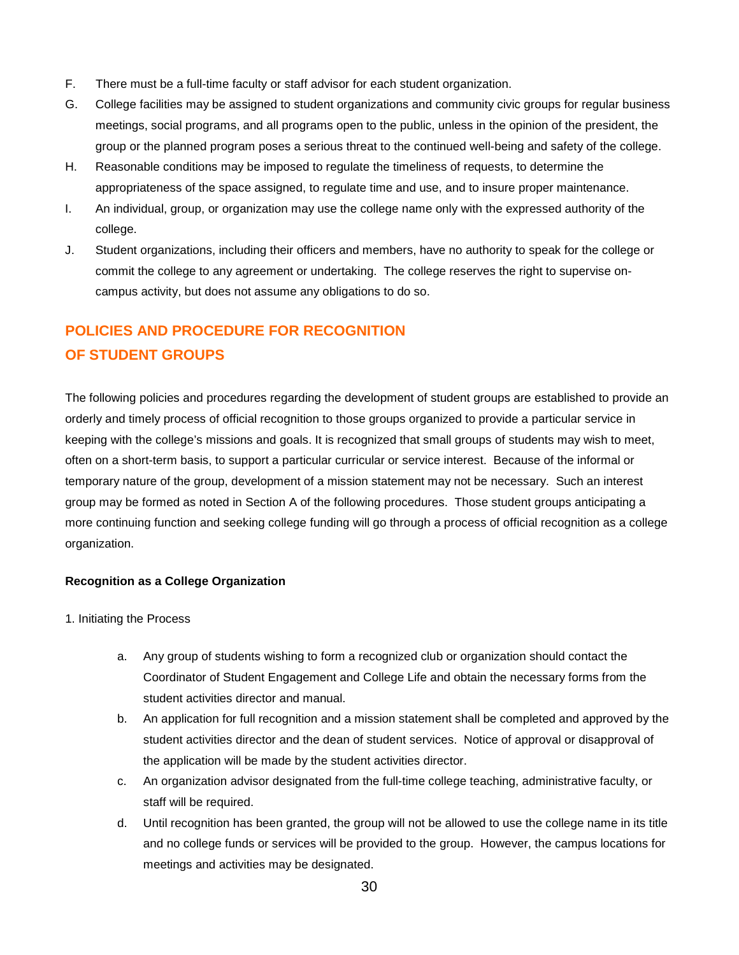- F. There must be a full-time faculty or staff advisor for each student organization.
- G. College facilities may be assigned to student organizations and community civic groups for regular business meetings, social programs, and all programs open to the public, unless in the opinion of the president, the group or the planned program poses a serious threat to the continued well-being and safety of the college.
- H. Reasonable conditions may be imposed to regulate the timeliness of requests, to determine the appropriateness of the space assigned, to regulate time and use, and to insure proper maintenance.
- I. An individual, group, or organization may use the college name only with the expressed authority of the college.
- J. Student organizations, including their officers and members, have no authority to speak for the college or commit the college to any agreement or undertaking. The college reserves the right to supervise oncampus activity, but does not assume any obligations to do so.

# **POLICIES AND PROCEDURE FOR RECOGNITION OF STUDENT GROUPS**

The following policies and procedures regarding the development of student groups are established to provide an orderly and timely process of official recognition to those groups organized to provide a particular service in keeping with the college's missions and goals. It is recognized that small groups of students may wish to meet, often on a short-term basis, to support a particular curricular or service interest. Because of the informal or temporary nature of the group, development of a mission statement may not be necessary. Such an interest group may be formed as noted in Section A of the following procedures. Those student groups anticipating a more continuing function and seeking college funding will go through a process of official recognition as a college organization.

#### **Recognition as a College Organization**

- 1. Initiating the Process
	- a. Any group of students wishing to form a recognized club or organization should contact the Coordinator of Student Engagement and College Life and obtain the necessary forms from the student activities director and manual.
	- b. An application for full recognition and a mission statement shall be completed and approved by the student activities director and the dean of student services. Notice of approval or disapproval of the application will be made by the student activities director.
	- c. An organization advisor designated from the full-time college teaching, administrative faculty, or staff will be required.
	- d. Until recognition has been granted, the group will not be allowed to use the college name in its title and no college funds or services will be provided to the group. However, the campus locations for meetings and activities may be designated.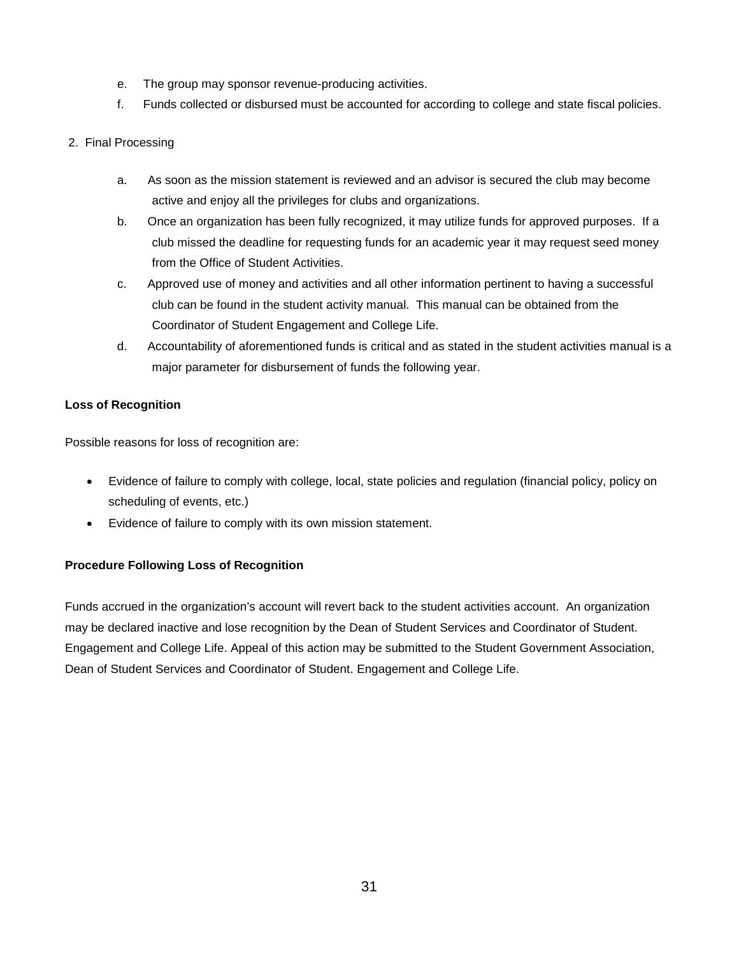- e. The group may sponsor revenue-producing activities.
- f. Funds collected or disbursed must be accounted for according to college and state fiscal policies.
- 2. Final Processing
	- a. As soon as the mission statement is reviewed and an advisor is secured the club may become active and enjoy all the privileges for clubs and organizations.
	- b. Once an organization has been fully recognized, it may utilize funds for approved purposes. If a club missed the deadline for requesting funds for an academic year it may request seed money from the Office of Student Activities.
	- c. Approved use of money and activities and all other information pertinent to having a successful club can be found in the student activity manual. This manual can be obtained from the Coordinator of Student Engagement and College Life.
	- d. Accountability of aforementioned funds is critical and as stated in the student activities manual is a major parameter for disbursement of funds the following year.

#### **Loss of Recognition**

Possible reasons for loss of recognition are:

- Evidence of failure to comply with college, local, state policies and regulation (financial policy, policy on scheduling of events, etc.)
- Evidence of failure to comply with its own mission statement.

#### **Procedure Following Loss of Recognition**

Funds accrued in the organization's account will revert back to the student activities account. An organization may be declared inactive and lose recognition by the Dean of Student Services and Coordinator of Student. Engagement and College Life. Appeal of this action may be submitted to the Student Government Association, Dean of Student Services and Coordinator of Student. Engagement and College Life.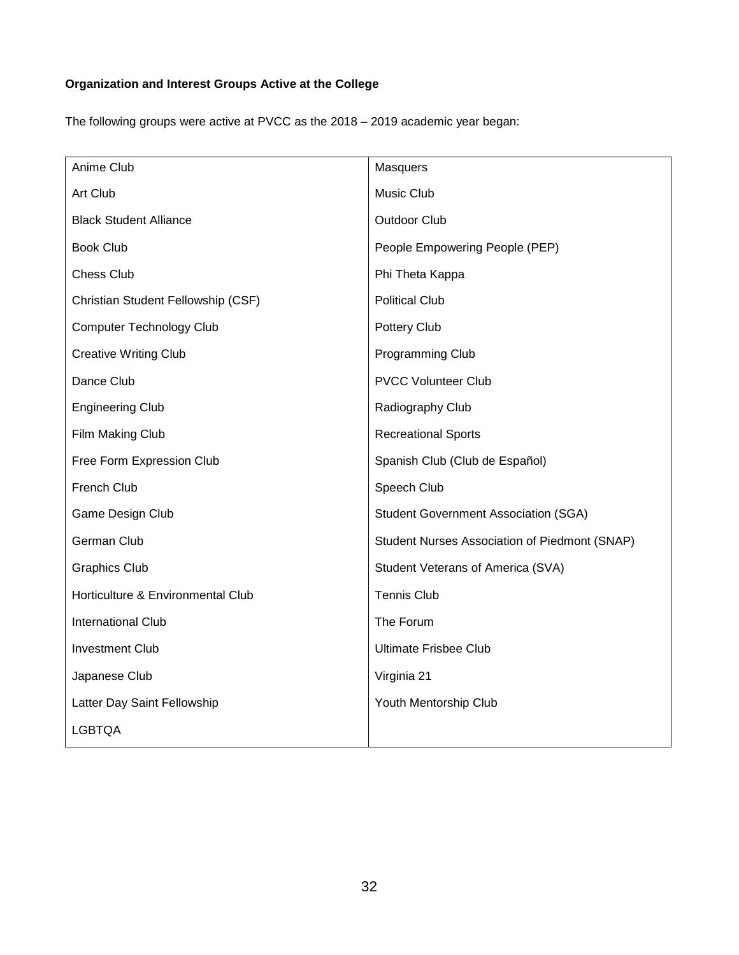# **Organization and Interest Groups Active at the College**

The following groups were active at PVCC as the 2018 – 2019 academic year began:

| Anime Club                         | Masquers                                      |
|------------------------------------|-----------------------------------------------|
| Art Club                           | Music Club                                    |
| <b>Black Student Alliance</b>      | <b>Outdoor Club</b>                           |
| <b>Book Club</b>                   | People Empowering People (PEP)                |
| <b>Chess Club</b>                  | Phi Theta Kappa                               |
| Christian Student Fellowship (CSF) | <b>Political Club</b>                         |
| Computer Technology Club           | Pottery Club                                  |
| <b>Creative Writing Club</b>       | Programming Club                              |
| Dance Club                         | <b>PVCC Volunteer Club</b>                    |
| <b>Engineering Club</b>            | Radiography Club                              |
| Film Making Club                   | <b>Recreational Sports</b>                    |
| Free Form Expression Club          | Spanish Club (Club de Español)                |
| French Club                        | Speech Club                                   |
| Game Design Club                   | <b>Student Government Association (SGA)</b>   |
| German Club                        | Student Nurses Association of Piedmont (SNAP) |
| <b>Graphics Club</b>               | Student Veterans of America (SVA)             |
| Horticulture & Environmental Club  | <b>Tennis Club</b>                            |
| International Club                 | The Forum                                     |
| <b>Investment Club</b>             | <b>Ultimate Frisbee Club</b>                  |
| Japanese Club                      | Virginia 21                                   |
| Latter Day Saint Fellowship        | Youth Mentorship Club                         |
| <b>LGBTQA</b>                      |                                               |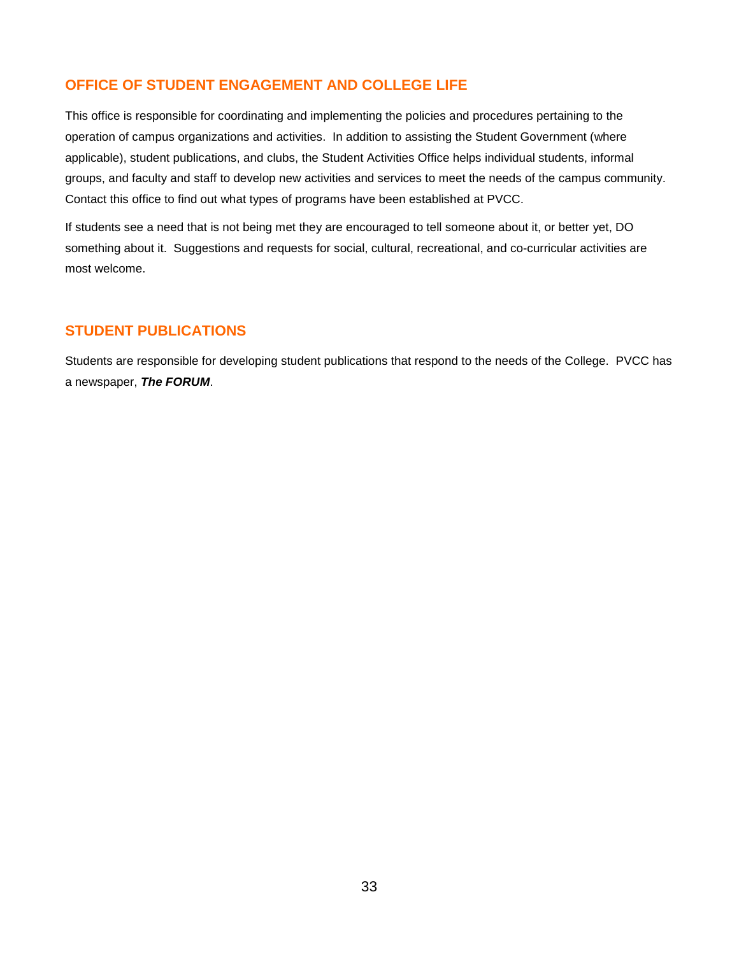# **OFFICE OF STUDENT ENGAGEMENT AND COLLEGE LIFE**

This office is responsible for coordinating and implementing the policies and procedures pertaining to the operation of campus organizations and activities. In addition to assisting the Student Government (where applicable), student publications, and clubs, the Student Activities Office helps individual students, informal groups, and faculty and staff to develop new activities and services to meet the needs of the campus community. Contact this office to find out what types of programs have been established at PVCC.

If students see a need that is not being met they are encouraged to tell someone about it, or better yet, DO something about it. Suggestions and requests for social, cultural, recreational, and co-curricular activities are most welcome.

### **STUDENT PUBLICATIONS**

Students are responsible for developing student publications that respond to the needs of the College. PVCC has a newspaper, *The FORUM*.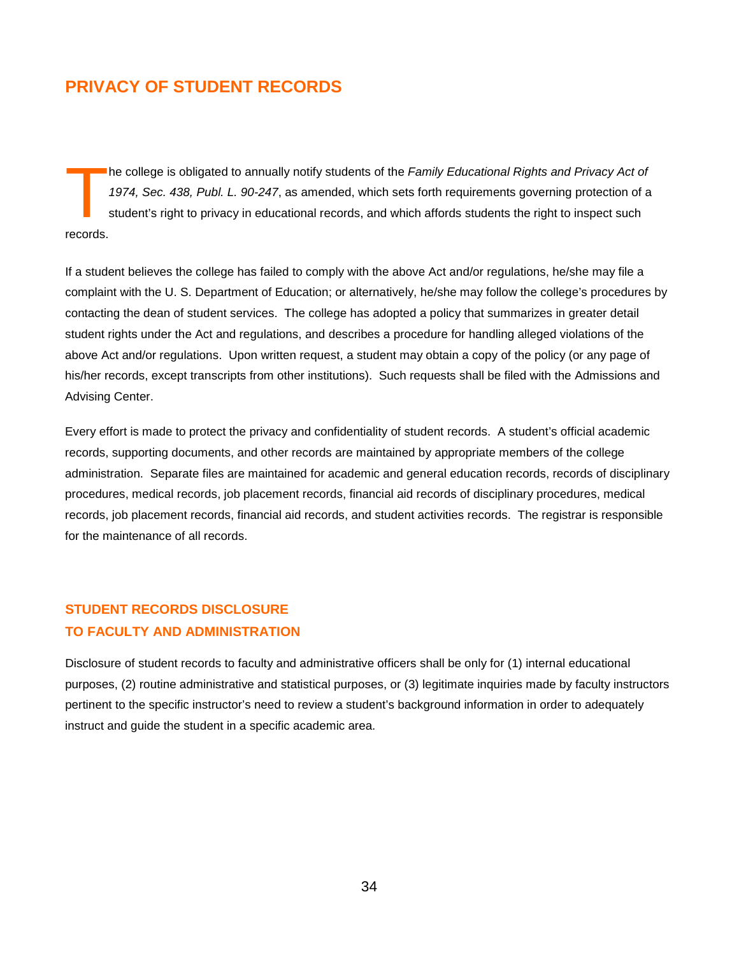# **PRIVACY OF STUDENT RECORDS**

he college is obligated to annually notify students of the *Family Educational Rights and Privacy Act of 1974, Sec. 438, Publ. L. 90-247*, as amended, which sets forth requirements governing protection of a student's right to privacy in educational records, and which affords students the right to inspect such **The Cords.** 

If a student believes the college has failed to comply with the above Act and/or regulations, he/she may file a complaint with the U. S. Department of Education; or alternatively, he/she may follow the college's procedures by contacting the dean of student services. The college has adopted a policy that summarizes in greater detail student rights under the Act and regulations, and describes a procedure for handling alleged violations of the above Act and/or regulations. Upon written request, a student may obtain a copy of the policy (or any page of his/her records, except transcripts from other institutions). Such requests shall be filed with the Admissions and Advising Center.

Every effort is made to protect the privacy and confidentiality of student records. A student's official academic records, supporting documents, and other records are maintained by appropriate members of the college administration. Separate files are maintained for academic and general education records, records of disciplinary procedures, medical records, job placement records, financial aid records of disciplinary procedures, medical records, job placement records, financial aid records, and student activities records. The registrar is responsible for the maintenance of all records.

# **STUDENT RECORDS DISCLOSURE TO FACULTY AND ADMINISTRATION**

Disclosure of student records to faculty and administrative officers shall be only for (1) internal educational purposes, (2) routine administrative and statistical purposes, or (3) legitimate inquiries made by faculty instructors pertinent to the specific instructor's need to review a student's background information in order to adequately instruct and guide the student in a specific academic area.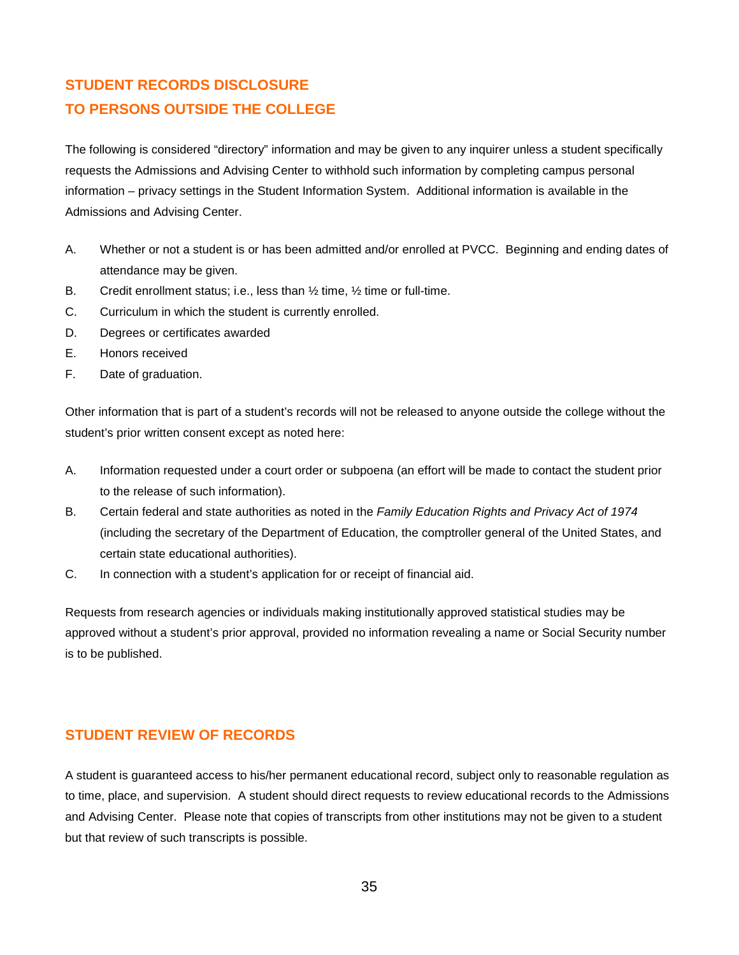# **STUDENT RECORDS DISCLOSURE TO PERSONS OUTSIDE THE COLLEGE**

The following is considered "directory" information and may be given to any inquirer unless a student specifically requests the Admissions and Advising Center to withhold such information by completing campus personal information – privacy settings in the Student Information System. Additional information is available in the Admissions and Advising Center.

- A. Whether or not a student is or has been admitted and/or enrolled at PVCC. Beginning and ending dates of attendance may be given.
- B. Credit enrollment status; i.e., less than ½ time, ½ time or full-time.
- C. Curriculum in which the student is currently enrolled.
- D. Degrees or certificates awarded
- E. Honors received
- F. Date of graduation.

Other information that is part of a student's records will not be released to anyone outside the college without the student's prior written consent except as noted here:

- A. Information requested under a court order or subpoena (an effort will be made to contact the student prior to the release of such information).
- B. Certain federal and state authorities as noted in the *Family Education Rights and Privacy Act of 1974* (including the secretary of the Department of Education, the comptroller general of the United States, and certain state educational authorities).
- C. In connection with a student's application for or receipt of financial aid.

Requests from research agencies or individuals making institutionally approved statistical studies may be approved without a student's prior approval, provided no information revealing a name or Social Security number is to be published.

# **STUDENT REVIEW OF RECORDS**

A student is guaranteed access to his/her permanent educational record, subject only to reasonable regulation as to time, place, and supervision. A student should direct requests to review educational records to the Admissions and Advising Center. Please note that copies of transcripts from other institutions may not be given to a student but that review of such transcripts is possible.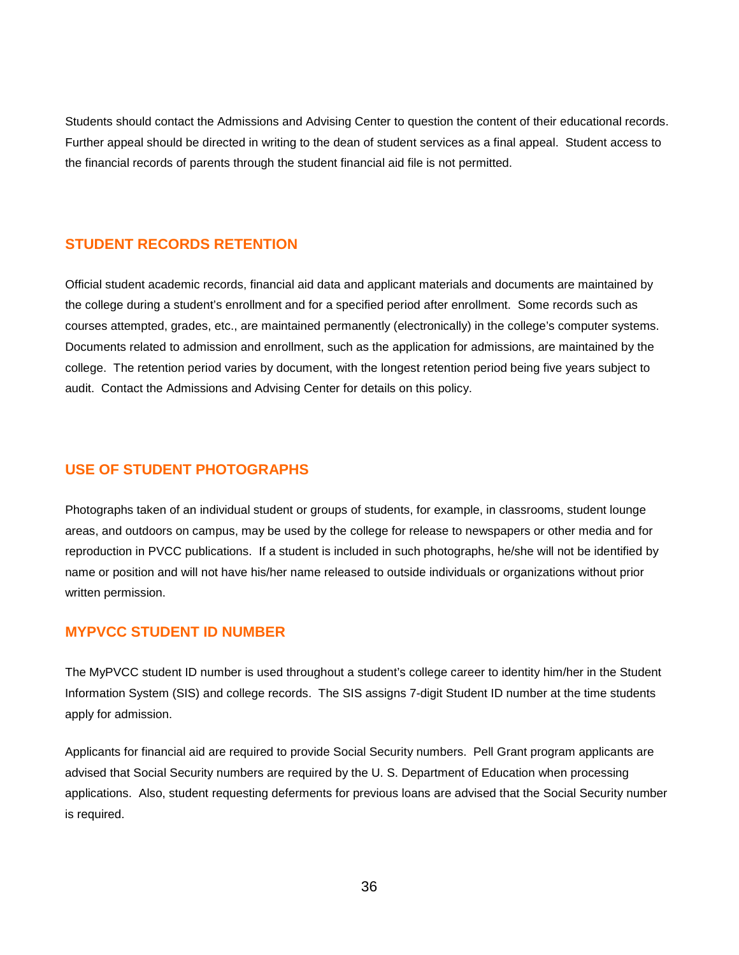Students should contact the Admissions and Advising Center to question the content of their educational records. Further appeal should be directed in writing to the dean of student services as a final appeal. Student access to the financial records of parents through the student financial aid file is not permitted.

# **STUDENT RECORDS RETENTION**

Official student academic records, financial aid data and applicant materials and documents are maintained by the college during a student's enrollment and for a specified period after enrollment. Some records such as courses attempted, grades, etc., are maintained permanently (electronically) in the college's computer systems. Documents related to admission and enrollment, such as the application for admissions, are maintained by the college. The retention period varies by document, with the longest retention period being five years subject to audit. Contact the Admissions and Advising Center for details on this policy.

# **USE OF STUDENT PHOTOGRAPHS**

Photographs taken of an individual student or groups of students, for example, in classrooms, student lounge areas, and outdoors on campus, may be used by the college for release to newspapers or other media and for reproduction in PVCC publications. If a student is included in such photographs, he/she will not be identified by name or position and will not have his/her name released to outside individuals or organizations without prior written permission.

# **MYPVCC STUDENT ID NUMBER**

The MyPVCC student ID number is used throughout a student's college career to identity him/her in the Student Information System (SIS) and college records. The SIS assigns 7-digit Student ID number at the time students apply for admission.

Applicants for financial aid are required to provide Social Security numbers. Pell Grant program applicants are advised that Social Security numbers are required by the U. S. Department of Education when processing applications. Also, student requesting deferments for previous loans are advised that the Social Security number is required.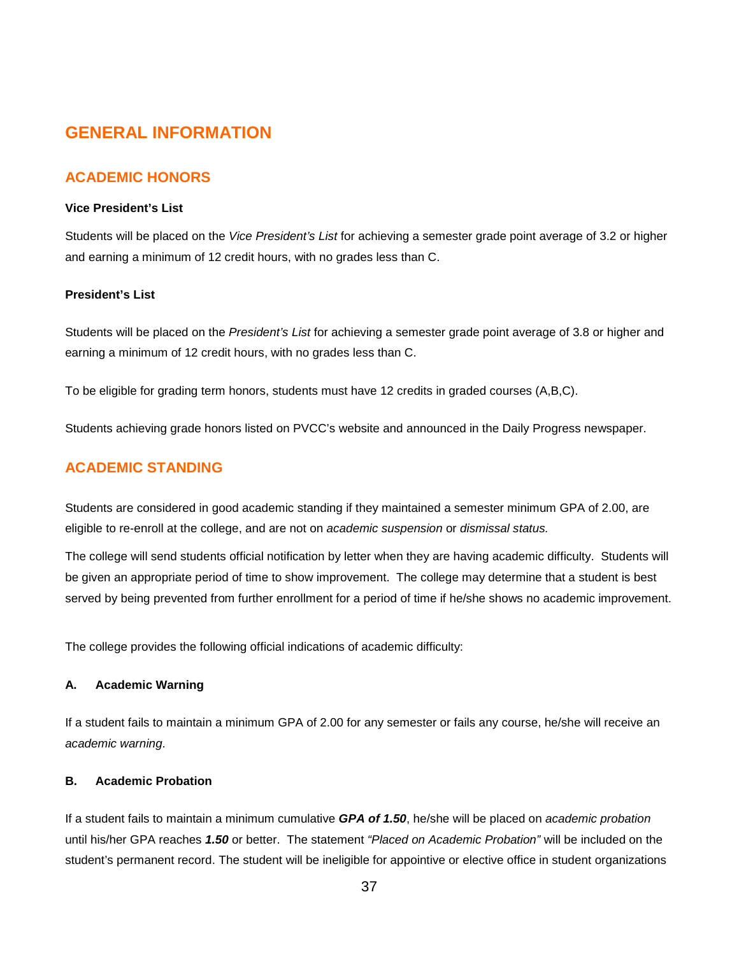# **GENERAL INFORMATION**

# **ACADEMIC HONORS**

### **Vice President's List**

Students will be placed on the *Vice President's List* for achieving a semester grade point average of 3.2 or higher and earning a minimum of 12 credit hours, with no grades less than C.

#### **President's List**

Students will be placed on the *President's List* for achieving a semester grade point average of 3.8 or higher and earning a minimum of 12 credit hours, with no grades less than C.

To be eligible for grading term honors, students must have 12 credits in graded courses (A,B,C).

Students achieving grade honors listed on PVCC's website and announced in the Daily Progress newspaper.

# **ACADEMIC STANDING**

Students are considered in good academic standing if they maintained a semester minimum GPA of 2.00, are eligible to re-enroll at the college, and are not on *academic suspension* or *dismissal status.*

The college will send students official notification by letter when they are having academic difficulty. Students will be given an appropriate period of time to show improvement. The college may determine that a student is best served by being prevented from further enrollment for a period of time if he/she shows no academic improvement.

The college provides the following official indications of academic difficulty:

#### **A. Academic Warning**

If a student fails to maintain a minimum GPA of 2.00 for any semester or fails any course, he/she will receive an *academic warning*.

#### **B. Academic Probation**

If a student fails to maintain a minimum cumulative *GPA of 1.50*, he/she will be placed on *academic probation*  until his/her GPA reaches *1.50* or better. The statement *"Placed on Academic Probation"* will be included on the student's permanent record. The student will be ineligible for appointive or elective office in student organizations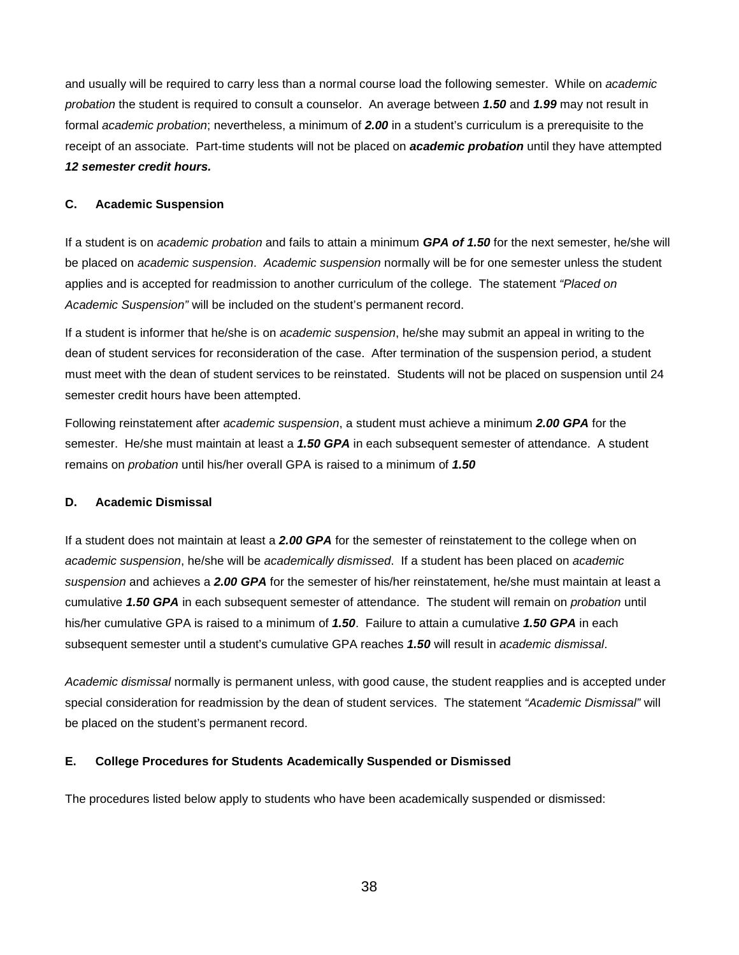and usually will be required to carry less than a normal course load the following semester. While on *academic probation* the student is required to consult a counselor. An average between *1.50* and *1.99* may not result in formal *academic probation*; nevertheless, a minimum of *2.00* in a student's curriculum is a prerequisite to the receipt of an associate. Part-time students will not be placed on *academic probation* until they have attempted *12 semester credit hours.*

#### **C. Academic Suspension**

If a student is on *academic probation* and fails to attain a minimum *GPA of 1.50* for the next semester, he/she will be placed on *academic suspension*. *Academic suspension* normally will be for one semester unless the student applies and is accepted for readmission to another curriculum of the college. The statement *"Placed on Academic Suspension"* will be included on the student's permanent record.

If a student is informer that he/she is on *academic suspension*, he/she may submit an appeal in writing to the dean of student services for reconsideration of the case. After termination of the suspension period, a student must meet with the dean of student services to be reinstated. Students will not be placed on suspension until 24 semester credit hours have been attempted.

Following reinstatement after *academic suspension*, a student must achieve a minimum *2.00 GPA* for the semester. He/she must maintain at least a *1.50 GPA* in each subsequent semester of attendance. A student remains on *probation* until his/her overall GPA is raised to a minimum of *1.50*

#### **D. Academic Dismissal**

If a student does not maintain at least a *2.00 GPA* for the semester of reinstatement to the college when on *academic suspension*, he/she will be *academically dismissed*. If a student has been placed on *academic suspension* and achieves a *2.00 GPA* for the semester of his/her reinstatement, he/she must maintain at least a cumulative *1.50 GPA* in each subsequent semester of attendance. The student will remain on *probation* until his/her cumulative GPA is raised to a minimum of *1.50*. Failure to attain a cumulative *1.50 GPA* in each subsequent semester until a student's cumulative GPA reaches *1.50* will result in *academic dismissal*.

*Academic dismissal* normally is permanent unless, with good cause, the student reapplies and is accepted under special consideration for readmission by the dean of student services. The statement *"Academic Dismissal"* will be placed on the student's permanent record.

#### **E. College Procedures for Students Academically Suspended or Dismissed**

The procedures listed below apply to students who have been academically suspended or dismissed: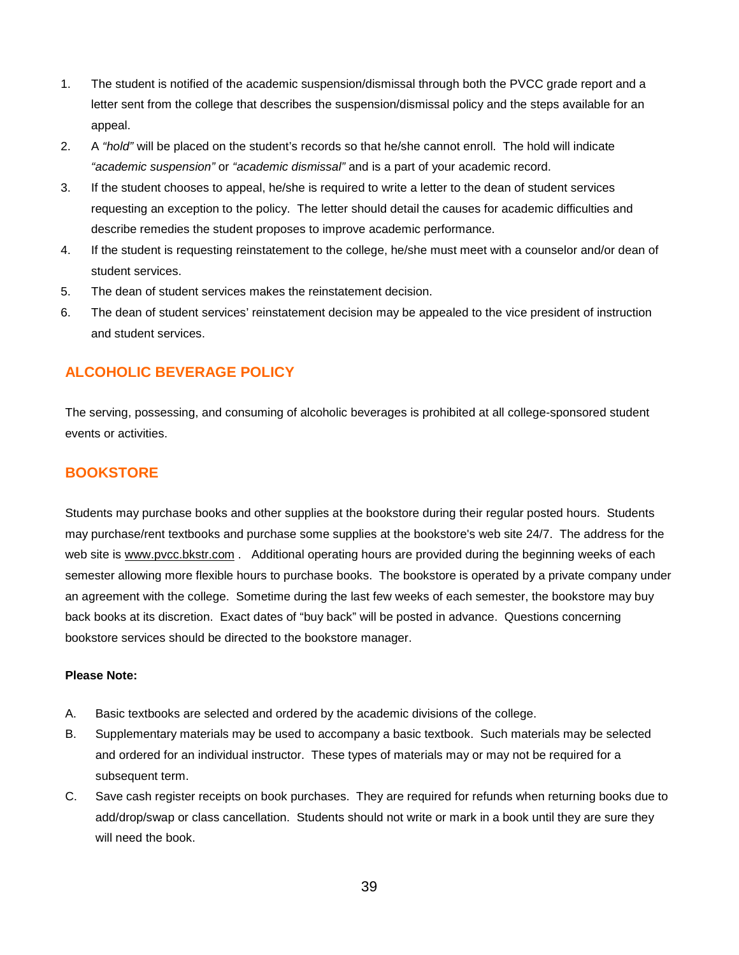- 1. The student is notified of the academic suspension/dismissal through both the PVCC grade report and a letter sent from the college that describes the suspension/dismissal policy and the steps available for an appeal.
- 2. A *"hold"* will be placed on the student's records so that he/she cannot enroll. The hold will indicate *"academic suspension"* or *"academic dismissal"* and is a part of your academic record.
- 3. If the student chooses to appeal, he/she is required to write a letter to the dean of student services requesting an exception to the policy. The letter should detail the causes for academic difficulties and describe remedies the student proposes to improve academic performance.
- 4. If the student is requesting reinstatement to the college, he/she must meet with a counselor and/or dean of student services.
- 5. The dean of student services makes the reinstatement decision.
- 6. The dean of student services' reinstatement decision may be appealed to the vice president of instruction and student services.

# **ALCOHOLIC BEVERAGE POLICY**

The serving, possessing, and consuming of alcoholic beverages is prohibited at all college-sponsored student events or activities.

# **BOOKSTORE**

Students may purchase books and other supplies at the bookstore during their regular posted hours. Students may purchase/rent textbooks and purchase some supplies at the bookstore's web site 24/7. The address for the web site is [www.pvcc.bkstr.com](http://www.pvcc.bkstr.com/) . Additional operating hours are provided during the beginning weeks of each semester allowing more flexible hours to purchase books. The bookstore is operated by a private company under an agreement with the college. Sometime during the last few weeks of each semester, the bookstore may buy back books at its discretion. Exact dates of "buy back" will be posted in advance. Questions concerning bookstore services should be directed to the bookstore manager.

### **Please Note:**

- A. Basic textbooks are selected and ordered by the academic divisions of the college.
- B. Supplementary materials may be used to accompany a basic textbook. Such materials may be selected and ordered for an individual instructor. These types of materials may or may not be required for a subsequent term.
- C. Save cash register receipts on book purchases. They are required for refunds when returning books due to add/drop/swap or class cancellation. Students should not write or mark in a book until they are sure they will need the book.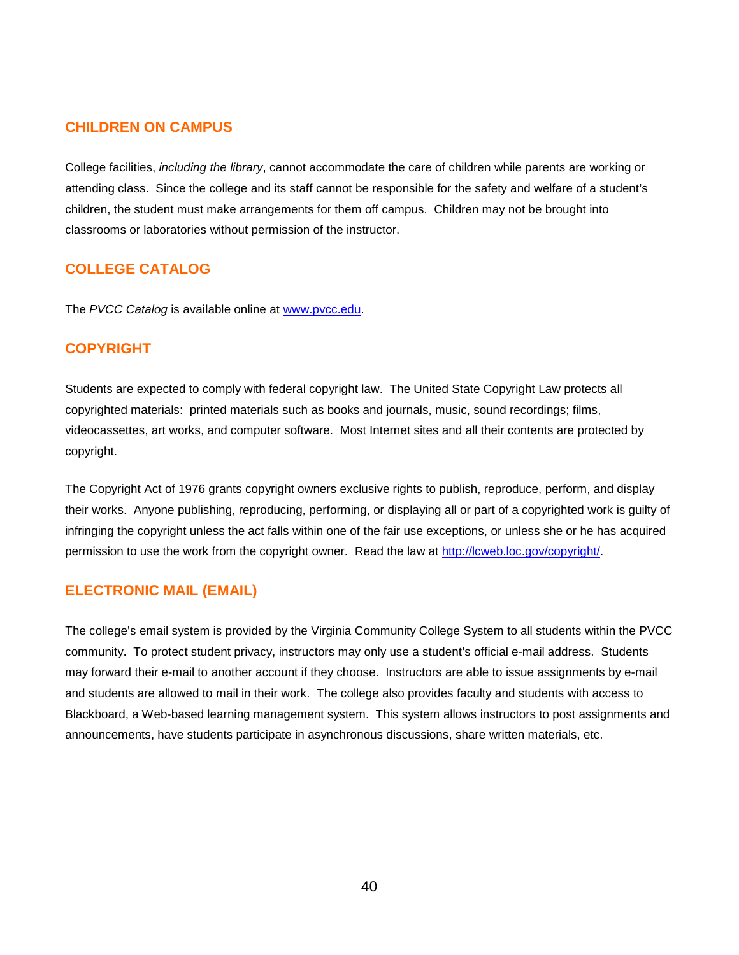# **CHILDREN ON CAMPUS**

College facilities, *including the library*, cannot accommodate the care of children while parents are working or attending class. Since the college and its staff cannot be responsible for the safety and welfare of a student's children, the student must make arrangements for them off campus. Children may not be brought into classrooms or laboratories without permission of the instructor.

# **COLLEGE CATALOG**

The PVCC Catalog is available online at [www.pvcc.edu.](http://www.pvcc.edu/)

### **COPYRIGHT**

Students are expected to comply with federal copyright law. The United State Copyright Law protects all copyrighted materials: printed materials such as books and journals, music, sound recordings; films, videocassettes, art works, and computer software. Most Internet sites and all their contents are protected by copyright.

The Copyright Act of 1976 grants copyright owners exclusive rights to publish, reproduce, perform, and display their works. Anyone publishing, reproducing, performing, or displaying all or part of a copyrighted work is guilty of infringing the copyright unless the act falls within one of the fair use exceptions, or unless she or he has acquired permission to use the work from the copyright owner. Read the law at [http://lcweb.loc.gov/copyright/.](http://lcweb.loc.gov/copyright/)

# **ELECTRONIC MAIL (EMAIL)**

The college's email system is provided by the Virginia Community College System to all students within the PVCC community. To protect student privacy, instructors may only use a student's official e-mail address. Students may forward their e-mail to another account if they choose. Instructors are able to issue assignments by e-mail and students are allowed to mail in their work. The college also provides faculty and students with access to Blackboard, a Web-based learning management system. This system allows instructors to post assignments and announcements, have students participate in asynchronous discussions, share written materials, etc.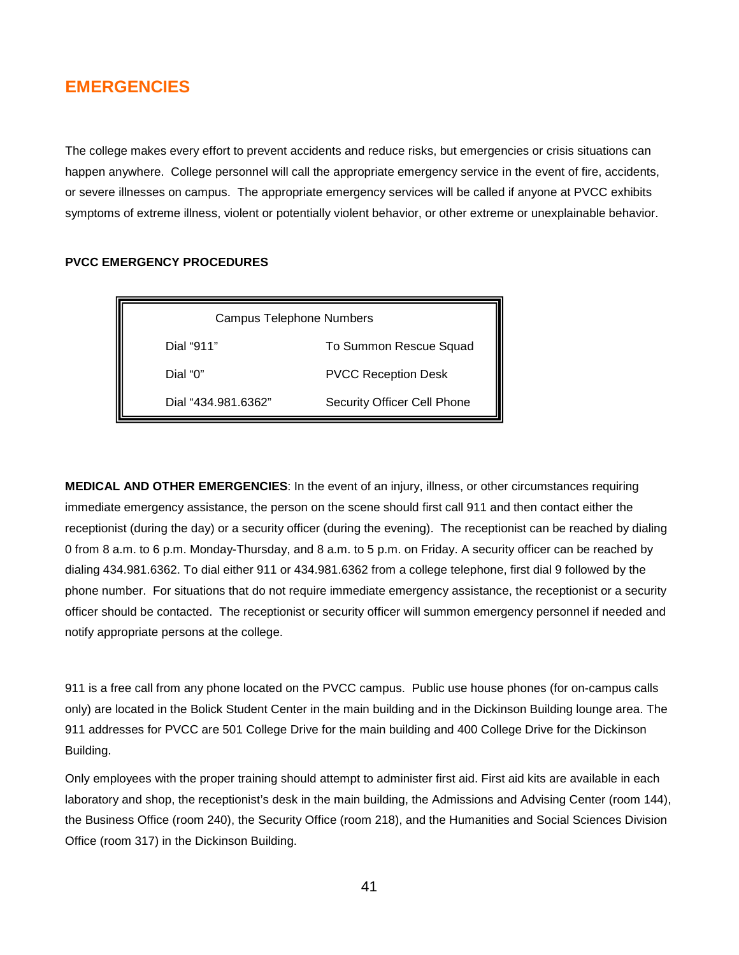# **EMERGENCIES**

The college makes every effort to prevent accidents and reduce risks, but emergencies or crisis situations can happen anywhere. College personnel will call the appropriate emergency service in the event of fire, accidents, or severe illnesses on campus. The appropriate emergency services will be called if anyone at PVCC exhibits symptoms of extreme illness, violent or potentially violent behavior, or other extreme or unexplainable behavior.

**PVCC EMERGENCY PROCEDURES**

| <b>Campus Telephone Numbers</b> |                             |
|---------------------------------|-----------------------------|
| Dial "911"                      | To Summon Rescue Squad      |
| Dial "0"                        | <b>PVCC Reception Desk</b>  |
| Dial "434.981.6362"             | Security Officer Cell Phone |

**MEDICAL AND OTHER EMERGENCIES**: In the event of an injury, illness, or other circumstances requiring immediate emergency assistance, the person on the scene should first call 911 and then contact either the receptionist (during the day) or a security officer (during the evening). The receptionist can be reached by dialing 0 from 8 a.m. to 6 p.m. Monday-Thursday, and 8 a.m. to 5 p.m. on Friday. A security officer can be reached by dialing 434.981.6362. To dial either 911 or 434.981.6362 from a college telephone, first dial 9 followed by the phone number. For situations that do not require immediate emergency assistance, the receptionist or a security officer should be contacted. The receptionist or security officer will summon emergency personnel if needed and notify appropriate persons at the college.

911 is a free call from any phone located on the PVCC campus. Public use house phones (for on-campus calls only) are located in the Bolick Student Center in the main building and in the Dickinson Building lounge area. The 911 addresses for PVCC are 501 College Drive for the main building and 400 College Drive for the Dickinson Building.

Only employees with the proper training should attempt to administer first aid. First aid kits are available in each laboratory and shop, the receptionist's desk in the main building, the Admissions and Advising Center (room 144), the Business Office (room 240), the Security Office (room 218), and the Humanities and Social Sciences Division Office (room 317) in the Dickinson Building.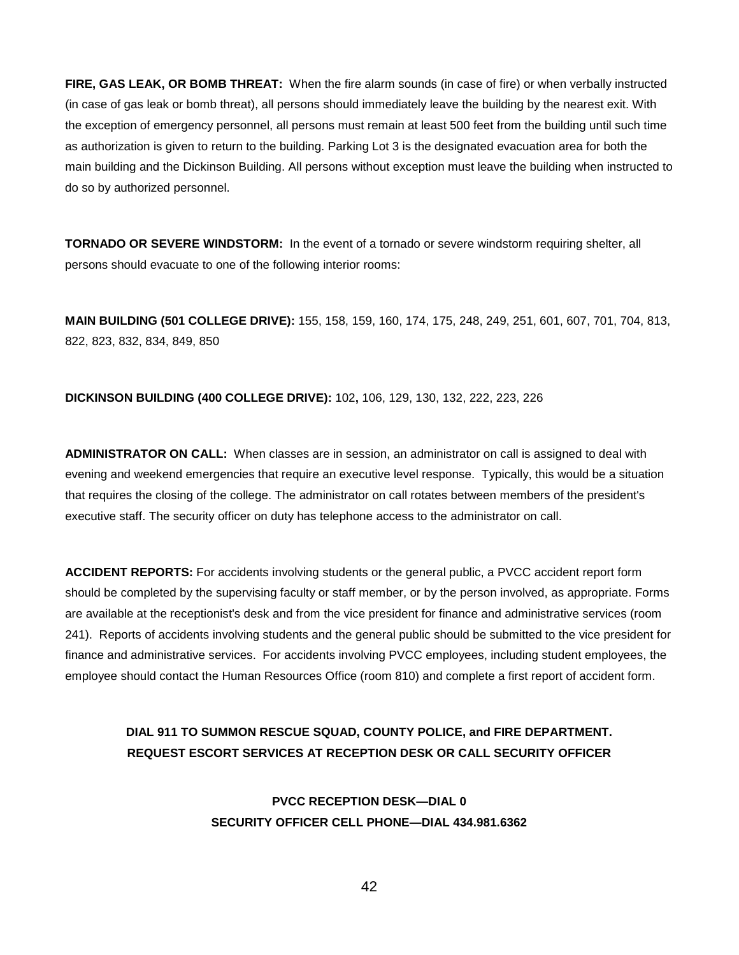**FIRE, GAS LEAK, OR BOMB THREAT:** When the fire alarm sounds (in case of fire) or when verbally instructed (in case of gas leak or bomb threat), all persons should immediately leave the building by the nearest exit. With the exception of emergency personnel, all persons must remain at least 500 feet from the building until such time as authorization is given to return to the building. Parking Lot 3 is the designated evacuation area for both the main building and the Dickinson Building. All persons without exception must leave the building when instructed to do so by authorized personnel.

**TORNADO OR SEVERE WINDSTORM:** In the event of a tornado or severe windstorm requiring shelter, all persons should evacuate to one of the following interior rooms:

**MAIN BUILDING (501 COLLEGE DRIVE):** 155, 158, 159, 160, 174, 175, 248, 249, 251, 601, 607, 701, 704, 813, 822, 823, 832, 834, 849, 850

**DICKINSON BUILDING (400 COLLEGE DRIVE):** 102**,** 106, 129, 130, 132, 222, 223, 226

**ADMINISTRATOR ON CALL:** When classes are in session, an administrator on call is assigned to deal with evening and weekend emergencies that require an executive level response. Typically, this would be a situation that requires the closing of the college. The administrator on call rotates between members of the president's executive staff. The security officer on duty has telephone access to the administrator on call.

**ACCIDENT REPORTS:** For accidents involving students or the general public, a PVCC accident report form should be completed by the supervising faculty or staff member, or by the person involved, as appropriate. Forms are available at the receptionist's desk and from the vice president for finance and administrative services (room 241). Reports of accidents involving students and the general public should be submitted to the vice president for finance and administrative services. For accidents involving PVCC employees, including student employees, the employee should contact the Human Resources Office (room 810) and complete a first report of accident form.

# **DIAL 911 TO SUMMON RESCUE SQUAD, COUNTY POLICE, and FIRE DEPARTMENT. REQUEST ESCORT SERVICES AT RECEPTION DESK OR CALL SECURITY OFFICER**

**PVCC RECEPTION DESK—DIAL 0 SECURITY OFFICER CELL PHONE—DIAL 434.981.6362**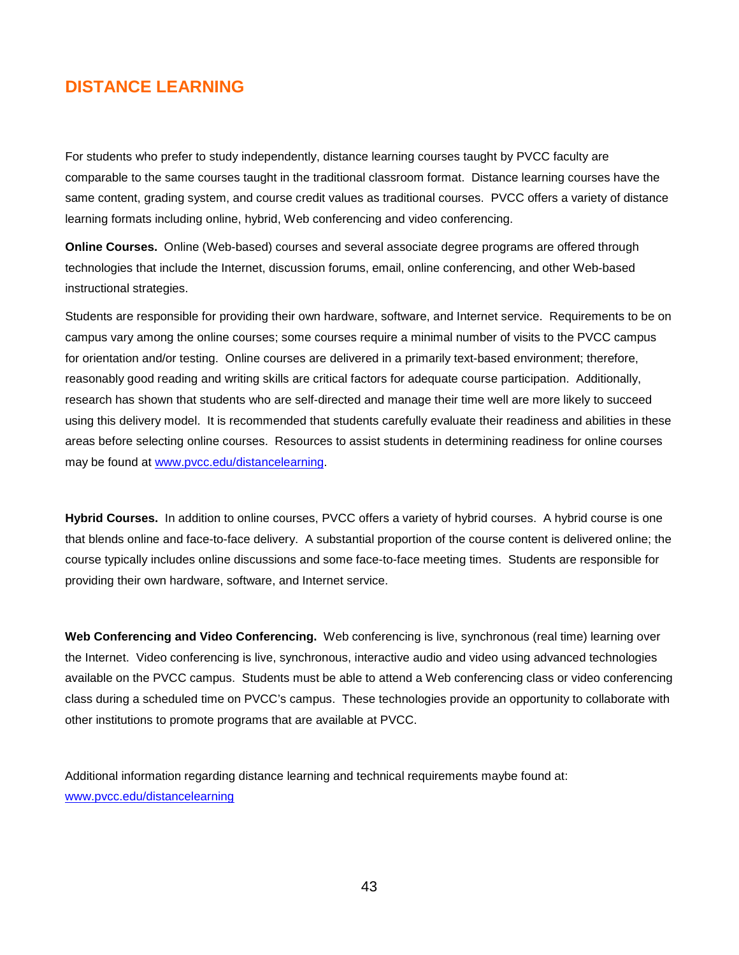# **DISTANCE LEARNING**

For students who prefer to study independently, distance learning courses taught by PVCC faculty are comparable to the same courses taught in the traditional classroom format. Distance learning courses have the same content, grading system, and course credit values as traditional courses. PVCC offers a variety of distance learning formats including online, hybrid, Web conferencing and video conferencing.

**Online Courses.** Online (Web-based) courses and several associate degree programs are offered through technologies that include the Internet, discussion forums, email, online conferencing, and other Web-based instructional strategies.

Students are responsible for providing their own hardware, software, and Internet service. Requirements to be on campus vary among the online courses; some courses require a minimal number of visits to the PVCC campus for orientation and/or testing. Online courses are delivered in a primarily text-based environment; therefore, reasonably good reading and writing skills are critical factors for adequate course participation. Additionally, research has shown that students who are self-directed and manage their time well are more likely to succeed using this delivery model. It is recommended that students carefully evaluate their readiness and abilities in these areas before selecting online courses. Resources to assist students in determining readiness for online courses may be found at [www.pvcc.edu/distancelearning.](http://www.pvcc.edu/distancelearning)

**Hybrid Courses.** In addition to online courses, PVCC offers a variety of hybrid courses. A hybrid course is one that blends online and face-to-face delivery. A substantial proportion of the course content is delivered online; the course typically includes online discussions and some face-to-face meeting times. Students are responsible for providing their own hardware, software, and Internet service.

**Web Conferencing and Video Conferencing.** Web conferencing is live, synchronous (real time) learning over the Internet. Video conferencing is live, synchronous, interactive audio and video using advanced technologies available on the PVCC campus. Students must be able to attend a Web conferencing class or video conferencing class during a scheduled time on PVCC's campus. These technologies provide an opportunity to collaborate with other institutions to promote programs that are available at PVCC.

Additional information regarding distance learning and technical requirements maybe found at: [www.pvcc.edu/distancelearning](http://www.pvcc.edu/distancelearning)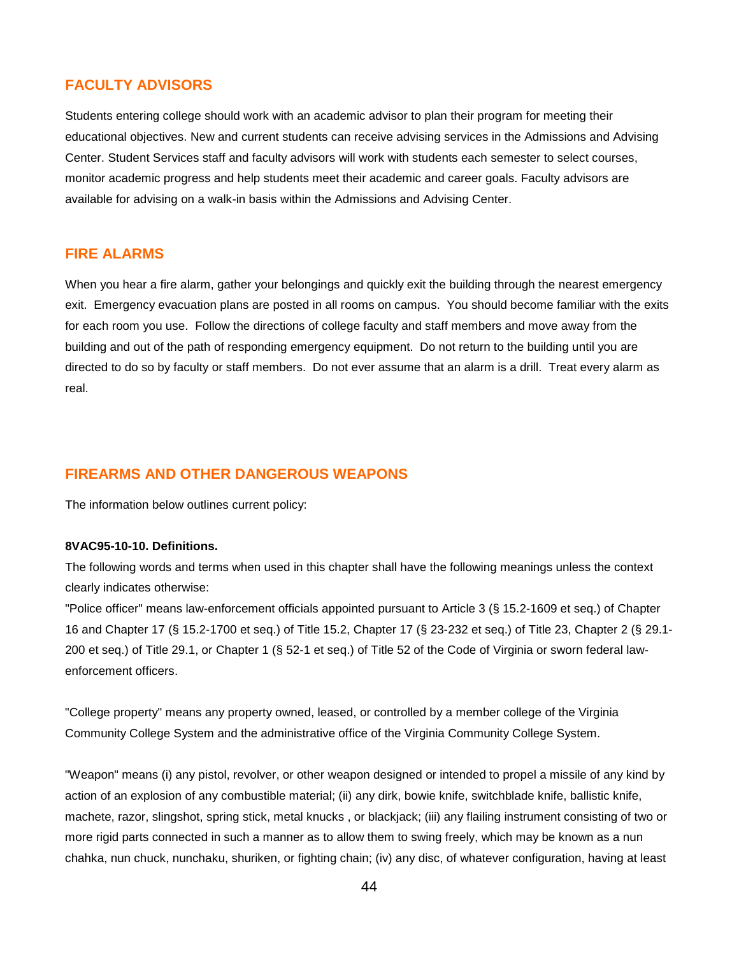# **FACULTY ADVISORS**

Students entering college should work with an academic advisor to plan their program for meeting their educational objectives. New and current students can receive advising services in the Admissions and Advising Center. Student Services staff and faculty advisors will work with students each semester to select courses, monitor academic progress and help students meet their academic and career goals. Faculty advisors are available for advising on a walk-in basis within the Admissions and Advising Center.

### **FIRE ALARMS**

When you hear a fire alarm, gather your belongings and quickly exit the building through the nearest emergency exit. Emergency evacuation plans are posted in all rooms on campus. You should become familiar with the exits for each room you use. Follow the directions of college faculty and staff members and move away from the building and out of the path of responding emergency equipment. Do not return to the building until you are directed to do so by faculty or staff members. Do not ever assume that an alarm is a drill. Treat every alarm as real.

### **FIREARMS AND OTHER DANGEROUS WEAPONS**

The information below outlines current policy:

#### **8VAC95-10-10. Definitions.**

The following words and terms when used in this chapter shall have the following meanings unless the context clearly indicates otherwise:

"Police officer" means law-enforcement officials appointed pursuant to Article 3 (§ 15.2-1609 et seq.) of Chapter 16 and Chapter 17 (§ 15.2-1700 et seq.) of Title 15.2, Chapter 17 (§ 23-232 et seq.) of Title 23, Chapter 2 (§ 29.1- 200 et seq.) of Title 29.1, or Chapter 1 (§ 52-1 et seq.) of Title 52 of the Code of Virginia or sworn federal lawenforcement officers.

"College property" means any property owned, leased, or controlled by a member college of the Virginia Community College System and the administrative office of the Virginia Community College System.

"Weapon" means (i) any pistol, revolver, or other weapon designed or intended to propel a missile of any kind by action of an explosion of any combustible material; (ii) any dirk, bowie knife, switchblade knife, ballistic knife, machete, razor, slingshot, spring stick, metal knucks , or blackjack; (iii) any flailing instrument consisting of two or more rigid parts connected in such a manner as to allow them to swing freely, which may be known as a nun chahka, nun chuck, nunchaku, shuriken, or fighting chain; (iv) any disc, of whatever configuration, having at least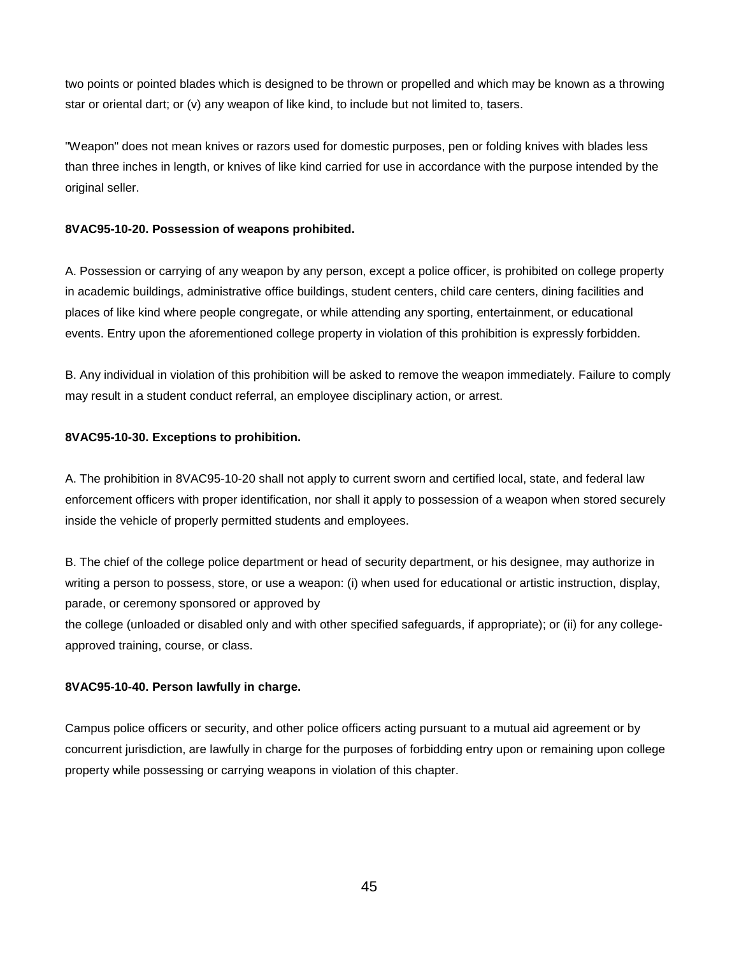two points or pointed blades which is designed to be thrown or propelled and which may be known as a throwing star or oriental dart; or (v) any weapon of like kind, to include but not limited to, tasers.

"Weapon" does not mean knives or razors used for domestic purposes, pen or folding knives with blades less than three inches in length, or knives of like kind carried for use in accordance with the purpose intended by the original seller.

### **8VAC95-10-20. Possession of weapons prohibited.**

A. Possession or carrying of any weapon by any person, except a police officer, is prohibited on college property in academic buildings, administrative office buildings, student centers, child care centers, dining facilities and places of like kind where people congregate, or while attending any sporting, entertainment, or educational events. Entry upon the aforementioned college property in violation of this prohibition is expressly forbidden.

B. Any individual in violation of this prohibition will be asked to remove the weapon immediately. Failure to comply may result in a student conduct referral, an employee disciplinary action, or arrest.

### **8VAC95-10-30. Exceptions to prohibition.**

A. The prohibition in 8VAC95-10-20 shall not apply to current sworn and certified local, state, and federal law enforcement officers with proper identification, nor shall it apply to possession of a weapon when stored securely inside the vehicle of properly permitted students and employees.

B. The chief of the college police department or head of security department, or his designee, may authorize in writing a person to possess, store, or use a weapon: (i) when used for educational or artistic instruction, display, parade, or ceremony sponsored or approved by

the college (unloaded or disabled only and with other specified safeguards, if appropriate); or (ii) for any collegeapproved training, course, or class.

### **8VAC95-10-40. Person lawfully in charge.**

Campus police officers or security, and other police officers acting pursuant to a mutual aid agreement or by concurrent jurisdiction, are lawfully in charge for the purposes of forbidding entry upon or remaining upon college property while possessing or carrying weapons in violation of this chapter.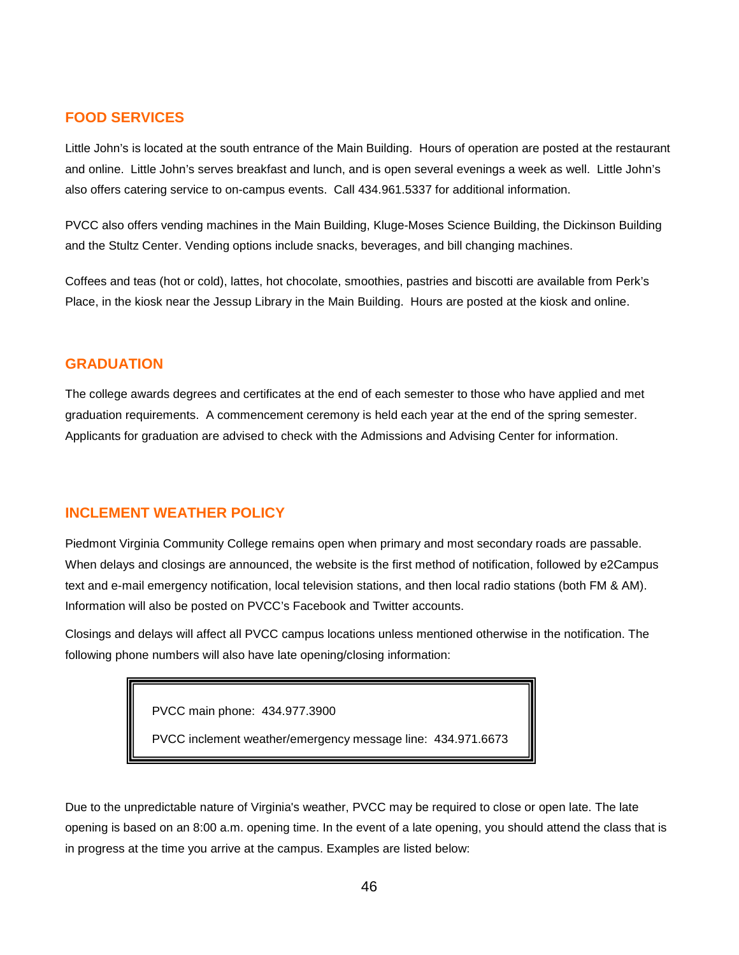# **FOOD SERVICES**

Little John's is located at the south entrance of the Main Building. Hours of operation are posted at the restaurant and online. Little John's serves breakfast and lunch, and is open several evenings a week as well. Little John's also offers catering service to on-campus events. Call 434.961.5337 for additional information.

PVCC also offers vending machines in the Main Building, Kluge-Moses Science Building, the Dickinson Building and the Stultz Center. Vending options include snacks, beverages, and bill changing machines.

Coffees and teas (hot or cold), lattes, hot chocolate, smoothies, pastries and biscotti are available from Perk's Place, in the kiosk near the Jessup Library in the Main Building. Hours are posted at the kiosk and online.

### **GRADUATION**

The college awards degrees and certificates at the end of each semester to those who have applied and met graduation requirements. A commencement ceremony is held each year at the end of the spring semester. Applicants for graduation are advised to check with the Admissions and Advising Center for information.

# **INCLEMENT WEATHER POLICY**

Piedmont Virginia Community College remains open when primary and most secondary roads are passable. When delays and closings are announced, the website is the first method of notification, followed by e2Campus text and e-mail emergency notification, local television stations, and then local radio stations (both FM & AM). Information will also be posted on PVCC's Facebook and Twitter accounts.

Closings and delays will affect all PVCC campus locations unless mentioned otherwise in the notification. The following phone numbers will also have late opening/closing information:

PVCC main phone: 434.977.3900

PVCC inclement weather/emergency message line: 434.971.6673

Due to the unpredictable nature of Virginia's weather, PVCC may be required to close or open late. The late opening is based on an 8:00 a.m. opening time. In the event of a late opening, you should attend the class that is in progress at the time you arrive at the campus. Examples are listed below: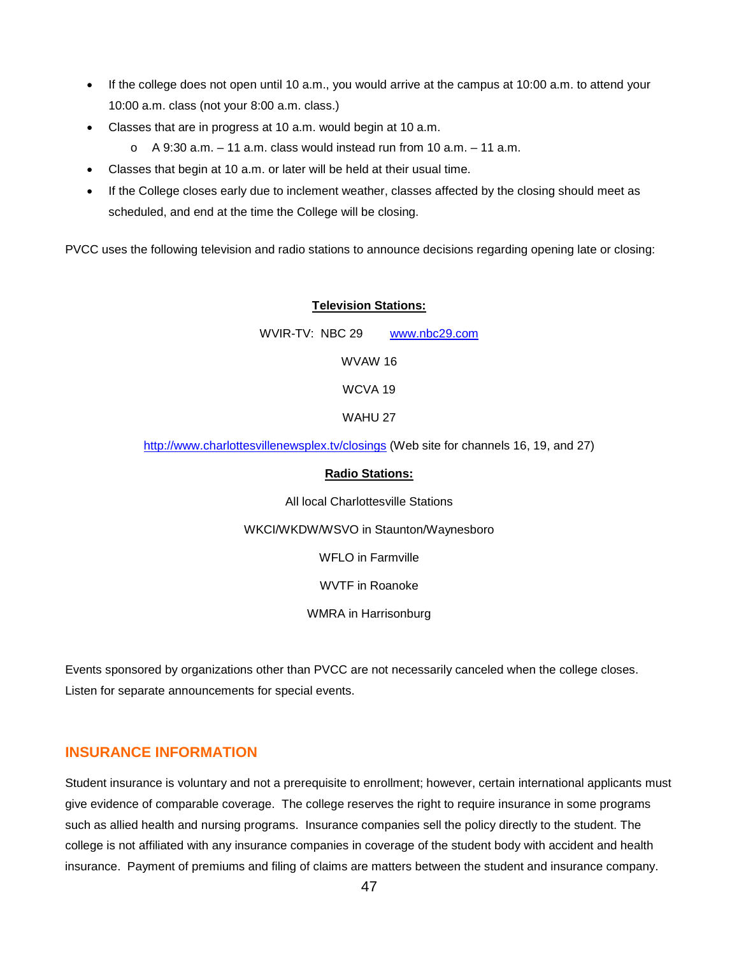- If the college does not open until 10 a.m., you would arrive at the campus at 10:00 a.m. to attend your 10:00 a.m. class (not your 8:00 a.m. class.)
- Classes that are in progress at 10 a.m. would begin at 10 a.m.

 $\circ$  A 9:30 a.m. – 11 a.m. class would instead run from 10 a.m. – 11 a.m.

- Classes that begin at 10 a.m. or later will be held at their usual time.
- If the College closes early due to inclement weather, classes affected by the closing should meet as scheduled, and end at the time the College will be closing.

PVCC uses the following television and radio stations to announce decisions regarding opening late or closing:

#### **Television Stations:**

WVIR-TV: NBC 29 [www.nbc29.com](http://www.nbc29.com/)

WVAW 16

WCVA 19

WAHU 27

<http://www.charlottesvillenewsplex.tv/closings> (Web site for channels 16, 19, and 27)

#### **Radio Stations:**

All local Charlottesville Stations

WKCI/WKDW/WSVO in Staunton/Waynesboro

WFLO in Farmville

WVTF in Roanoke

WMRA in Harrisonburg

Events sponsored by organizations other than PVCC are not necessarily canceled when the college closes. Listen for separate announcements for special events.

# **INSURANCE INFORMATION**

Student insurance is voluntary and not a prerequisite to enrollment; however, certain international applicants must give evidence of comparable coverage. The college reserves the right to require insurance in some programs such as allied health and nursing programs. Insurance companies sell the policy directly to the student. The college is not affiliated with any insurance companies in coverage of the student body with accident and health insurance. Payment of premiums and filing of claims are matters between the student and insurance company.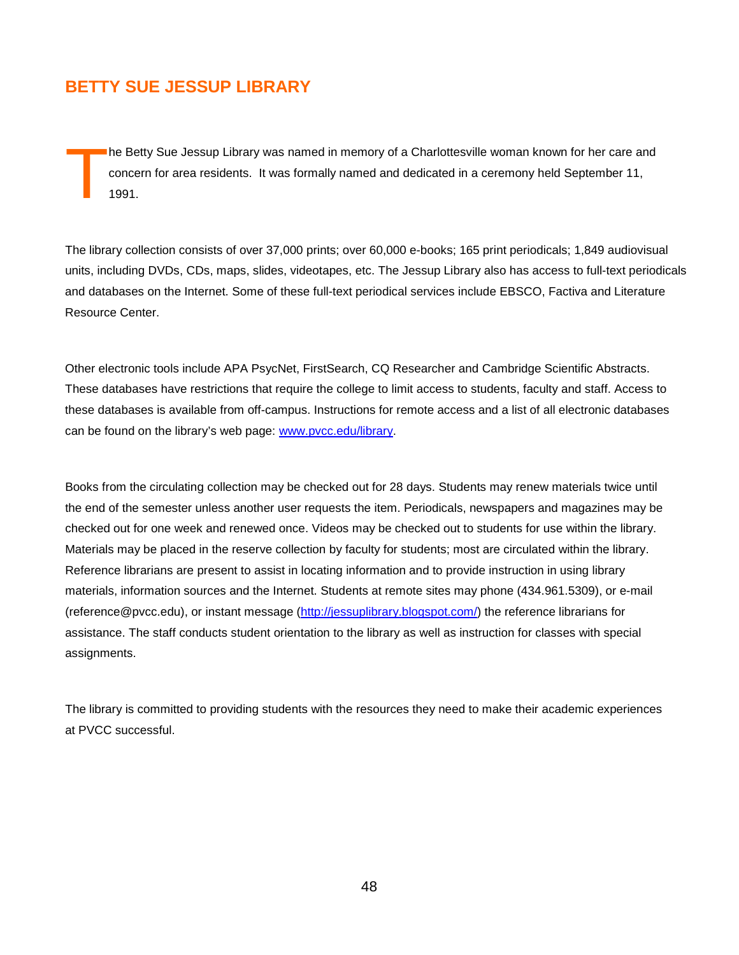# **BETTY SUE JESSUP LIBRARY**

he Betty Sue Jessup Library was named in memory of a Charlottesville woman known for her care and concern for area residents. It was formally named and dedicated in a ceremony held September 11, 1991. T

The library collection consists of over 37,000 prints; over 60,000 e-books; 165 print periodicals; 1,849 audiovisual units, including DVDs, CDs, maps, slides, videotapes, etc. The Jessup Library also has access to full-text periodicals and databases on the Internet. Some of these full-text periodical services include EBSCO, Factiva and Literature Resource Center.

Other electronic tools include APA PsycNet, FirstSearch, CQ Researcher and Cambridge Scientific Abstracts. These databases have restrictions that require the college to limit access to students, faculty and staff. Access to these databases is available from off-campus. Instructions for remote access and a list of all electronic databases can be found on the library's web page: [www.pvcc.edu/library.](http://www.pvcc.edu/library)

Books from the circulating collection may be checked out for 28 days. Students may renew materials twice until the end of the semester unless another user requests the item. Periodicals, newspapers and magazines may be checked out for one week and renewed once. Videos may be checked out to students for use within the library. Materials may be placed in the reserve collection by faculty for students; most are circulated within the library. Reference librarians are present to assist in locating information and to provide instruction in using library materials, information sources and the Internet. Students at remote sites may phone (434.961.5309), or e-mail (reference@pvcc.edu), or instant message [\(http://jessuplibrary.blogspot.com/\)](http://jessuplibrary.blogspot.com/) the reference librarians for assistance. The staff conducts student orientation to the library as well as instruction for classes with special assignments.

The library is committed to providing students with the resources they need to make their academic experiences at PVCC successful.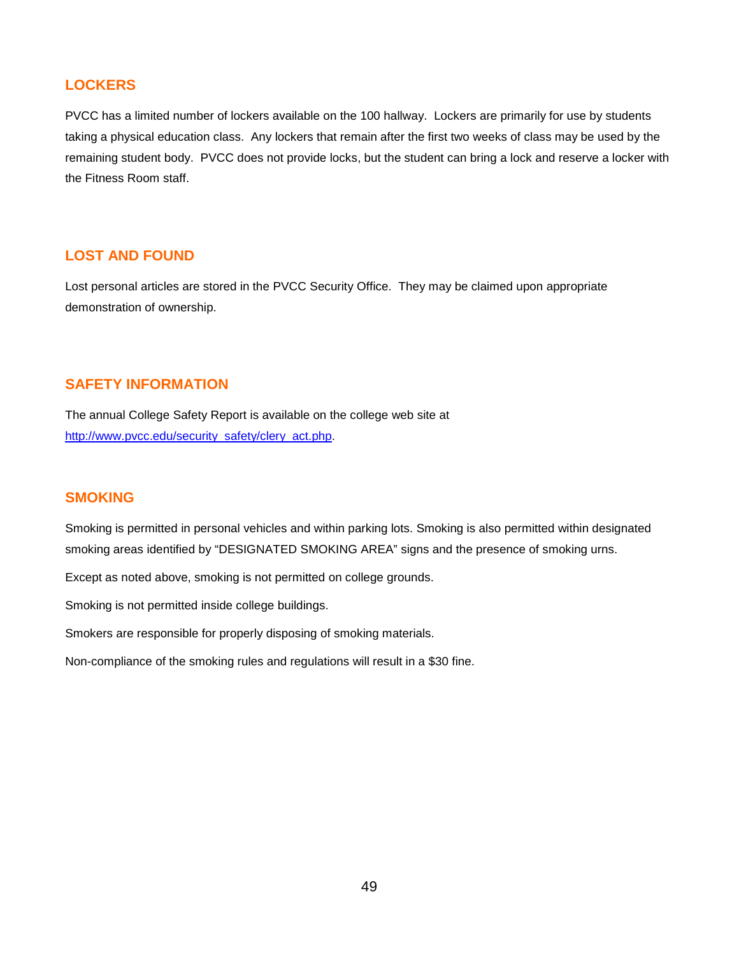# **LOCKERS**

PVCC has a limited number of lockers available on the 100 hallway. Lockers are primarily for use by students taking a physical education class. Any lockers that remain after the first two weeks of class may be used by the remaining student body. PVCC does not provide locks, but the student can bring a lock and reserve a locker with the Fitness Room staff.

# **LOST AND FOUND**

Lost personal articles are stored in the PVCC Security Office. They may be claimed upon appropriate demonstration of ownership.

### **SAFETY INFORMATION**

The annual College Safety Report is available on the college web site at [http://www.pvcc.edu/security\\_safety/clery\\_act.php.](http://www.pvcc.edu/security_safety/clery_act.php)

# **SMOKING**

Smoking is permitted in personal vehicles and within parking lots. Smoking is also permitted within designated smoking areas identified by "DESIGNATED SMOKING AREA" signs and the presence of smoking urns.

Except as noted above, smoking is not permitted on college grounds.

Smoking is not permitted inside college buildings.

Smokers are responsible for properly disposing of smoking materials.

Non-compliance of the smoking rules and regulations will result in a \$30 fine.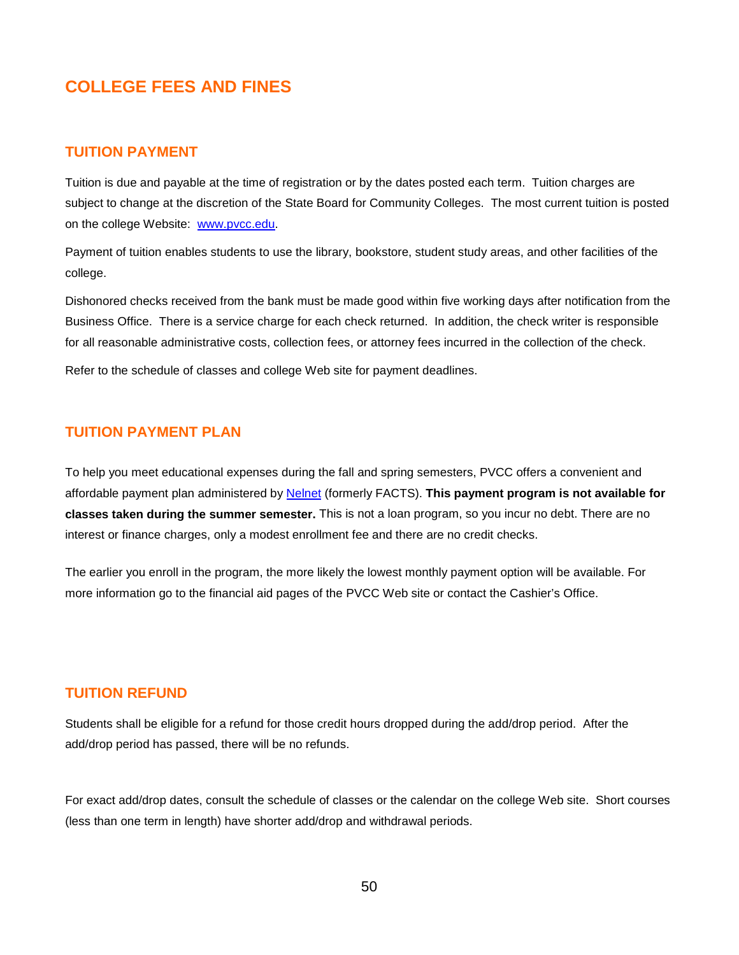# **COLLEGE FEES AND FINES**

### **TUITION PAYMENT**

Tuition is due and payable at the time of registration or by the dates posted each term. Tuition charges are subject to change at the discretion of the State Board for Community Colleges. The most current tuition is posted on the college Website: [www.pvcc.edu.](http://www.pvcc.edu/)

Payment of tuition enables students to use the library, bookstore, student study areas, and other facilities of the college.

Dishonored checks received from the bank must be made good within five working days after notification from the Business Office. There is a service charge for each check returned. In addition, the check writer is responsible for all reasonable administrative costs, collection fees, or attorney fees incurred in the collection of the check.

Refer to the schedule of classes and college Web site for payment deadlines.

# **TUITION PAYMENT PLAN**

To help you meet educational expenses during the fall and spring semesters, PVCC offers a convenient and affordable payment plan administered by [Nelnet](https://www.factstuition.com/ecashier/Index?OpenForm&query=piedmont) (formerly FACTS). **This payment program is not available for classes taken during the summer semester.** This is not a loan program, so you incur no debt. There are no interest or finance charges, only a modest enrollment fee and there are no credit checks.

The earlier you enroll in the program, the more likely the lowest monthly payment option will be available. For more information go to the financial aid pages of the PVCC Web site or contact the Cashier's Office.

# **TUITION REFUND**

Students shall be eligible for a refund for those credit hours dropped during the add/drop period. After the add/drop period has passed, there will be no refunds.

For exact add/drop dates, consult the schedule of classes or the calendar on the college Web site. Short courses (less than one term in length) have shorter add/drop and withdrawal periods.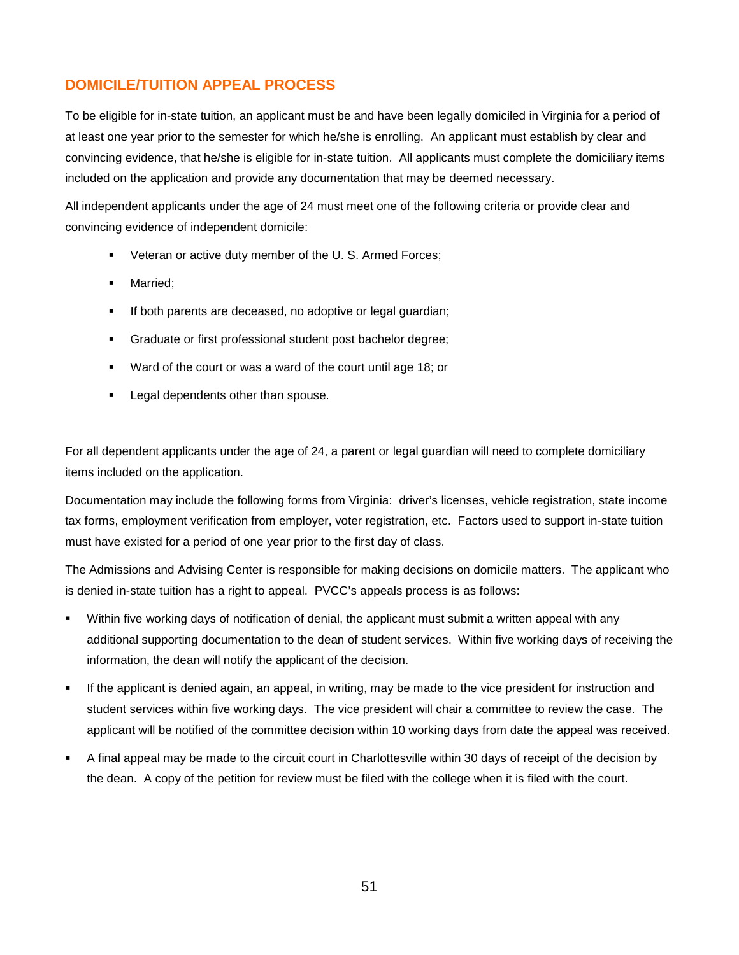# **DOMICILE/TUITION APPEAL PROCESS**

To be eligible for in-state tuition, an applicant must be and have been legally domiciled in Virginia for a period of at least one year prior to the semester for which he/she is enrolling. An applicant must establish by clear and convincing evidence, that he/she is eligible for in-state tuition. All applicants must complete the domiciliary items included on the application and provide any documentation that may be deemed necessary.

All independent applicants under the age of 24 must meet one of the following criteria or provide clear and convincing evidence of independent domicile:

- Veteran or active duty member of the U. S. Armed Forces;
- Married;
- **If both parents are deceased, no adoptive or legal guardian;**
- **Graduate or first professional student post bachelor degree;**
- Ward of the court or was a ward of the court until age 18; or
- **Legal dependents other than spouse.**

For all dependent applicants under the age of 24, a parent or legal guardian will need to complete domiciliary items included on the application.

Documentation may include the following forms from Virginia: driver's licenses, vehicle registration, state income tax forms, employment verification from employer, voter registration, etc. Factors used to support in-state tuition must have existed for a period of one year prior to the first day of class.

The Admissions and Advising Center is responsible for making decisions on domicile matters. The applicant who is denied in-state tuition has a right to appeal. PVCC's appeals process is as follows:

- Within five working days of notification of denial, the applicant must submit a written appeal with any additional supporting documentation to the dean of student services. Within five working days of receiving the information, the dean will notify the applicant of the decision.
- If the applicant is denied again, an appeal, in writing, may be made to the vice president for instruction and student services within five working days. The vice president will chair a committee to review the case. The applicant will be notified of the committee decision within 10 working days from date the appeal was received.
- A final appeal may be made to the circuit court in Charlottesville within 30 days of receipt of the decision by the dean. A copy of the petition for review must be filed with the college when it is filed with the court.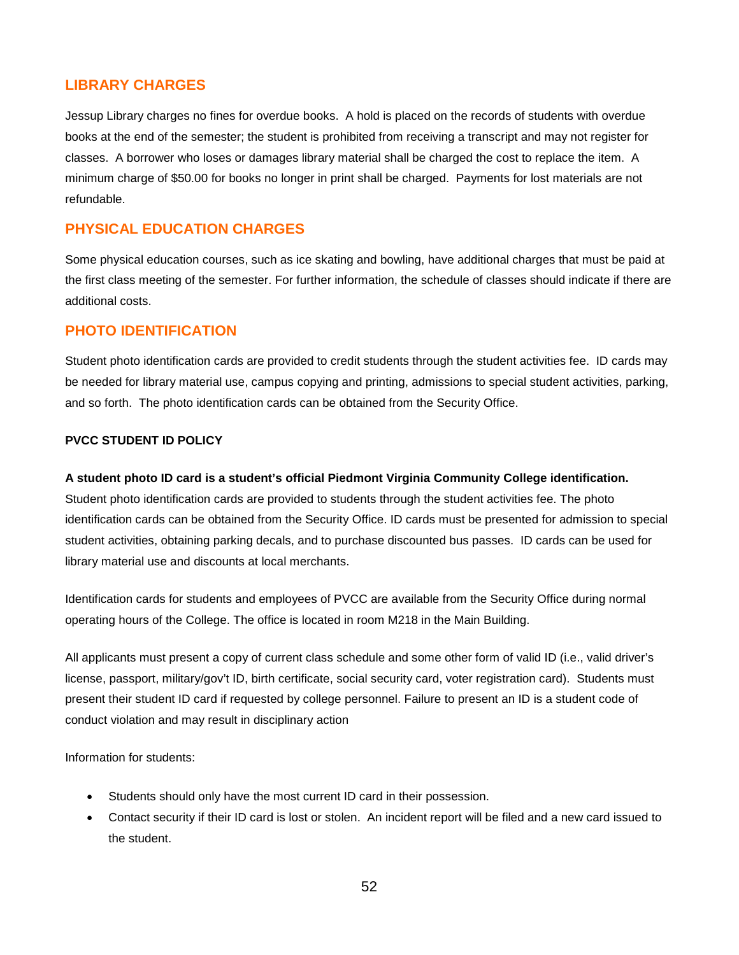# **LIBRARY CHARGES**

Jessup Library charges no fines for overdue books. A hold is placed on the records of students with overdue books at the end of the semester; the student is prohibited from receiving a transcript and may not register for classes. A borrower who loses or damages library material shall be charged the cost to replace the item. A minimum charge of \$50.00 for books no longer in print shall be charged. Payments for lost materials are not refundable.

# **PHYSICAL EDUCATION CHARGES**

Some physical education courses, such as ice skating and bowling, have additional charges that must be paid at the first class meeting of the semester. For further information, the schedule of classes should indicate if there are additional costs.

# **PHOTO IDENTIFICATION**

Student photo identification cards are provided to credit students through the student activities fee. ID cards may be needed for library material use, campus copying and printing, admissions to special student activities, parking, and so forth. The photo identification cards can be obtained from the Security Office.

### **PVCC STUDENT ID POLICY**

#### **A student photo ID card is a student's official Piedmont Virginia Community College identification.**

Student photo identification cards are provided to students through the student activities fee. The photo identification cards can be obtained from the Security Office. ID cards must be presented for admission to special student activities, obtaining parking decals, and to purchase discounted bus passes. ID cards can be used for library material use and discounts at local merchants.

Identification cards for students and employees of PVCC are available from the Security Office during normal operating hours of the College. The office is located in room M218 in the Main Building.

All applicants must present a copy of current class schedule and some other form of valid ID (i.e., valid driver's license, passport, military/gov't ID, birth certificate, social security card, voter registration card). Students must present their student ID card if requested by college personnel. Failure to present an ID is a student code of conduct violation and may result in disciplinary action

Information for students:

- Students should only have the most current ID card in their possession.
- Contact security if their ID card is lost or stolen. An incident report will be filed and a new card issued to the student.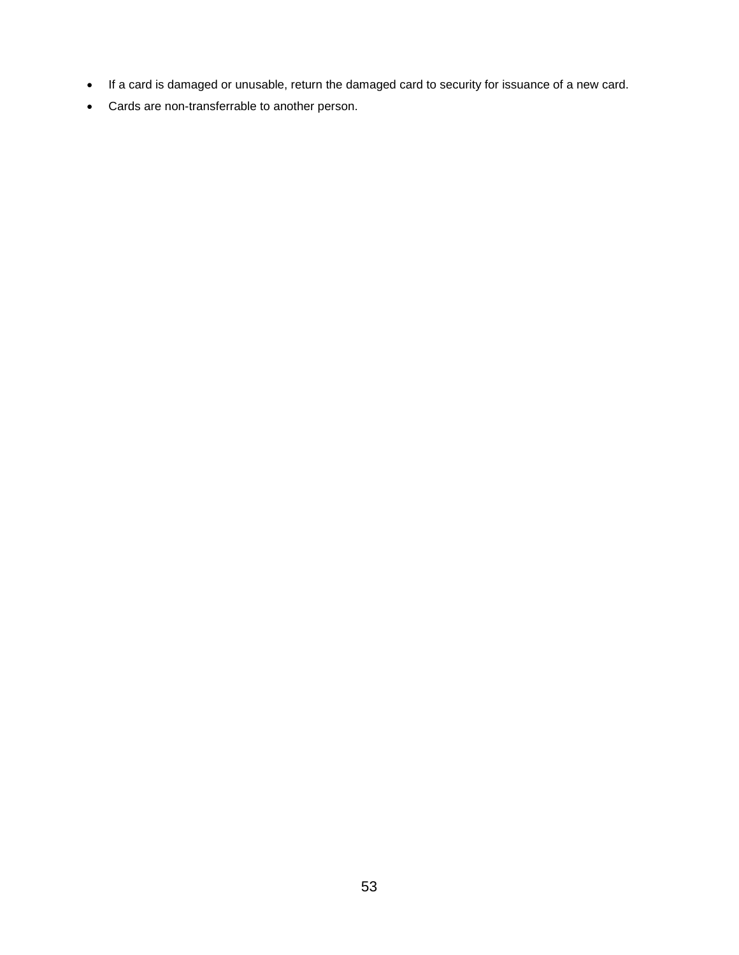- If a card is damaged or unusable, return the damaged card to security for issuance of a new card.
- Cards are non-transferrable to another person.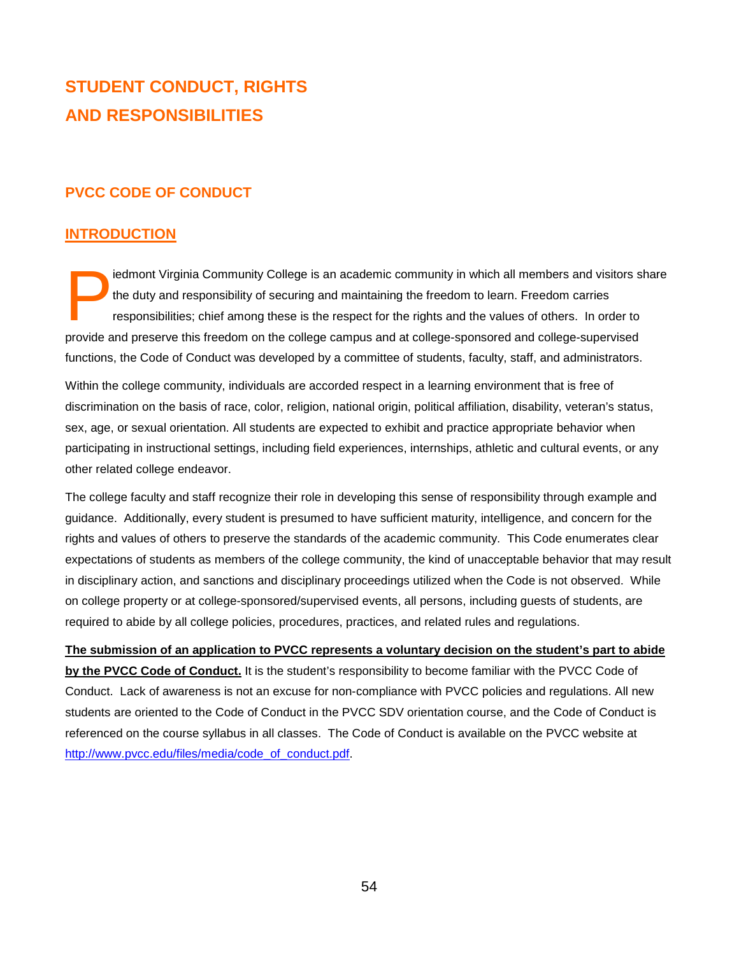# **STUDENT CONDUCT, RIGHTS AND RESPONSIBILITIES**

# **PVCC CODE OF CONDUCT**

# **INTRODUCTION**

iedmont Virginia Community College is an academic community in which all members and visitors share the duty and responsibility of securing and maintaining the freedom to learn. Freedom carries responsibilities; chief among these is the respect for the rights and the values of others. In order to iedmont Virginia Community College is an academic community in which all members and visitors s<br>the duty and responsibility of securing and maintaining the freedom to learn. Freedom carries<br>responsibilities; chief among th functions, the Code of Conduct was developed by a committee of students, faculty, staff, and administrators.

Within the college community, individuals are accorded respect in a learning environment that is free of discrimination on the basis of race, color, religion, national origin, political affiliation, disability, veteran's status, sex, age, or sexual orientation. All students are expected to exhibit and practice appropriate behavior when participating in instructional settings, including field experiences, internships, athletic and cultural events, or any other related college endeavor.

The college faculty and staff recognize their role in developing this sense of responsibility through example and guidance. Additionally, every student is presumed to have sufficient maturity, intelligence, and concern for the rights and values of others to preserve the standards of the academic community. This Code enumerates clear expectations of students as members of the college community, the kind of unacceptable behavior that may result in disciplinary action, and sanctions and disciplinary proceedings utilized when the Code is not observed. While on college property or at college-sponsored/supervised events, all persons, including guests of students, are required to abide by all college policies, procedures, practices, and related rules and regulations.

**The submission of an application to PVCC represents a voluntary decision on the student's part to abide by the PVCC Code of Conduct.** It is the student's responsibility to become familiar with the PVCC Code of Conduct. Lack of awareness is not an excuse for non-compliance with PVCC policies and regulations. All new students are oriented to the Code of Conduct in the PVCC SDV orientation course, and the Code of Conduct is referenced on the course syllabus in all classes. The Code of Conduct is available on the PVCC website at [http://www.pvcc.edu/files/media/code\\_of\\_conduct.pdf.](http://www.pvcc.edu/files/media/code_of_conduct.pdf)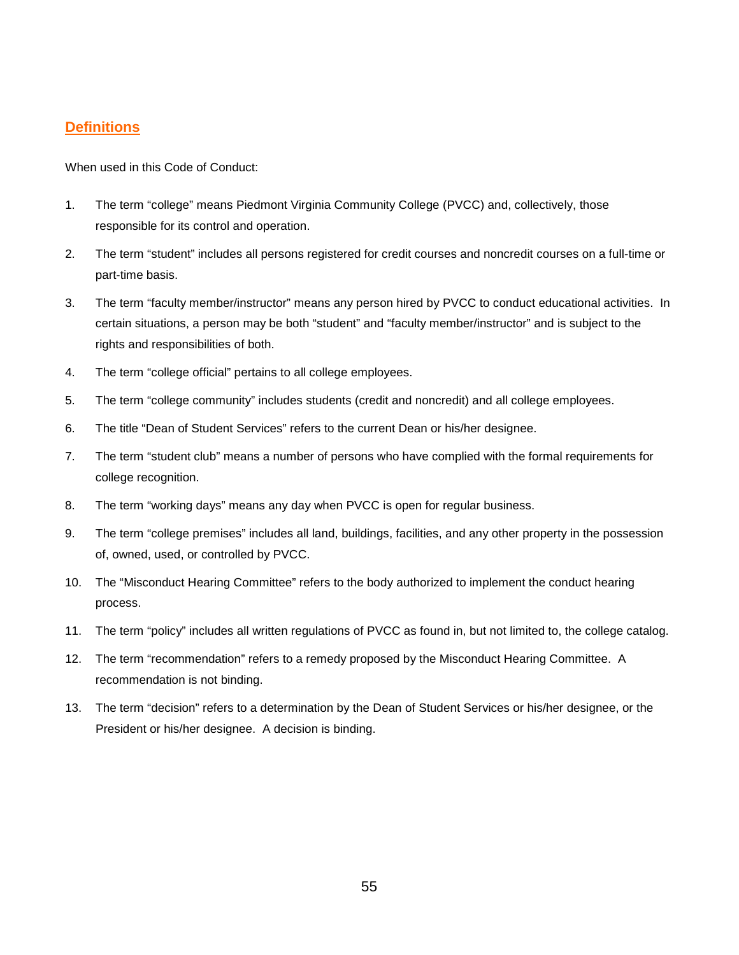# **Definitions**

When used in this Code of Conduct:

- 1. The term "college" means Piedmont Virginia Community College (PVCC) and, collectively, those responsible for its control and operation.
- 2. The term "student" includes all persons registered for credit courses and noncredit courses on a full-time or part-time basis.
- 3. The term "faculty member/instructor" means any person hired by PVCC to conduct educational activities. In certain situations, a person may be both "student" and "faculty member/instructor" and is subject to the rights and responsibilities of both.
- 4. The term "college official" pertains to all college employees.
- 5. The term "college community" includes students (credit and noncredit) and all college employees.
- 6. The title "Dean of Student Services" refers to the current Dean or his/her designee.
- 7. The term "student club" means a number of persons who have complied with the formal requirements for college recognition.
- 8. The term "working days" means any day when PVCC is open for regular business.
- 9. The term "college premises" includes all land, buildings, facilities, and any other property in the possession of, owned, used, or controlled by PVCC.
- 10. The "Misconduct Hearing Committee" refers to the body authorized to implement the conduct hearing process.
- 11. The term "policy" includes all written regulations of PVCC as found in, but not limited to, the college catalog.
- 12. The term "recommendation" refers to a remedy proposed by the Misconduct Hearing Committee. A recommendation is not binding.
- 13. The term "decision" refers to a determination by the Dean of Student Services or his/her designee, or the President or his/her designee. A decision is binding.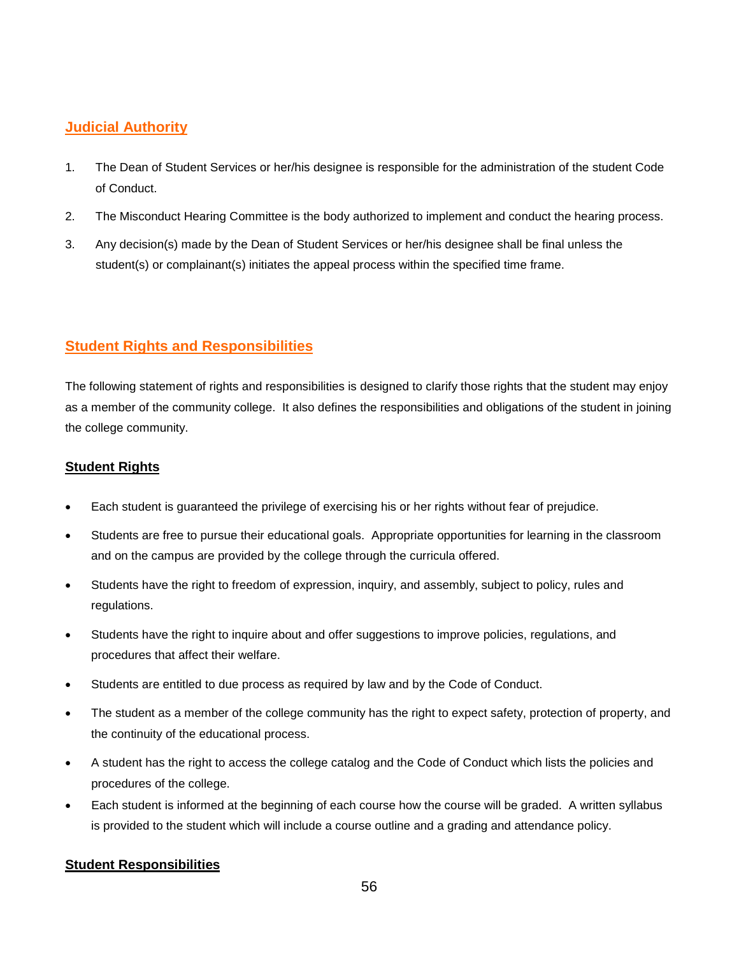# **Judicial Authority**

- 1. The Dean of Student Services or her/his designee is responsible for the administration of the student Code of Conduct.
- 2. The Misconduct Hearing Committee is the body authorized to implement and conduct the hearing process.
- 3. Any decision(s) made by the Dean of Student Services or her/his designee shall be final unless the student(s) or complainant(s) initiates the appeal process within the specified time frame.

# **Student Rights and Responsibilities**

The following statement of rights and responsibilities is designed to clarify those rights that the student may enjoy as a member of the community college. It also defines the responsibilities and obligations of the student in joining the college community.

# **Student Rights**

- Each student is guaranteed the privilege of exercising his or her rights without fear of prejudice.
- Students are free to pursue their educational goals. Appropriate opportunities for learning in the classroom and on the campus are provided by the college through the curricula offered.
- Students have the right to freedom of expression, inquiry, and assembly, subject to policy, rules and regulations.
- Students have the right to inquire about and offer suggestions to improve policies, regulations, and procedures that affect their welfare.
- Students are entitled to due process as required by law and by the Code of Conduct.
- The student as a member of the college community has the right to expect safety, protection of property, and the continuity of the educational process.
- A student has the right to access the college catalog and the Code of Conduct which lists the policies and procedures of the college.
- Each student is informed at the beginning of each course how the course will be graded. A written syllabus is provided to the student which will include a course outline and a grading and attendance policy.

# **Student Responsibilities**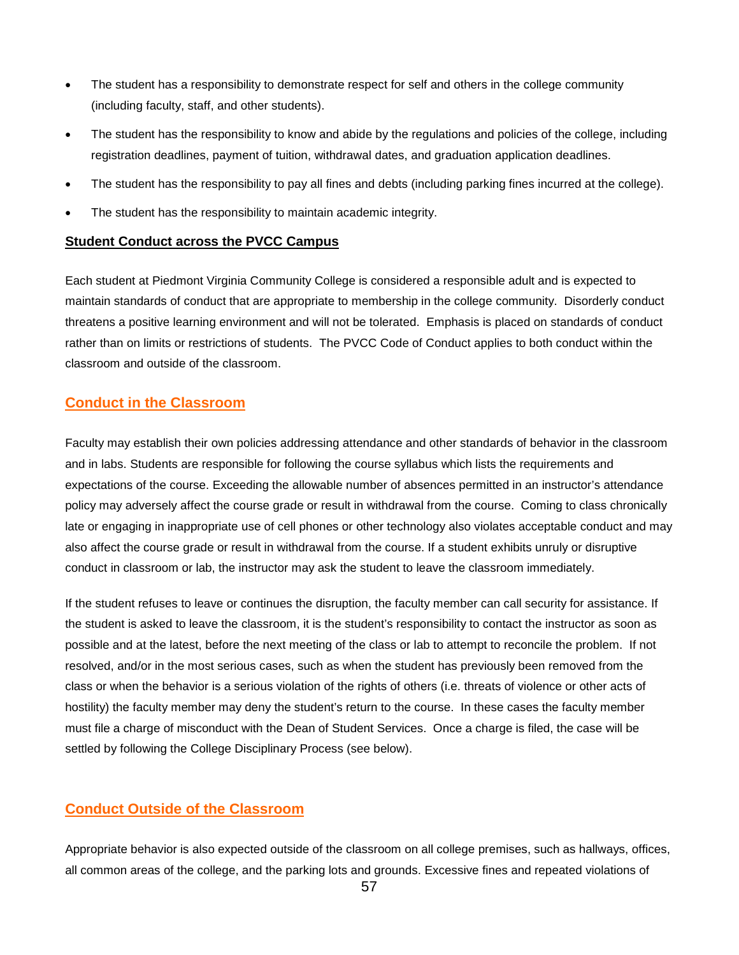- The student has a responsibility to demonstrate respect for self and others in the college community (including faculty, staff, and other students).
- The student has the responsibility to know and abide by the regulations and policies of the college, including registration deadlines, payment of tuition, withdrawal dates, and graduation application deadlines.
- The student has the responsibility to pay all fines and debts (including parking fines incurred at the college).
- The student has the responsibility to maintain academic integrity.

### **Student Conduct across the PVCC Campus**

Each student at Piedmont Virginia Community College is considered a responsible adult and is expected to maintain standards of conduct that are appropriate to membership in the college community. Disorderly conduct threatens a positive learning environment and will not be tolerated. Emphasis is placed on standards of conduct rather than on limits or restrictions of students. The PVCC Code of Conduct applies to both conduct within the classroom and outside of the classroom.

# **Conduct in the Classroom**

Faculty may establish their own policies addressing attendance and other standards of behavior in the classroom and in labs. Students are responsible for following the course syllabus which lists the requirements and expectations of the course. Exceeding the allowable number of absences permitted in an instructor's attendance policy may adversely affect the course grade or result in withdrawal from the course. Coming to class chronically late or engaging in inappropriate use of cell phones or other technology also violates acceptable conduct and may also affect the course grade or result in withdrawal from the course. If a student exhibits unruly or disruptive conduct in classroom or lab, the instructor may ask the student to leave the classroom immediately.

If the student refuses to leave or continues the disruption, the faculty member can call security for assistance. If the student is asked to leave the classroom, it is the student's responsibility to contact the instructor as soon as possible and at the latest, before the next meeting of the class or lab to attempt to reconcile the problem. If not resolved, and/or in the most serious cases, such as when the student has previously been removed from the class or when the behavior is a serious violation of the rights of others (i.e. threats of violence or other acts of hostility) the faculty member may deny the student's return to the course. In these cases the faculty member must file a charge of misconduct with the Dean of Student Services. Once a charge is filed, the case will be settled by following the College Disciplinary Process (see below).

# **Conduct Outside of the Classroom**

Appropriate behavior is also expected outside of the classroom on all college premises, such as hallways, offices, all common areas of the college, and the parking lots and grounds. Excessive fines and repeated violations of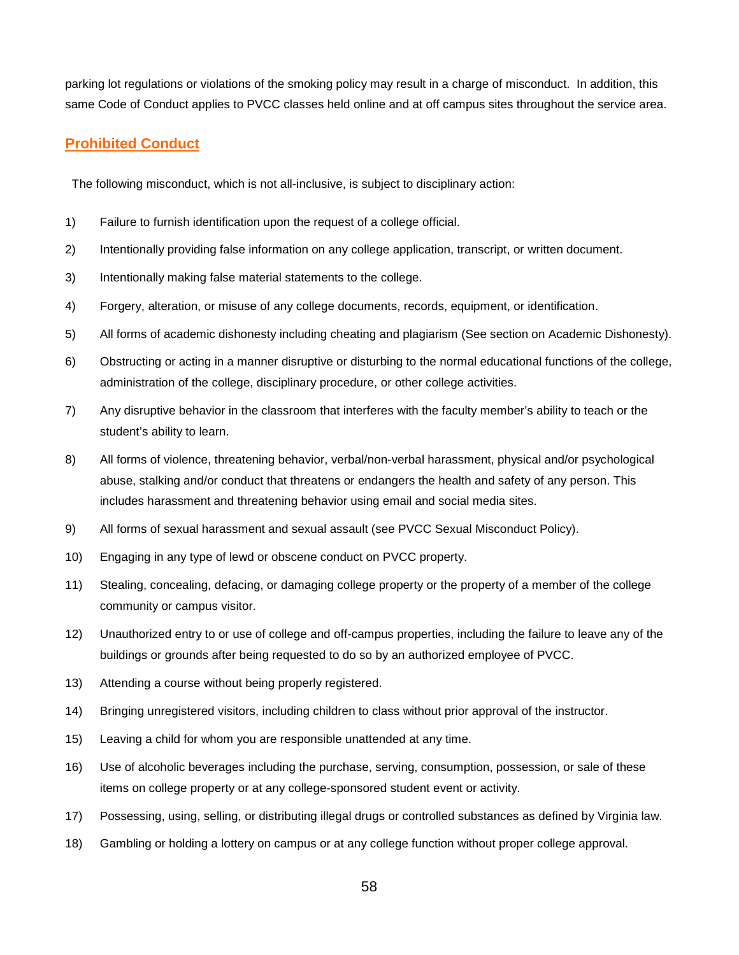parking lot regulations or violations of the smoking policy may result in a charge of misconduct. In addition, this same Code of Conduct applies to PVCC classes held online and at off campus sites throughout the service area.

# **Prohibited Conduct**

The following misconduct, which is not all-inclusive, is subject to disciplinary action:

- 1) Failure to furnish identification upon the request of a college official.
- 2) Intentionally providing false information on any college application, transcript, or written document.
- 3) Intentionally making false material statements to the college.
- 4) Forgery, alteration, or misuse of any college documents, records, equipment, or identification.
- 5) All forms of academic dishonesty including cheating and plagiarism (See section on Academic Dishonesty).
- 6) Obstructing or acting in a manner disruptive or disturbing to the normal educational functions of the college, administration of the college, disciplinary procedure, or other college activities.
- 7) Any disruptive behavior in the classroom that interferes with the faculty member's ability to teach or the student's ability to learn.
- 8) All forms of violence, threatening behavior, verbal/non-verbal harassment, physical and/or psychological abuse, stalking and/or conduct that threatens or endangers the health and safety of any person. This includes harassment and threatening behavior using email and social media sites.
- 9) All forms of sexual harassment and sexual assault (see PVCC Sexual Misconduct Policy).
- 10) Engaging in any type of lewd or obscene conduct on PVCC property.
- 11) Stealing, concealing, defacing, or damaging college property or the property of a member of the college community or campus visitor.
- 12) Unauthorized entry to or use of college and off-campus properties, including the failure to leave any of the buildings or grounds after being requested to do so by an authorized employee of PVCC.
- 13) Attending a course without being properly registered.
- 14) Bringing unregistered visitors, including children to class without prior approval of the instructor.
- 15) Leaving a child for whom you are responsible unattended at any time.
- 16) Use of alcoholic beverages including the purchase, serving, consumption, possession, or sale of these items on college property or at any college-sponsored student event or activity.
- 17) Possessing, using, selling, or distributing illegal drugs or controlled substances as defined by Virginia law.
- 18) Gambling or holding a lottery on campus or at any college function without proper college approval.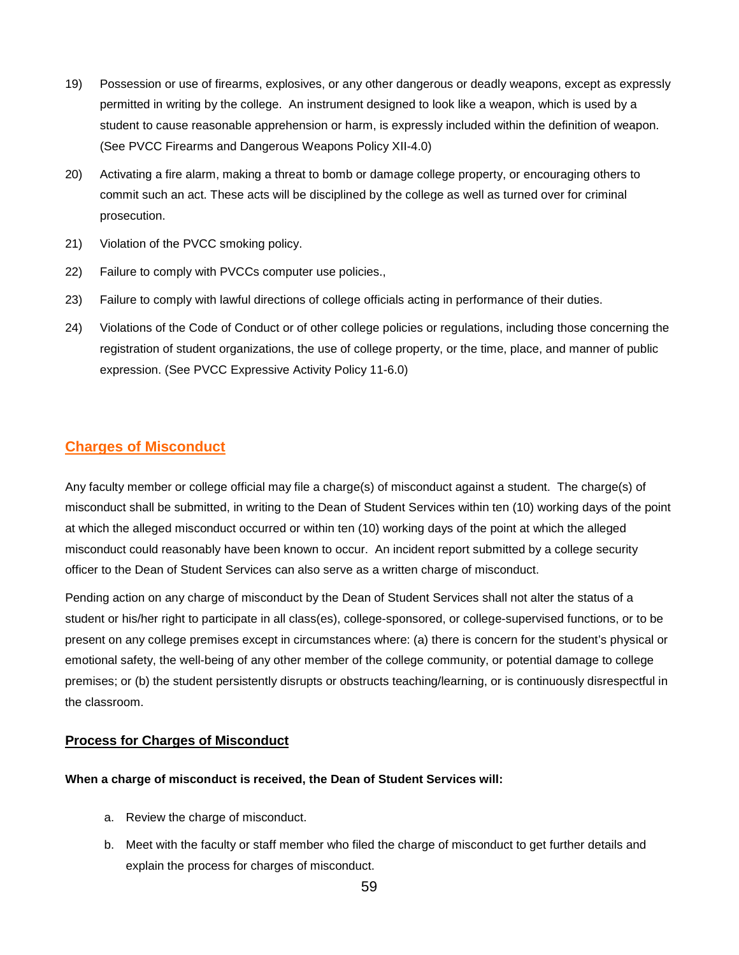- 19) Possession or use of firearms, explosives, or any other dangerous or deadly weapons, except as expressly permitted in writing by the college. An instrument designed to look like a weapon, which is used by a student to cause reasonable apprehension or harm, is expressly included within the definition of weapon. (See PVCC Firearms and Dangerous Weapons Policy XII-4.0)
- 20) Activating a fire alarm, making a threat to bomb or damage college property, or encouraging others to commit such an act. These acts will be disciplined by the college as well as turned over for criminal prosecution.
- 21) Violation of the PVCC smoking policy.
- 22) Failure to comply with PVCCs computer use policies.,
- 23) Failure to comply with lawful directions of college officials acting in performance of their duties.
- 24) Violations of the Code of Conduct or of other college policies or regulations, including those concerning the registration of student organizations, the use of college property, or the time, place, and manner of public expression. (See PVCC Expressive Activity Policy 11-6.0)

# **Charges of Misconduct**

Any faculty member or college official may file a charge(s) of misconduct against a student. The charge(s) of misconduct shall be submitted, in writing to the Dean of Student Services within ten (10) working days of the point at which the alleged misconduct occurred or within ten (10) working days of the point at which the alleged misconduct could reasonably have been known to occur. An incident report submitted by a college security officer to the Dean of Student Services can also serve as a written charge of misconduct.

Pending action on any charge of misconduct by the Dean of Student Services shall not alter the status of a student or his/her right to participate in all class(es), college-sponsored, or college-supervised functions, or to be present on any college premises except in circumstances where: (a) there is concern for the student's physical or emotional safety, the well-being of any other member of the college community, or potential damage to college premises; or (b) the student persistently disrupts or obstructs teaching/learning, or is continuously disrespectful in the classroom.

### **Process for Charges of Misconduct**

#### **When a charge of misconduct is received, the Dean of Student Services will:**

- a. Review the charge of misconduct.
- b. Meet with the faculty or staff member who filed the charge of misconduct to get further details and explain the process for charges of misconduct.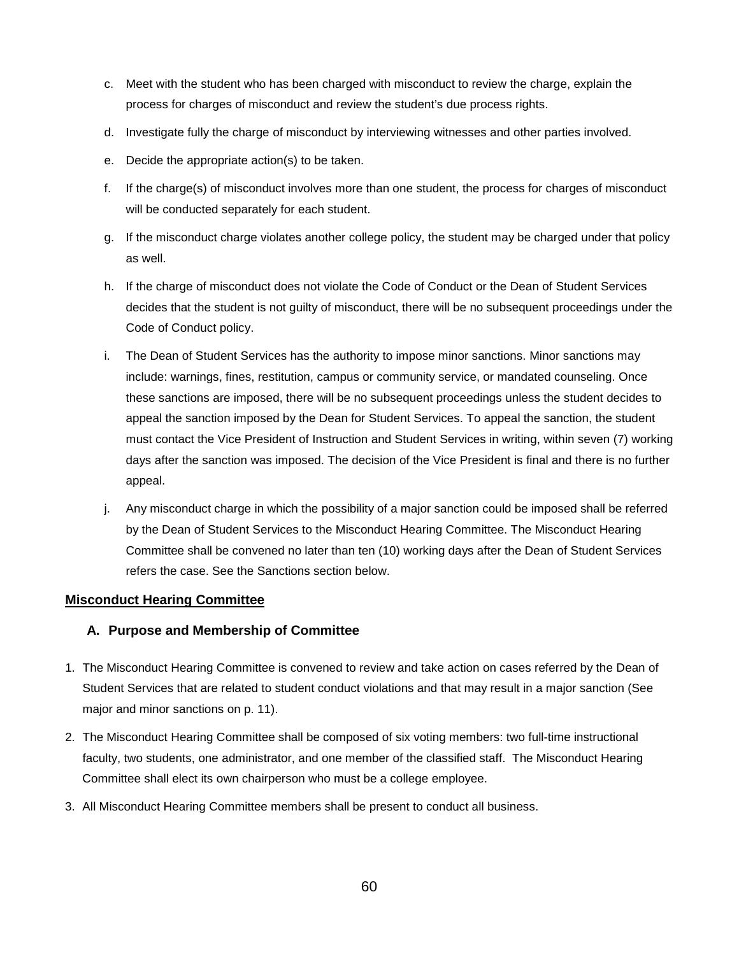- c. Meet with the student who has been charged with misconduct to review the charge, explain the process for charges of misconduct and review the student's due process rights.
- d. Investigate fully the charge of misconduct by interviewing witnesses and other parties involved.
- e. Decide the appropriate action(s) to be taken.
- f. If the charge(s) of misconduct involves more than one student, the process for charges of misconduct will be conducted separately for each student.
- g. If the misconduct charge violates another college policy, the student may be charged under that policy as well.
- h. If the charge of misconduct does not violate the Code of Conduct or the Dean of Student Services decides that the student is not guilty of misconduct, there will be no subsequent proceedings under the Code of Conduct policy.
- i. The Dean of Student Services has the authority to impose minor sanctions. Minor sanctions may include: warnings, fines, restitution, campus or community service, or mandated counseling. Once these sanctions are imposed, there will be no subsequent proceedings unless the student decides to appeal the sanction imposed by the Dean for Student Services. To appeal the sanction, the student must contact the Vice President of Instruction and Student Services in writing, within seven (7) working days after the sanction was imposed. The decision of the Vice President is final and there is no further appeal.
- j. Any misconduct charge in which the possibility of a major sanction could be imposed shall be referred by the Dean of Student Services to the Misconduct Hearing Committee. The Misconduct Hearing Committee shall be convened no later than ten (10) working days after the Dean of Student Services refers the case. See the Sanctions section below.

### **Misconduct Hearing Committee**

# **A. Purpose and Membership of Committee**

- 1. The Misconduct Hearing Committee is convened to review and take action on cases referred by the Dean of Student Services that are related to student conduct violations and that may result in a major sanction (See major and minor sanctions on p. 11).
- 2. The Misconduct Hearing Committee shall be composed of six voting members: two full-time instructional faculty, two students, one administrator, and one member of the classified staff. The Misconduct Hearing Committee shall elect its own chairperson who must be a college employee.
- 3. All Misconduct Hearing Committee members shall be present to conduct all business.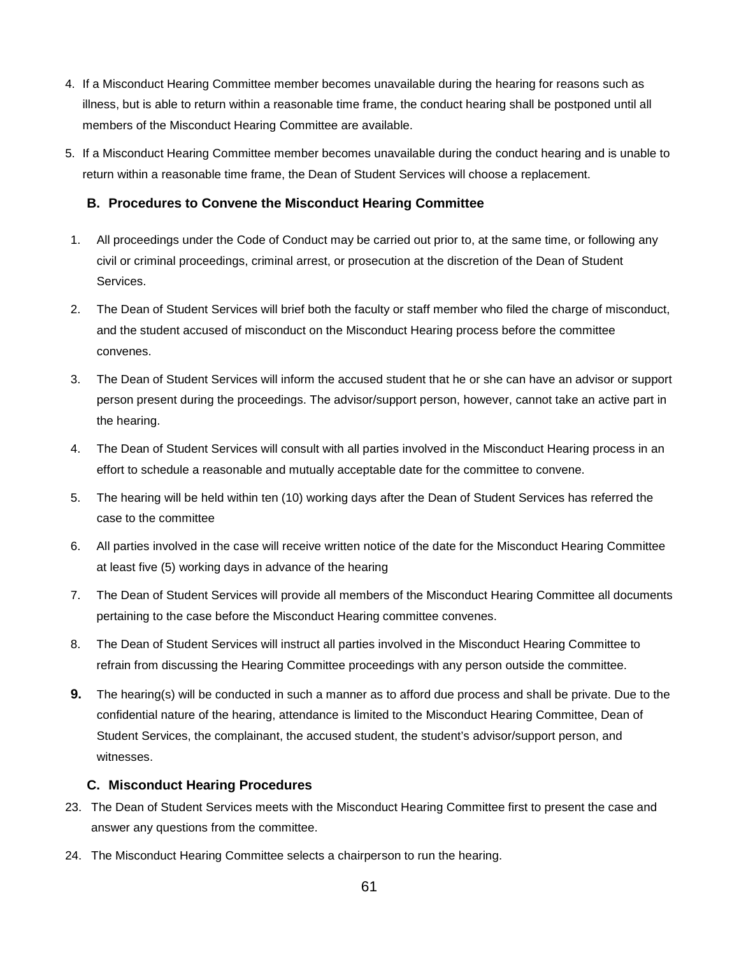- 4. If a Misconduct Hearing Committee member becomes unavailable during the hearing for reasons such as illness, but is able to return within a reasonable time frame, the conduct hearing shall be postponed until all members of the Misconduct Hearing Committee are available.
- 5. If a Misconduct Hearing Committee member becomes unavailable during the conduct hearing and is unable to return within a reasonable time frame, the Dean of Student Services will choose a replacement.

### **B. Procedures to Convene the Misconduct Hearing Committee**

- 1. All proceedings under the Code of Conduct may be carried out prior to, at the same time, or following any civil or criminal proceedings, criminal arrest, or prosecution at the discretion of the Dean of Student Services.
- 2. The Dean of Student Services will brief both the faculty or staff member who filed the charge of misconduct, and the student accused of misconduct on the Misconduct Hearing process before the committee convenes.
- 3. The Dean of Student Services will inform the accused student that he or she can have an advisor or support person present during the proceedings. The advisor/support person, however, cannot take an active part in the hearing.
- 4. The Dean of Student Services will consult with all parties involved in the Misconduct Hearing process in an effort to schedule a reasonable and mutually acceptable date for the committee to convene.
- 5. The hearing will be held within ten (10) working days after the Dean of Student Services has referred the case to the committee
- 6. All parties involved in the case will receive written notice of the date for the Misconduct Hearing Committee at least five (5) working days in advance of the hearing
- 7. The Dean of Student Services will provide all members of the Misconduct Hearing Committee all documents pertaining to the case before the Misconduct Hearing committee convenes.
- 8. The Dean of Student Services will instruct all parties involved in the Misconduct Hearing Committee to refrain from discussing the Hearing Committee proceedings with any person outside the committee.
- **9.** The hearing(s) will be conducted in such a manner as to afford due process and shall be private. Due to the confidential nature of the hearing, attendance is limited to the Misconduct Hearing Committee, Dean of Student Services, the complainant, the accused student, the student's advisor/support person, and witnesses.

### **C. Misconduct Hearing Procedures**

- 23. The Dean of Student Services meets with the Misconduct Hearing Committee first to present the case and answer any questions from the committee.
- 24. The Misconduct Hearing Committee selects a chairperson to run the hearing.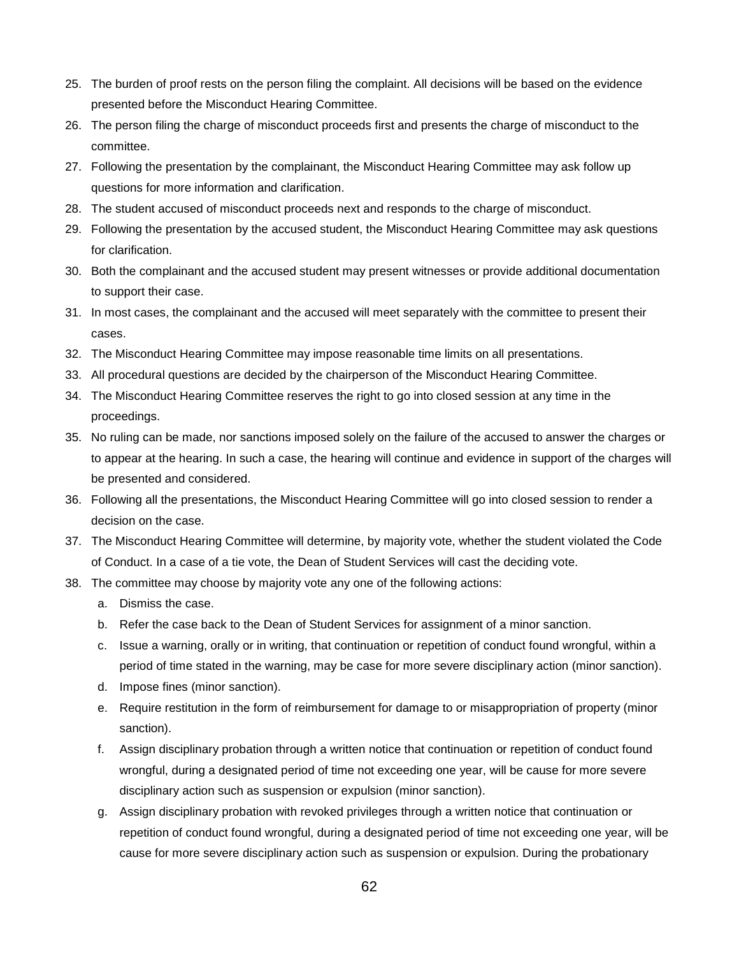- 25. The burden of proof rests on the person filing the complaint. All decisions will be based on the evidence presented before the Misconduct Hearing Committee.
- 26. The person filing the charge of misconduct proceeds first and presents the charge of misconduct to the committee.
- 27. Following the presentation by the complainant, the Misconduct Hearing Committee may ask follow up questions for more information and clarification.
- 28. The student accused of misconduct proceeds next and responds to the charge of misconduct.
- 29. Following the presentation by the accused student, the Misconduct Hearing Committee may ask questions for clarification.
- 30. Both the complainant and the accused student may present witnesses or provide additional documentation to support their case.
- 31. In most cases, the complainant and the accused will meet separately with the committee to present their cases.
- 32. The Misconduct Hearing Committee may impose reasonable time limits on all presentations.
- 33. All procedural questions are decided by the chairperson of the Misconduct Hearing Committee.
- 34. The Misconduct Hearing Committee reserves the right to go into closed session at any time in the proceedings.
- 35. No ruling can be made, nor sanctions imposed solely on the failure of the accused to answer the charges or to appear at the hearing. In such a case, the hearing will continue and evidence in support of the charges will be presented and considered.
- 36. Following all the presentations, the Misconduct Hearing Committee will go into closed session to render a decision on the case.
- 37. The Misconduct Hearing Committee will determine, by majority vote, whether the student violated the Code of Conduct. In a case of a tie vote, the Dean of Student Services will cast the deciding vote.
- 38. The committee may choose by majority vote any one of the following actions:
	- a. Dismiss the case.
	- b. Refer the case back to the Dean of Student Services for assignment of a minor sanction.
	- c. Issue a warning, orally or in writing, that continuation or repetition of conduct found wrongful, within a period of time stated in the warning, may be case for more severe disciplinary action (minor sanction).
	- d. Impose fines (minor sanction).
	- e. Require restitution in the form of reimbursement for damage to or misappropriation of property (minor sanction).
	- f. Assign disciplinary probation through a written notice that continuation or repetition of conduct found wrongful, during a designated period of time not exceeding one year, will be cause for more severe disciplinary action such as suspension or expulsion (minor sanction).
	- g. Assign disciplinary probation with revoked privileges through a written notice that continuation or repetition of conduct found wrongful, during a designated period of time not exceeding one year, will be cause for more severe disciplinary action such as suspension or expulsion. During the probationary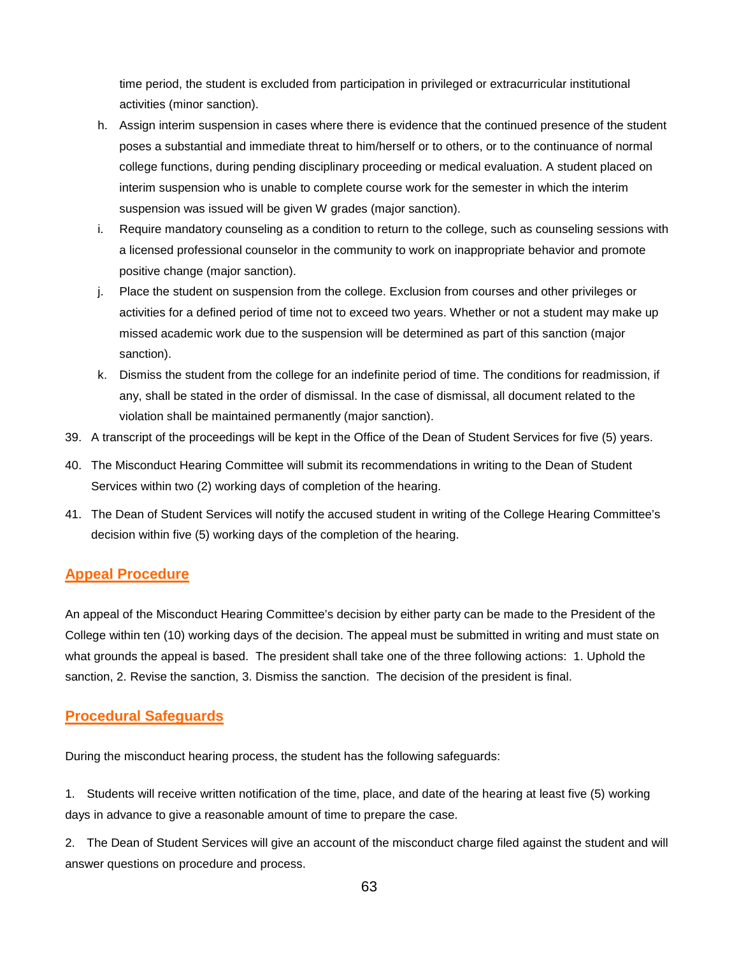time period, the student is excluded from participation in privileged or extracurricular institutional activities (minor sanction).

- h. Assign interim suspension in cases where there is evidence that the continued presence of the student poses a substantial and immediate threat to him/herself or to others, or to the continuance of normal college functions, during pending disciplinary proceeding or medical evaluation. A student placed on interim suspension who is unable to complete course work for the semester in which the interim suspension was issued will be given W grades (major sanction).
- i. Require mandatory counseling as a condition to return to the college, such as counseling sessions with a licensed professional counselor in the community to work on inappropriate behavior and promote positive change (major sanction).
- j. Place the student on suspension from the college. Exclusion from courses and other privileges or activities for a defined period of time not to exceed two years. Whether or not a student may make up missed academic work due to the suspension will be determined as part of this sanction (major sanction).
- k. Dismiss the student from the college for an indefinite period of time. The conditions for readmission, if any, shall be stated in the order of dismissal. In the case of dismissal, all document related to the violation shall be maintained permanently (major sanction).
- 39. A transcript of the proceedings will be kept in the Office of the Dean of Student Services for five (5) years.
- 40. The Misconduct Hearing Committee will submit its recommendations in writing to the Dean of Student Services within two (2) working days of completion of the hearing.
- 41. The Dean of Student Services will notify the accused student in writing of the College Hearing Committee's decision within five (5) working days of the completion of the hearing.

# **Appeal Procedure**

An appeal of the Misconduct Hearing Committee's decision by either party can be made to the President of the College within ten (10) working days of the decision. The appeal must be submitted in writing and must state on what grounds the appeal is based. The president shall take one of the three following actions: 1. Uphold the sanction, 2. Revise the sanction, 3. Dismiss the sanction. The decision of the president is final.

# **Procedural Safeguards**

During the misconduct hearing process, the student has the following safeguards:

1. Students will receive written notification of the time, place, and date of the hearing at least five (5) working days in advance to give a reasonable amount of time to prepare the case.

2. The Dean of Student Services will give an account of the misconduct charge filed against the student and will answer questions on procedure and process.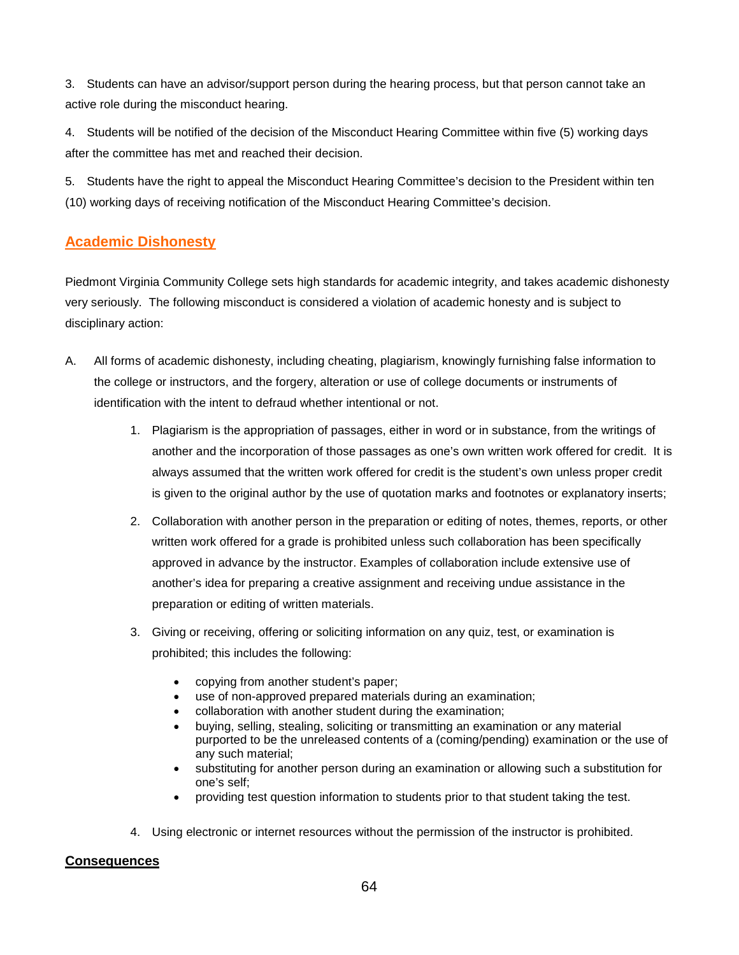3. Students can have an advisor/support person during the hearing process, but that person cannot take an active role during the misconduct hearing.

4. Students will be notified of the decision of the Misconduct Hearing Committee within five (5) working days after the committee has met and reached their decision.

5. Students have the right to appeal the Misconduct Hearing Committee's decision to the President within ten (10) working days of receiving notification of the Misconduct Hearing Committee's decision.

# **Academic Dishonesty**

Piedmont Virginia Community College sets high standards for academic integrity, and takes academic dishonesty very seriously. The following misconduct is considered a violation of academic honesty and is subject to disciplinary action:

- A. All forms of academic dishonesty, including cheating, plagiarism, knowingly furnishing false information to the college or instructors, and the forgery, alteration or use of college documents or instruments of identification with the intent to defraud whether intentional or not.
	- 1. Plagiarism is the appropriation of passages, either in word or in substance, from the writings of another and the incorporation of those passages as one's own written work offered for credit. It is always assumed that the written work offered for credit is the student's own unless proper credit is given to the original author by the use of quotation marks and footnotes or explanatory inserts;
	- 2. Collaboration with another person in the preparation or editing of notes, themes, reports, or other written work offered for a grade is prohibited unless such collaboration has been specifically approved in advance by the instructor. Examples of collaboration include extensive use of another's idea for preparing a creative assignment and receiving undue assistance in the preparation or editing of written materials.
	- 3. Giving or receiving, offering or soliciting information on any quiz, test, or examination is prohibited; this includes the following:
		- copying from another student's paper;
		- use of non-approved prepared materials during an examination;
		- collaboration with another student during the examination;
		- buying, selling, stealing, soliciting or transmitting an examination or any material purported to be the unreleased contents of a (coming/pending) examination or the use of any such material;
		- substituting for another person during an examination or allowing such a substitution for one's self;
		- providing test question information to students prior to that student taking the test.
	- 4. Using electronic or internet resources without the permission of the instructor is prohibited.

# **Consequences**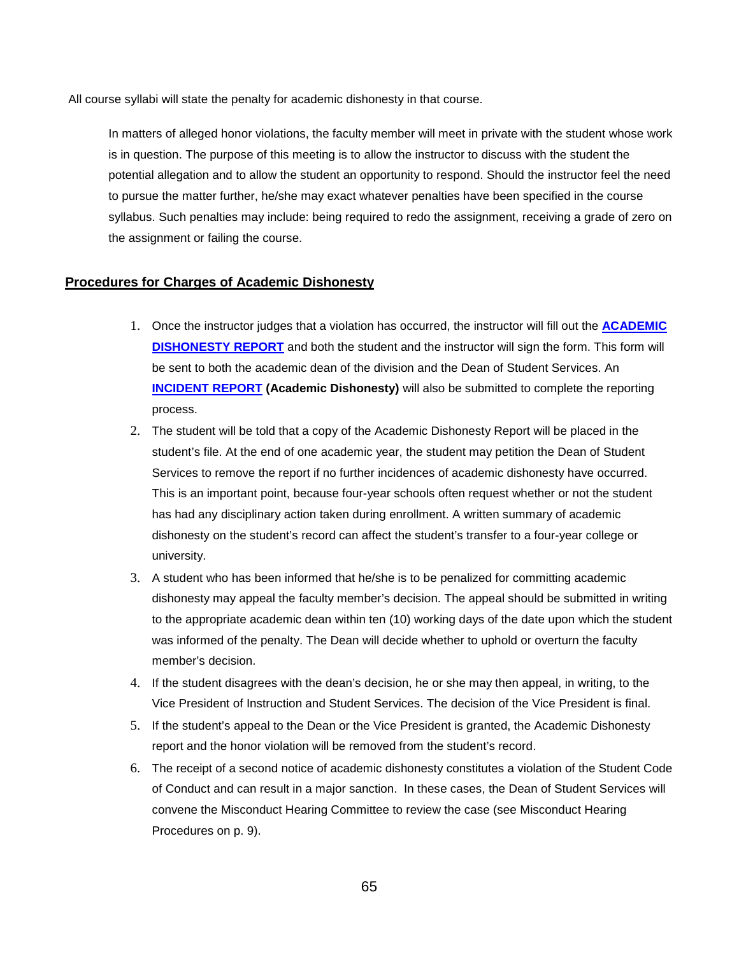All course syllabi will state the penalty for academic dishonesty in that course.

In matters of alleged honor violations, the faculty member will meet in private with the student whose work is in question. The purpose of this meeting is to allow the instructor to discuss with the student the potential allegation and to allow the student an opportunity to respond. Should the instructor feel the need to pursue the matter further, he/she may exact whatever penalties have been specified in the course syllabus. Such penalties may include: being required to redo the assignment, receiving a grade of zero on the assignment or failing the course.

### **Procedures for Charges of Academic Dishonesty**

- 1. Once the instructor judges that a violation has occurred, the instructor will fill out the **[ACADEMIC](http://www.pvcc.edu/files/media/academic_dishonesty_report.pdf)  [DISHONESTY REPORT](http://www.pvcc.edu/files/media/academic_dishonesty_report.pdf)** and both the student and the instructor will sign the form. This form will be sent to both the academic dean of the division and the Dean of Student Services. An **[INCIDENT REPORT](https://publicdocs.maxient.com/incidentreport.php?PiedmontVirginiaCC) (Academic Dishonesty)** will also be submitted to complete the reporting process.
- 2. The student will be told that a copy of the Academic Dishonesty Report will be placed in the student's file. At the end of one academic year, the student may petition the Dean of Student Services to remove the report if no further incidences of academic dishonesty have occurred. This is an important point, because four-year schools often request whether or not the student has had any disciplinary action taken during enrollment. A written summary of academic dishonesty on the student's record can affect the student's transfer to a four-year college or university.
- 3. A student who has been informed that he/she is to be penalized for committing academic dishonesty may appeal the faculty member's decision. The appeal should be submitted in writing to the appropriate academic dean within ten (10) working days of the date upon which the student was informed of the penalty. The Dean will decide whether to uphold or overturn the faculty member's decision.
- 4. If the student disagrees with the dean's decision, he or she may then appeal, in writing, to the Vice President of Instruction and Student Services. The decision of the Vice President is final.
- 5. If the student's appeal to the Dean or the Vice President is granted, the Academic Dishonesty report and the honor violation will be removed from the student's record.
- 6. The receipt of a second notice of academic dishonesty constitutes a violation of the Student Code of Conduct and can result in a major sanction. In these cases, the Dean of Student Services will convene the Misconduct Hearing Committee to review the case (see Misconduct Hearing Procedures on p. 9).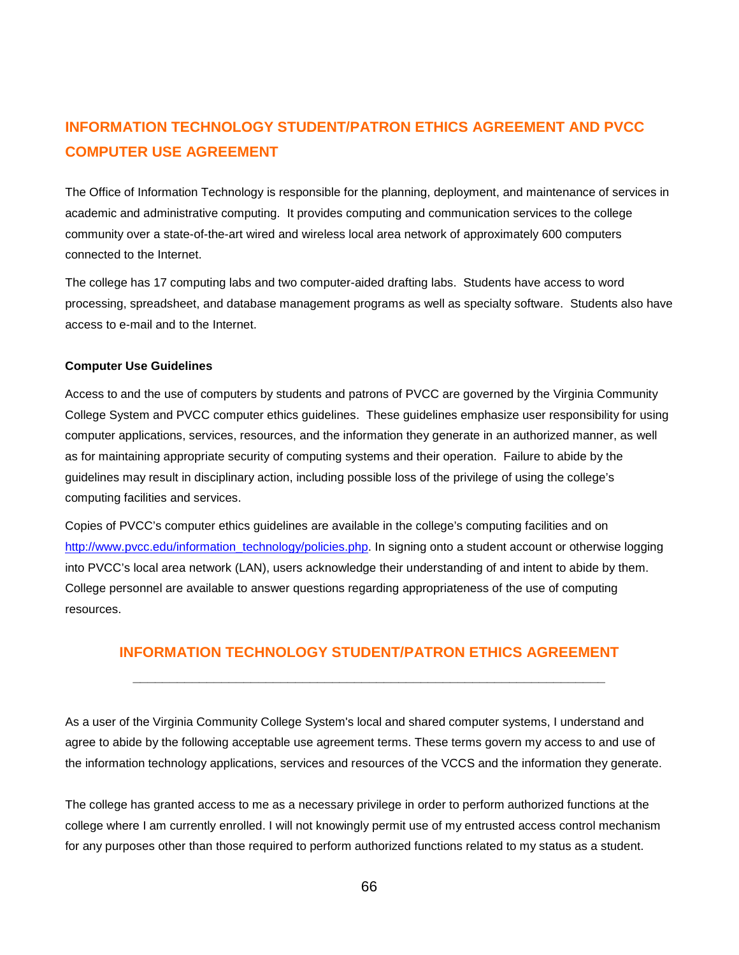# **INFORMATION TECHNOLOGY STUDENT/PATRON ETHICS AGREEMENT AND PVCC COMPUTER USE AGREEMENT**

The Office of Information Technology is responsible for the planning, deployment, and maintenance of services in academic and administrative computing. It provides computing and communication services to the college community over a state-of-the-art wired and wireless local area network of approximately 600 computers connected to the Internet.

The college has 17 computing labs and two computer-aided drafting labs. Students have access to word processing, spreadsheet, and database management programs as well as specialty software. Students also have access to e-mail and to the Internet.

#### **Computer Use Guidelines**

Access to and the use of computers by students and patrons of PVCC are governed by the Virginia Community College System and PVCC computer ethics guidelines. These guidelines emphasize user responsibility for using computer applications, services, resources, and the information they generate in an authorized manner, as well as for maintaining appropriate security of computing systems and their operation. Failure to abide by the guidelines may result in disciplinary action, including possible loss of the privilege of using the college's computing facilities and services.

Copies of PVCC's computer ethics guidelines are available in the college's computing facilities and on [http://www.pvcc.edu/information\\_technology/policies.php.](http://www.pvcc.edu/information_technology/policies.php) In signing onto a student account or otherwise logging into PVCC's local area network (LAN), users acknowledge their understanding of and intent to abide by them. College personnel are available to answer questions regarding appropriateness of the use of computing resources.

# **INFORMATION TECHNOLOGY STUDENT/PATRON ETHICS AGREEMENT**

**\_\_\_\_\_\_\_\_\_\_\_\_\_\_\_\_\_\_\_\_\_\_\_\_\_\_\_\_\_\_\_\_\_\_\_\_\_\_\_\_\_\_\_\_\_\_\_\_\_\_\_\_\_\_\_\_\_\_\_\_\_\_\_\_**

As a user of the Virginia Community College System's local and shared computer systems, I understand and agree to abide by the following acceptable use agreement terms. These terms govern my access to and use of the information technology applications, services and resources of the VCCS and the information they generate.

The college has granted access to me as a necessary privilege in order to perform authorized functions at the college where I am currently enrolled. I will not knowingly permit use of my entrusted access control mechanism for any purposes other than those required to perform authorized functions related to my status as a student.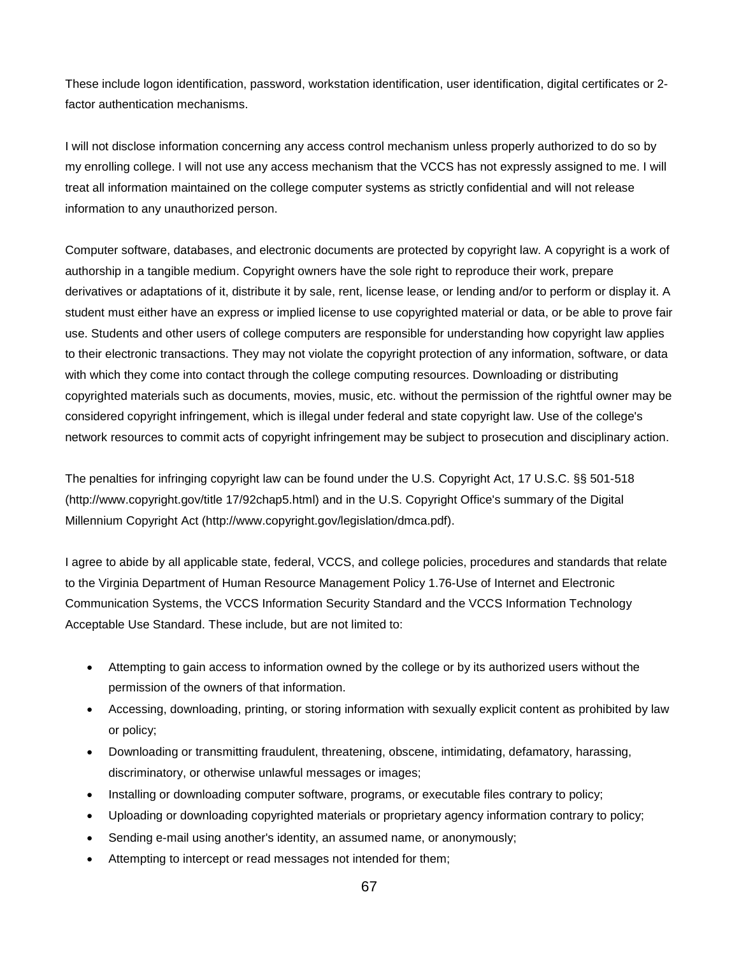These include logon identification, password, workstation identification, user identification, digital certificates or 2 factor authentication mechanisms.

I will not disclose information concerning any access control mechanism unless properly authorized to do so by my enrolling college. I will not use any access mechanism that the VCCS has not expressly assigned to me. I will treat all information maintained on the college computer systems as strictly confidential and will not release information to any unauthorized person.

Computer software, databases, and electronic documents are protected by copyright law. A copyright is a work of authorship in a tangible medium. Copyright owners have the sole right to reproduce their work, prepare derivatives or adaptations of it, distribute it by sale, rent, license lease, or lending and/or to perform or display it. A student must either have an express or implied license to use copyrighted material or data, or be able to prove fair use. Students and other users of college computers are responsible for understanding how copyright law applies to their electronic transactions. They may not violate the copyright protection of any information, software, or data with which they come into contact through the college computing resources. Downloading or distributing copyrighted materials such as documents, movies, music, etc. without the permission of the rightful owner may be considered copyright infringement, which is illegal under federal and state copyright law. Use of the college's network resources to commit acts of copyright infringement may be subject to prosecution and disciplinary action.

The penalties for infringing copyright law can be found under the U.S. Copyright Act, 17 U.S.C. §§ 501-518 (http://www.copyright.gov/title 17/92chap5.html) and in the U.S. Copyright Office's summary of the Digital Millennium Copyright Act (http://www.copyright.gov/legislation/dmca.pdf).

I agree to abide by all applicable state, federal, VCCS, and college policies, procedures and standards that relate to the Virginia Department of Human Resource Management Policy 1.76-Use of Internet and Electronic Communication Systems, the VCCS Information Security Standard and the VCCS Information Technology Acceptable Use Standard. These include, but are not limited to:

- Attempting to gain access to information owned by the college or by its authorized users without the permission of the owners of that information.
- Accessing, downloading, printing, or storing information with sexually explicit content as prohibited by law or policy;
- Downloading or transmitting fraudulent, threatening, obscene, intimidating, defamatory, harassing, discriminatory, or otherwise unlawful messages or images;
- Installing or downloading computer software, programs, or executable files contrary to policy;
- Uploading or downloading copyrighted materials or proprietary agency information contrary to policy;
- Sending e-mail using another's identity, an assumed name, or anonymously;
- Attempting to intercept or read messages not intended for them;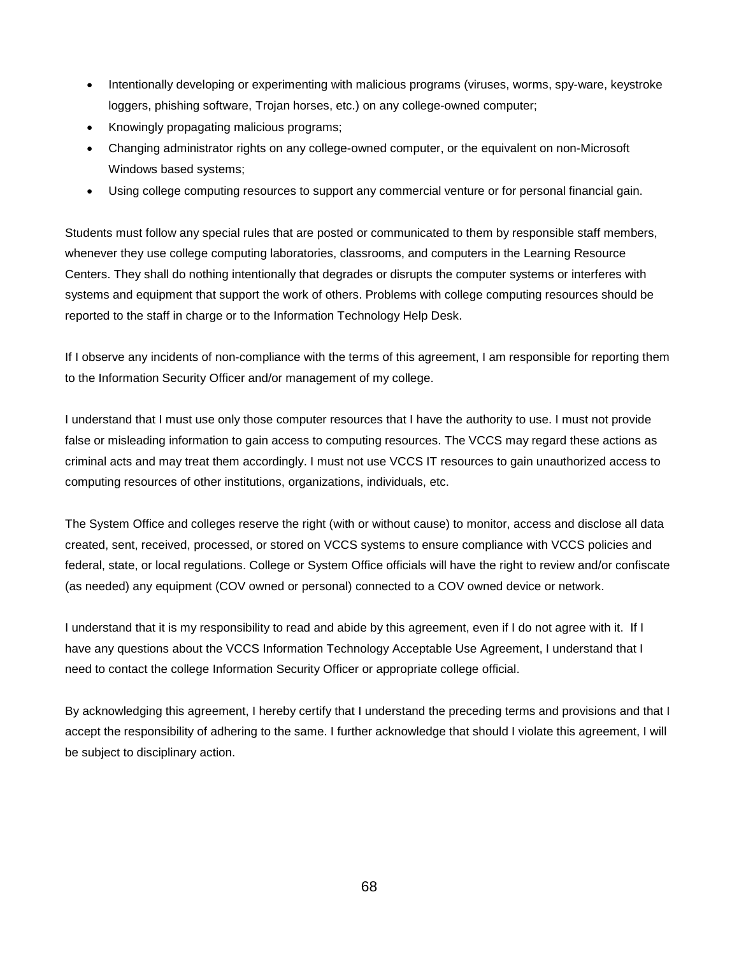- Intentionally developing or experimenting with malicious programs (viruses, worms, spy-ware, keystroke loggers, phishing software, Trojan horses, etc.) on any college-owned computer;
- Knowingly propagating malicious programs;
- Changing administrator rights on any college-owned computer, or the equivalent on non-Microsoft Windows based systems;
- Using college computing resources to support any commercial venture or for personal financial gain.

Students must follow any special rules that are posted or communicated to them by responsible staff members, whenever they use college computing laboratories, classrooms, and computers in the Learning Resource Centers. They shall do nothing intentionally that degrades or disrupts the computer systems or interferes with systems and equipment that support the work of others. Problems with college computing resources should be reported to the staff in charge or to the Information Technology Help Desk.

If I observe any incidents of non-compliance with the terms of this agreement, I am responsible for reporting them to the Information Security Officer and/or management of my college.

I understand that I must use only those computer resources that I have the authority to use. I must not provide false or misleading information to gain access to computing resources. The VCCS may regard these actions as criminal acts and may treat them accordingly. I must not use VCCS IT resources to gain unauthorized access to computing resources of other institutions, organizations, individuals, etc.

The System Office and colleges reserve the right (with or without cause) to monitor, access and disclose all data created, sent, received, processed, or stored on VCCS systems to ensure compliance with VCCS policies and federal, state, or local regulations. College or System Office officials will have the right to review and/or confiscate (as needed) any equipment (COV owned or personal) connected to a COV owned device or network.

I understand that it is my responsibility to read and abide by this agreement, even if I do not agree with it. If I have any questions about the VCCS Information Technology Acceptable Use Agreement, I understand that I need to contact the college Information Security Officer or appropriate college official.

By acknowledging this agreement, I hereby certify that I understand the preceding terms and provisions and that I accept the responsibility of adhering to the same. I further acknowledge that should I violate this agreement, I will be subject to disciplinary action.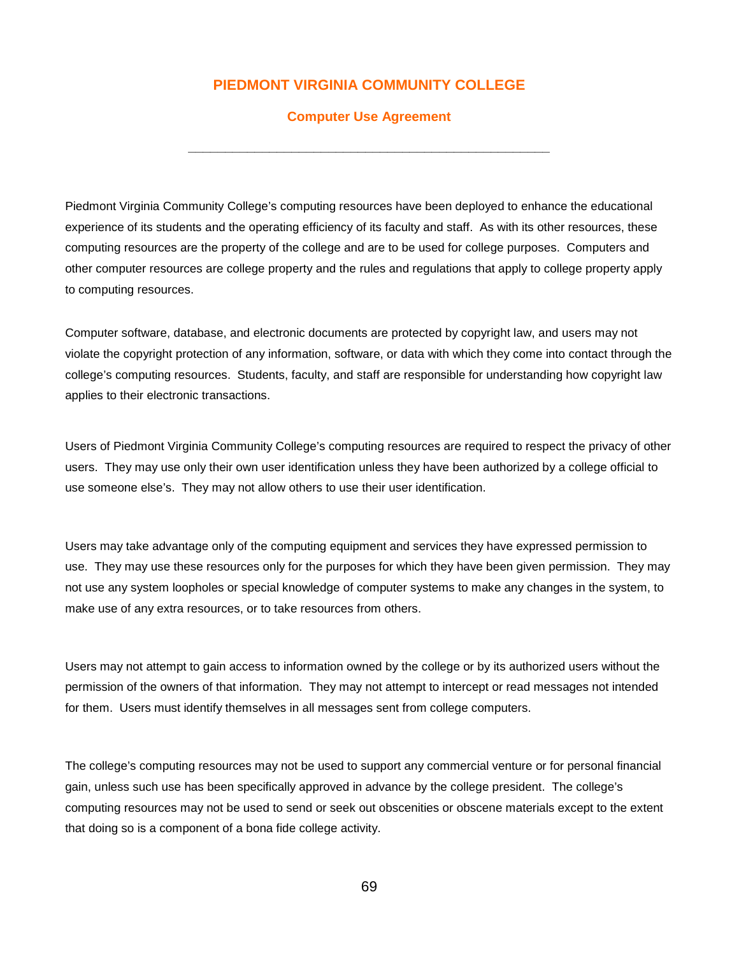# **PIEDMONT VIRGINIA COMMUNITY COLLEGE**

#### **Computer Use Agreement**

**\_\_\_\_\_\_\_\_\_\_\_\_\_\_\_\_\_\_\_\_\_\_\_\_\_\_\_\_\_\_\_\_\_\_\_\_\_\_\_\_\_\_\_\_\_\_\_\_\_**

Piedmont Virginia Community College's computing resources have been deployed to enhance the educational experience of its students and the operating efficiency of its faculty and staff. As with its other resources, these computing resources are the property of the college and are to be used for college purposes. Computers and other computer resources are college property and the rules and regulations that apply to college property apply to computing resources.

Computer software, database, and electronic documents are protected by copyright law, and users may not violate the copyright protection of any information, software, or data with which they come into contact through the college's computing resources. Students, faculty, and staff are responsible for understanding how copyright law applies to their electronic transactions.

Users of Piedmont Virginia Community College's computing resources are required to respect the privacy of other users. They may use only their own user identification unless they have been authorized by a college official to use someone else's. They may not allow others to use their user identification.

Users may take advantage only of the computing equipment and services they have expressed permission to use. They may use these resources only for the purposes for which they have been given permission. They may not use any system loopholes or special knowledge of computer systems to make any changes in the system, to make use of any extra resources, or to take resources from others.

Users may not attempt to gain access to information owned by the college or by its authorized users without the permission of the owners of that information. They may not attempt to intercept or read messages not intended for them. Users must identify themselves in all messages sent from college computers.

The college's computing resources may not be used to support any commercial venture or for personal financial gain, unless such use has been specifically approved in advance by the college president. The college's computing resources may not be used to send or seek out obscenities or obscene materials except to the extent that doing so is a component of a bona fide college activity.

69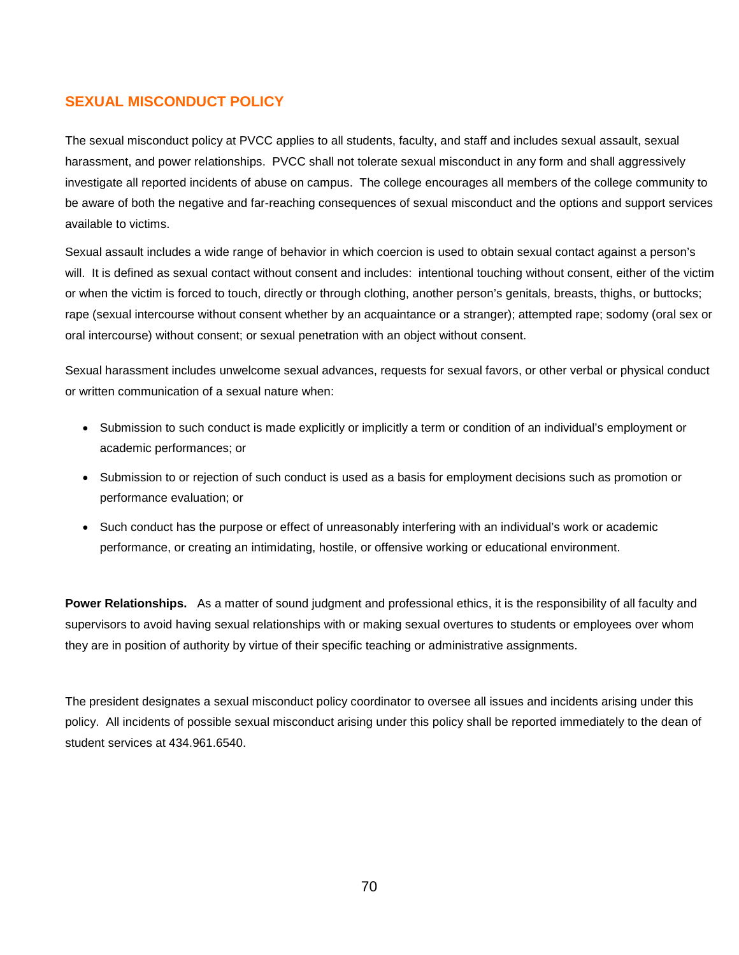# **SEXUAL MISCONDUCT POLICY**

The sexual misconduct policy at PVCC applies to all students, faculty, and staff and includes sexual assault, sexual harassment, and power relationships. PVCC shall not tolerate sexual misconduct in any form and shall aggressively investigate all reported incidents of abuse on campus. The college encourages all members of the college community to be aware of both the negative and far-reaching consequences of sexual misconduct and the options and support services available to victims.

Sexual assault includes a wide range of behavior in which coercion is used to obtain sexual contact against a person's will. It is defined as sexual contact without consent and includes: intentional touching without consent, either of the victim or when the victim is forced to touch, directly or through clothing, another person's genitals, breasts, thighs, or buttocks; rape (sexual intercourse without consent whether by an acquaintance or a stranger); attempted rape; sodomy (oral sex or oral intercourse) without consent; or sexual penetration with an object without consent.

Sexual harassment includes unwelcome sexual advances, requests for sexual favors, or other verbal or physical conduct or written communication of a sexual nature when:

- Submission to such conduct is made explicitly or implicitly a term or condition of an individual's employment or academic performances; or
- Submission to or rejection of such conduct is used as a basis for employment decisions such as promotion or performance evaluation; or
- Such conduct has the purpose or effect of unreasonably interfering with an individual's work or academic performance, or creating an intimidating, hostile, or offensive working or educational environment.

**Power Relationships.** As a matter of sound judgment and professional ethics, it is the responsibility of all faculty and supervisors to avoid having sexual relationships with or making sexual overtures to students or employees over whom they are in position of authority by virtue of their specific teaching or administrative assignments.

The president designates a sexual misconduct policy coordinator to oversee all issues and incidents arising under this policy. All incidents of possible sexual misconduct arising under this policy shall be reported immediately to the dean of student services at 434.961.6540.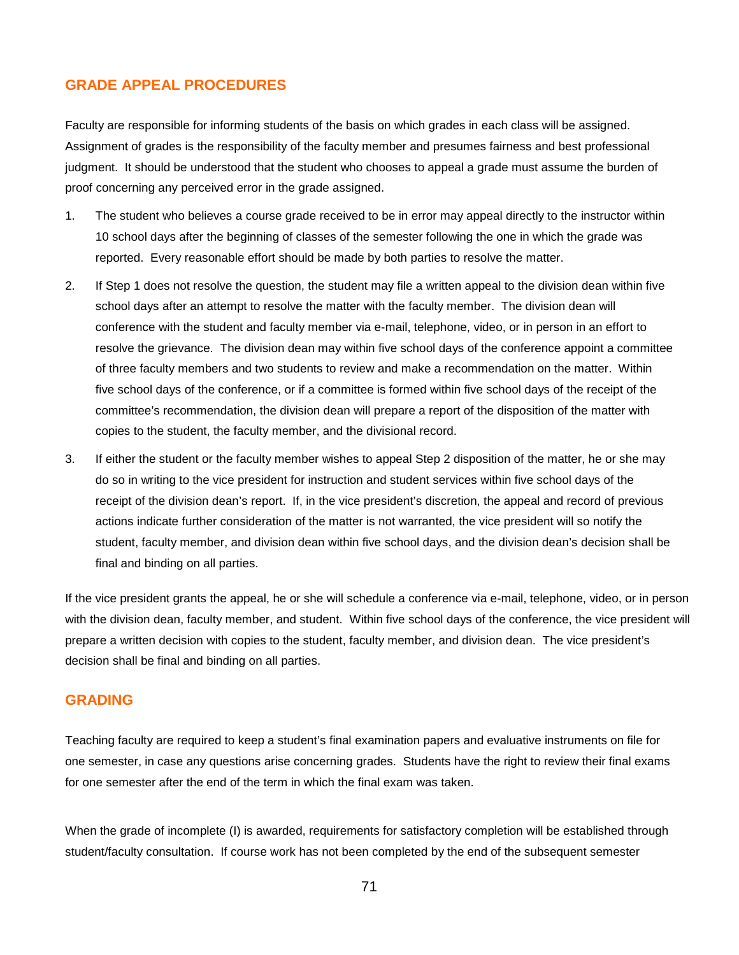# **GRADE APPEAL PROCEDURES**

Faculty are responsible for informing students of the basis on which grades in each class will be assigned. Assignment of grades is the responsibility of the faculty member and presumes fairness and best professional judgment. It should be understood that the student who chooses to appeal a grade must assume the burden of proof concerning any perceived error in the grade assigned.

- 1. The student who believes a course grade received to be in error may appeal directly to the instructor within 10 school days after the beginning of classes of the semester following the one in which the grade was reported. Every reasonable effort should be made by both parties to resolve the matter.
- 2. If Step 1 does not resolve the question, the student may file a written appeal to the division dean within five school days after an attempt to resolve the matter with the faculty member. The division dean will conference with the student and faculty member via e-mail, telephone, video, or in person in an effort to resolve the grievance. The division dean may within five school days of the conference appoint a committee of three faculty members and two students to review and make a recommendation on the matter. Within five school days of the conference, or if a committee is formed within five school days of the receipt of the committee's recommendation, the division dean will prepare a report of the disposition of the matter with copies to the student, the faculty member, and the divisional record.
- 3. If either the student or the faculty member wishes to appeal Step 2 disposition of the matter, he or she may do so in writing to the vice president for instruction and student services within five school days of the receipt of the division dean's report. If, in the vice president's discretion, the appeal and record of previous actions indicate further consideration of the matter is not warranted, the vice president will so notify the student, faculty member, and division dean within five school days, and the division dean's decision shall be final and binding on all parties.

If the vice president grants the appeal, he or she will schedule a conference via e-mail, telephone, video, or in person with the division dean, faculty member, and student. Within five school days of the conference, the vice president will prepare a written decision with copies to the student, faculty member, and division dean. The vice president's decision shall be final and binding on all parties.

### **GRADING**

Teaching faculty are required to keep a student's final examination papers and evaluative instruments on file for one semester, in case any questions arise concerning grades. Students have the right to review their final exams for one semester after the end of the term in which the final exam was taken.

When the grade of incomplete (I) is awarded, requirements for satisfactory completion will be established through student/faculty consultation. If course work has not been completed by the end of the subsequent semester

71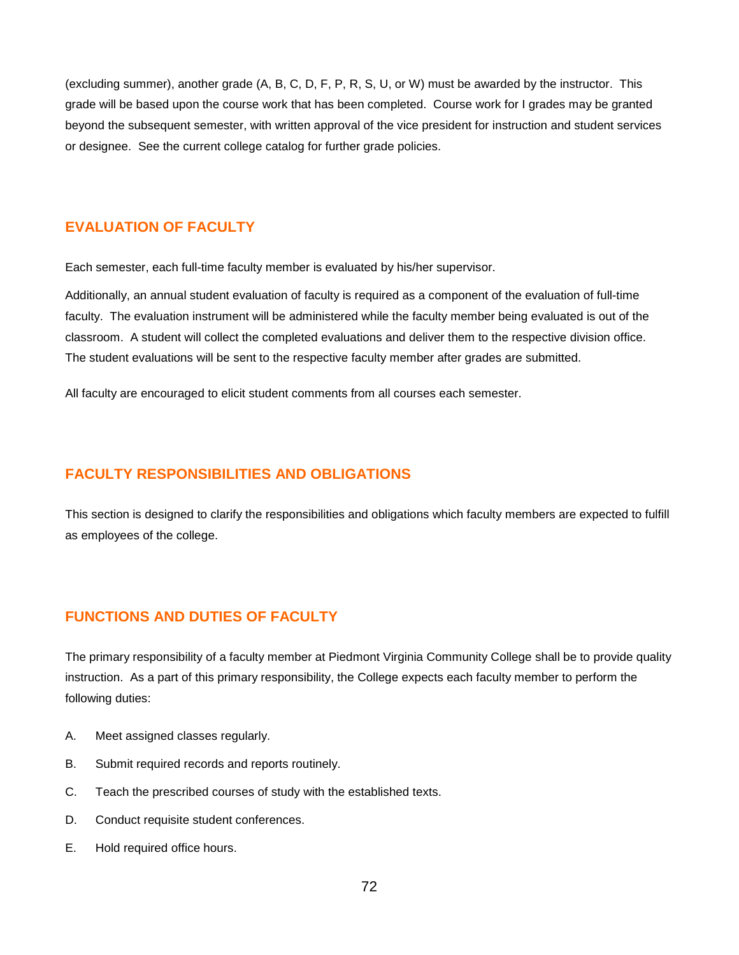(excluding summer), another grade (A, B, C, D, F, P, R, S, U, or W) must be awarded by the instructor. This grade will be based upon the course work that has been completed. Course work for I grades may be granted beyond the subsequent semester, with written approval of the vice president for instruction and student services or designee. See the current college catalog for further grade policies.

### **EVALUATION OF FACULTY**

Each semester, each full-time faculty member is evaluated by his/her supervisor.

Additionally, an annual student evaluation of faculty is required as a component of the evaluation of full-time faculty. The evaluation instrument will be administered while the faculty member being evaluated is out of the classroom. A student will collect the completed evaluations and deliver them to the respective division office. The student evaluations will be sent to the respective faculty member after grades are submitted.

All faculty are encouraged to elicit student comments from all courses each semester.

## **FACULTY RESPONSIBILITIES AND OBLIGATIONS**

This section is designed to clarify the responsibilities and obligations which faculty members are expected to fulfill as employees of the college.

## **FUNCTIONS AND DUTIES OF FACULTY**

The primary responsibility of a faculty member at Piedmont Virginia Community College shall be to provide quality instruction. As a part of this primary responsibility, the College expects each faculty member to perform the following duties:

- A. Meet assigned classes regularly.
- B. Submit required records and reports routinely.
- C. Teach the prescribed courses of study with the established texts.
- D. Conduct requisite student conferences.
- E. Hold required office hours.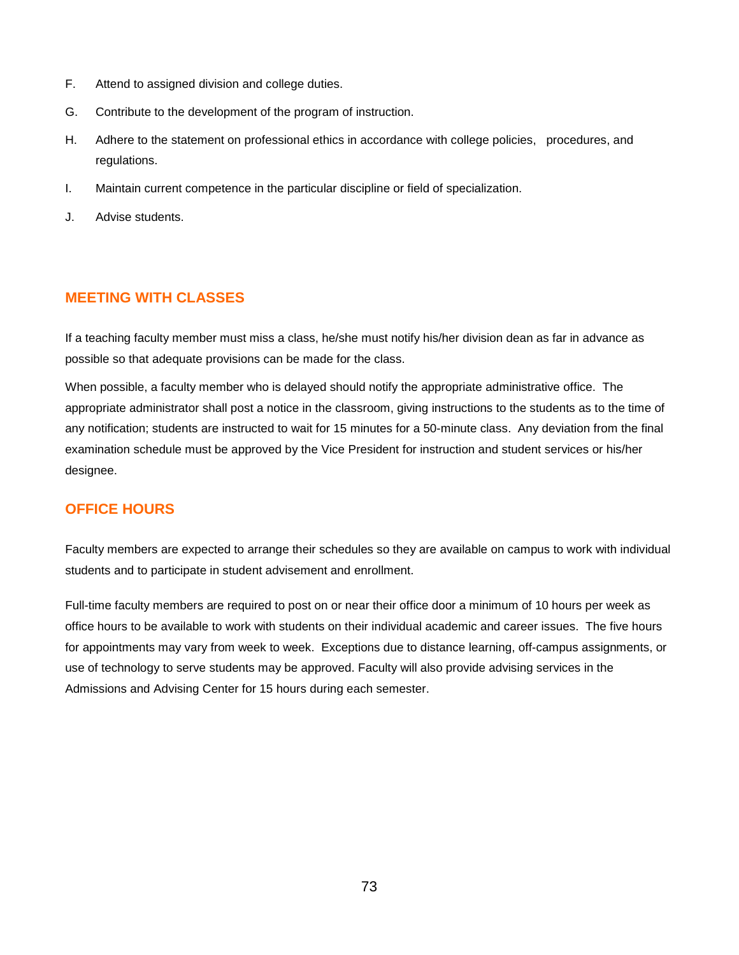- F. Attend to assigned division and college duties.
- G. Contribute to the development of the program of instruction.
- H. Adhere to the statement on professional ethics in accordance with college policies, procedures, and regulations.
- I. Maintain current competence in the particular discipline or field of specialization.
- J. Advise students.

## **MEETING WITH CLASSES**

If a teaching faculty member must miss a class, he/she must notify his/her division dean as far in advance as possible so that adequate provisions can be made for the class.

When possible, a faculty member who is delayed should notify the appropriate administrative office. The appropriate administrator shall post a notice in the classroom, giving instructions to the students as to the time of any notification; students are instructed to wait for 15 minutes for a 50-minute class. Any deviation from the final examination schedule must be approved by the Vice President for instruction and student services or his/her designee.

# **OFFICE HOURS**

Faculty members are expected to arrange their schedules so they are available on campus to work with individual students and to participate in student advisement and enrollment.

Full-time faculty members are required to post on or near their office door a minimum of 10 hours per week as office hours to be available to work with students on their individual academic and career issues. The five hours for appointments may vary from week to week. Exceptions due to distance learning, off-campus assignments, or use of technology to serve students may be approved. Faculty will also provide advising services in the Admissions and Advising Center for 15 hours during each semester.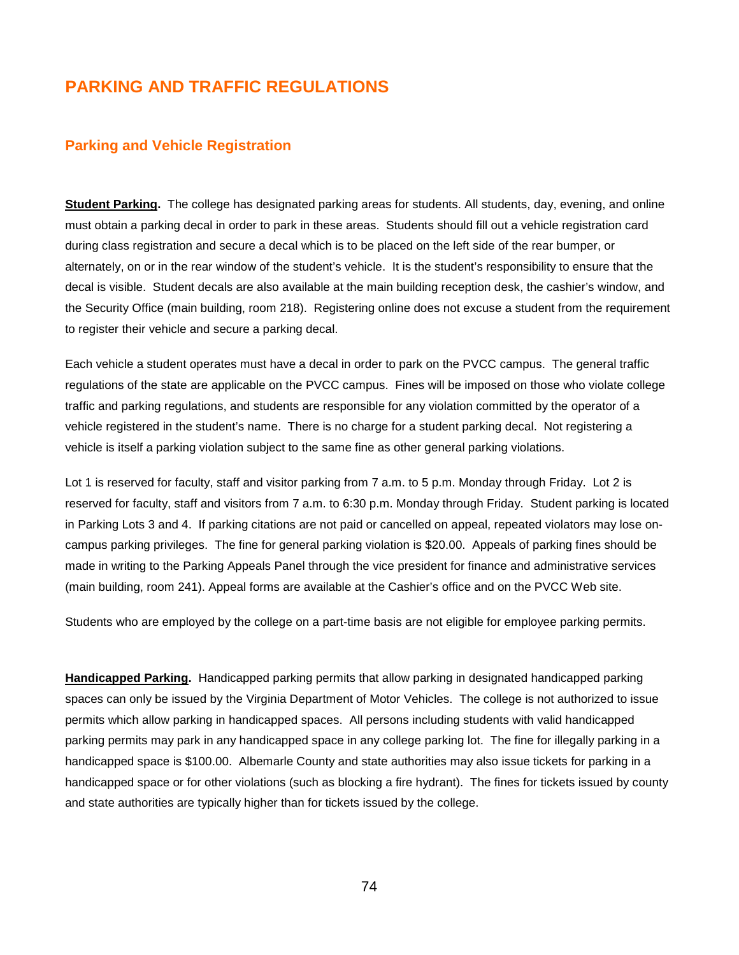# **PARKING AND TRAFFIC REGULATIONS**

#### **Parking and Vehicle Registration**

**Student Parking.** The college has designated parking areas for students. All students, day, evening, and online must obtain a parking decal in order to park in these areas. Students should fill out a vehicle registration card during class registration and secure a decal which is to be placed on the left side of the rear bumper, or alternately, on or in the rear window of the student's vehicle. It is the student's responsibility to ensure that the decal is visible. Student decals are also available at the main building reception desk, the cashier's window, and the Security Office (main building, room 218). Registering online does not excuse a student from the requirement to register their vehicle and secure a parking decal.

Each vehicle a student operates must have a decal in order to park on the PVCC campus. The general traffic regulations of the state are applicable on the PVCC campus. Fines will be imposed on those who violate college traffic and parking regulations, and students are responsible for any violation committed by the operator of a vehicle registered in the student's name. There is no charge for a student parking decal. Not registering a vehicle is itself a parking violation subject to the same fine as other general parking violations.

Lot 1 is reserved for faculty, staff and visitor parking from 7 a.m. to 5 p.m. Monday through Friday. Lot 2 is reserved for faculty, staff and visitors from 7 a.m. to 6:30 p.m. Monday through Friday. Student parking is located in Parking Lots 3 and 4. If parking citations are not paid or cancelled on appeal, repeated violators may lose oncampus parking privileges. The fine for general parking violation is \$20.00. Appeals of parking fines should be made in writing to the Parking Appeals Panel through the vice president for finance and administrative services (main building, room 241). Appeal forms are available at the Cashier's office and on the PVCC Web site.

Students who are employed by the college on a part-time basis are not eligible for employee parking permits.

**Handicapped Parking.** Handicapped parking permits that allow parking in designated handicapped parking spaces can only be issued by the Virginia Department of Motor Vehicles. The college is not authorized to issue permits which allow parking in handicapped spaces. All persons including students with valid handicapped parking permits may park in any handicapped space in any college parking lot. The fine for illegally parking in a handicapped space is \$100.00. Albemarle County and state authorities may also issue tickets for parking in a handicapped space or for other violations (such as blocking a fire hydrant). The fines for tickets issued by county and state authorities are typically higher than for tickets issued by the college.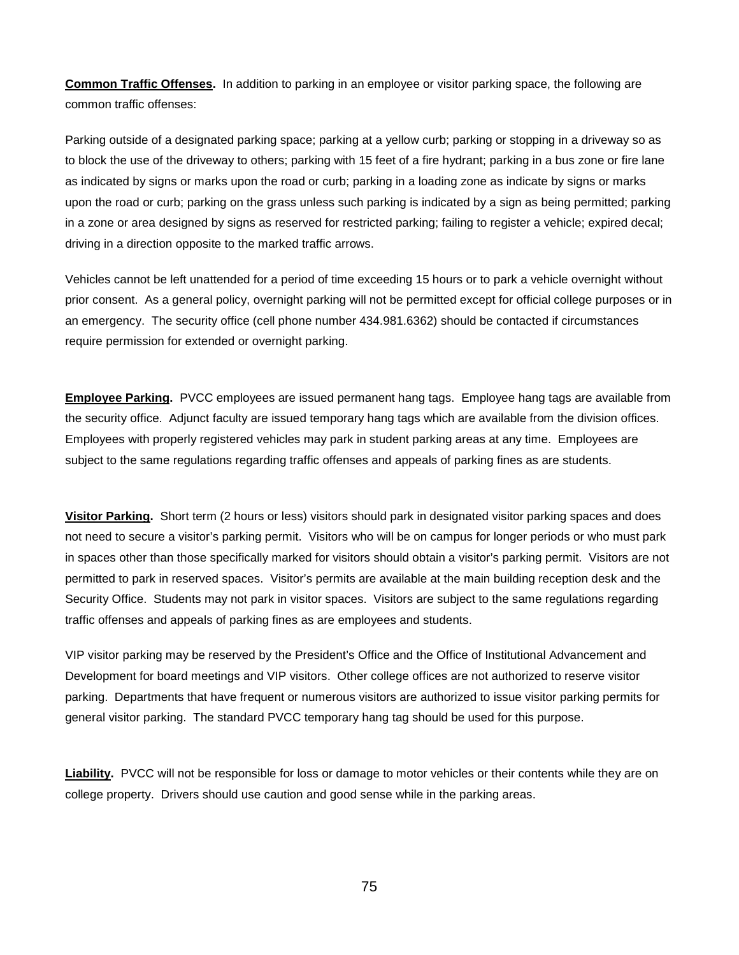**Common Traffic Offenses.** In addition to parking in an employee or visitor parking space, the following are common traffic offenses:

Parking outside of a designated parking space; parking at a yellow curb; parking or stopping in a driveway so as to block the use of the driveway to others; parking with 15 feet of a fire hydrant; parking in a bus zone or fire lane as indicated by signs or marks upon the road or curb; parking in a loading zone as indicate by signs or marks upon the road or curb; parking on the grass unless such parking is indicated by a sign as being permitted; parking in a zone or area designed by signs as reserved for restricted parking; failing to register a vehicle; expired decal; driving in a direction opposite to the marked traffic arrows.

Vehicles cannot be left unattended for a period of time exceeding 15 hours or to park a vehicle overnight without prior consent. As a general policy, overnight parking will not be permitted except for official college purposes or in an emergency. The security office (cell phone number 434.981.6362) should be contacted if circumstances require permission for extended or overnight parking.

**Employee Parking.** PVCC employees are issued permanent hang tags. Employee hang tags are available from the security office. Adjunct faculty are issued temporary hang tags which are available from the division offices. Employees with properly registered vehicles may park in student parking areas at any time. Employees are subject to the same regulations regarding traffic offenses and appeals of parking fines as are students.

**Visitor Parking.** Short term (2 hours or less) visitors should park in designated visitor parking spaces and does not need to secure a visitor's parking permit. Visitors who will be on campus for longer periods or who must park in spaces other than those specifically marked for visitors should obtain a visitor's parking permit. Visitors are not permitted to park in reserved spaces. Visitor's permits are available at the main building reception desk and the Security Office. Students may not park in visitor spaces. Visitors are subject to the same regulations regarding traffic offenses and appeals of parking fines as are employees and students.

VIP visitor parking may be reserved by the President's Office and the Office of Institutional Advancement and Development for board meetings and VIP visitors. Other college offices are not authorized to reserve visitor parking. Departments that have frequent or numerous visitors are authorized to issue visitor parking permits for general visitor parking. The standard PVCC temporary hang tag should be used for this purpose.

**Liability.** PVCC will not be responsible for loss or damage to motor vehicles or their contents while they are on college property. Drivers should use caution and good sense while in the parking areas.

75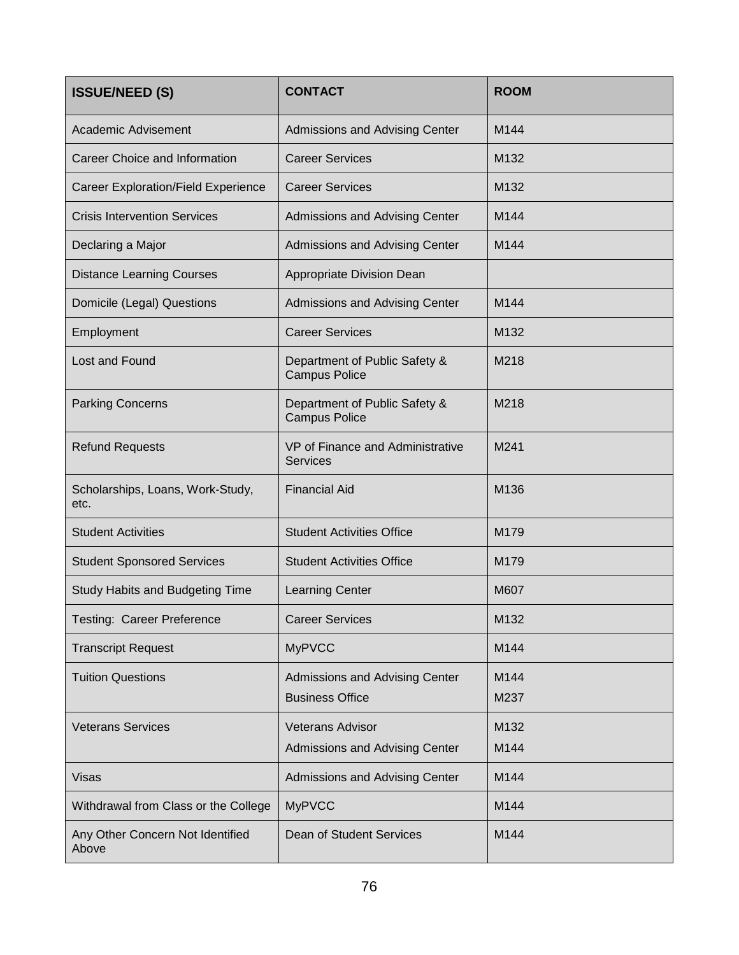| <b>ISSUE/NEED (S)</b>                     | <b>CONTACT</b>                                            | <b>ROOM</b>  |
|-------------------------------------------|-----------------------------------------------------------|--------------|
| <b>Academic Advisement</b>                | Admissions and Advising Center                            | M144         |
| Career Choice and Information             | <b>Career Services</b>                                    | M132         |
| Career Exploration/Field Experience       | <b>Career Services</b>                                    | M132         |
| <b>Crisis Intervention Services</b>       | Admissions and Advising Center                            | M144         |
| Declaring a Major                         | Admissions and Advising Center                            | M144         |
| <b>Distance Learning Courses</b>          | Appropriate Division Dean                                 |              |
| Domicile (Legal) Questions                | Admissions and Advising Center                            | M144         |
| Employment                                | <b>Career Services</b>                                    | M132         |
| Lost and Found                            | Department of Public Safety &<br><b>Campus Police</b>     | M218         |
| <b>Parking Concerns</b>                   | Department of Public Safety &<br><b>Campus Police</b>     | M218         |
| <b>Refund Requests</b>                    | VP of Finance and Administrative<br><b>Services</b>       | M241         |
| Scholarships, Loans, Work-Study,<br>etc.  | <b>Financial Aid</b>                                      | M136         |
| <b>Student Activities</b>                 | <b>Student Activities Office</b>                          | M179         |
| <b>Student Sponsored Services</b>         | <b>Student Activities Office</b>                          | M179         |
| <b>Study Habits and Budgeting Time</b>    | <b>Learning Center</b>                                    | M607         |
| <b>Testing: Career Preference</b>         | <b>Career Services</b>                                    | M132         |
| <b>Transcript Request</b>                 | <b>MyPVCC</b>                                             | M144         |
| <b>Tuition Questions</b>                  | Admissions and Advising Center<br><b>Business Office</b>  | M144<br>M237 |
| <b>Veterans Services</b>                  | <b>Veterans Advisor</b><br>Admissions and Advising Center | M132<br>M144 |
| Visas                                     | Admissions and Advising Center                            | M144         |
| Withdrawal from Class or the College      | <b>MyPVCC</b>                                             | M144         |
| Any Other Concern Not Identified<br>Above | Dean of Student Services                                  | M144         |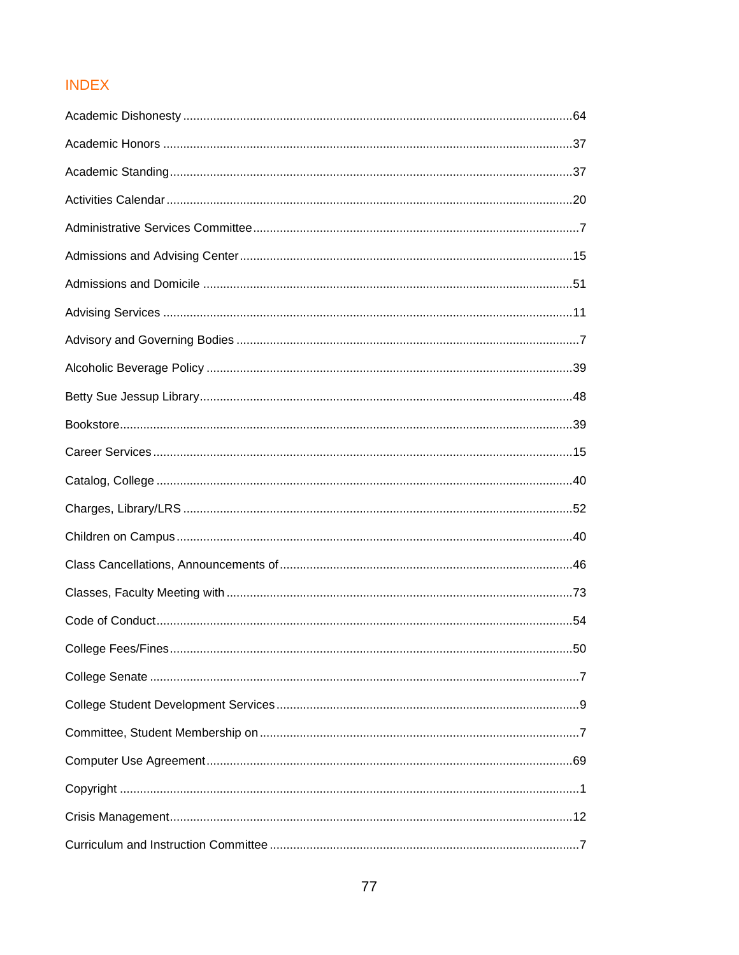# **INDEX**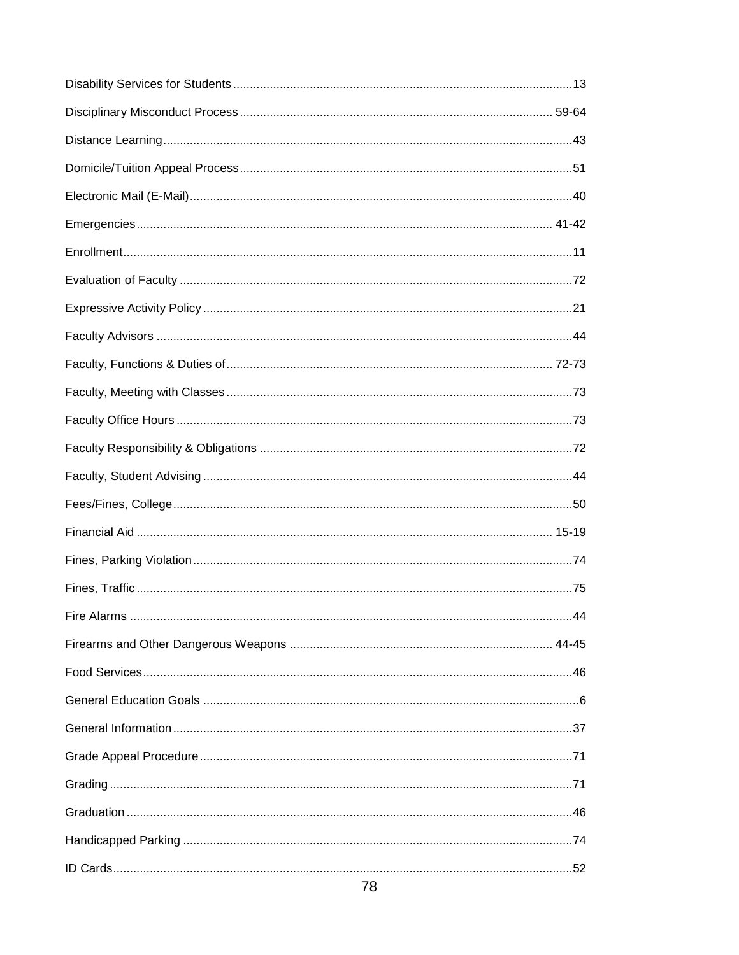| 78 |  |
|----|--|